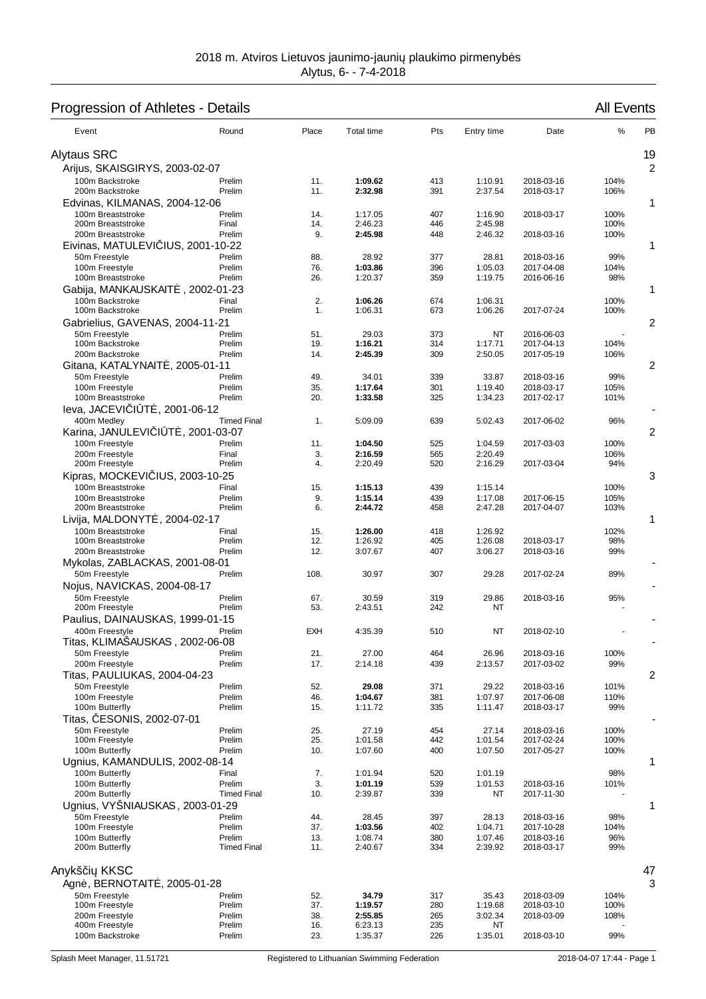## Progression of Athletes - Details **All Events** All Events

| Event                                             | Round                  | Place      | Total time         | Pts        | Entry time         | Date                     | %            | PB |
|---------------------------------------------------|------------------------|------------|--------------------|------------|--------------------|--------------------------|--------------|----|
| <b>Alytaus SRC</b>                                |                        |            |                    |            |                    |                          |              | 19 |
| Arijus, SKAISGIRYS, 2003-02-07                    |                        |            |                    |            |                    |                          |              | 2  |
| 100m Backstroke                                   | Prelim                 | 11.        | 1:09.62            | 413        | 1:10.91            | 2018-03-16               | 104%         |    |
| 200m Backstroke                                   | Prelim                 | 11.        | 2:32.98            | 391        | 2:37.54            | 2018-03-17               | 106%         |    |
| Edvinas, KILMANAS, 2004-12-06                     |                        |            |                    |            |                    |                          |              | 1  |
| 100m Breaststroke<br>200m Breaststroke            | Prelim<br>Final        | 14.<br>14. | 1:17.05<br>2:46.23 | 407<br>446 | 1:16.90<br>2:45.98 | 2018-03-17               | 100%<br>100% |    |
| 200m Breaststroke                                 | Prelim                 | 9.         | 2:45.98            | 448        | 2:46.32            | 2018-03-16               | 100%         |    |
| Eivinas, MATULEVI IUS, 2001-10-22                 |                        |            |                    |            |                    |                          |              | 1  |
| 50m Freestyle                                     | Prelim                 | 88.        | 28.92              | 377        | 28.81              | 2018-03-16               | 99%          |    |
| 100m Freestyle                                    | Prelim                 | 76.        | 1:03.86            | 396        | 1:05.03            | 2017-04-08               | 104%         |    |
| 100m Breaststroke<br>Gabija, MANKAUSKAIT          | Prelim<br>, 2002-01-23 | 26.        | 1:20.37            | 359        | 1:19.75            | 2016-06-16               | 98%          | 1  |
| 100m Backstroke                                   | Final                  | 2.         | 1:06.26            | 674        | 1:06.31            |                          | 100%         |    |
| 100m Backstroke                                   | Prelim                 | 1.         | 1:06.31            | 673        | 1:06.26            | 2017-07-24               | 100%         |    |
| Gabrielius, GAVENAS, 2004-11-21                   |                        |            |                    |            |                    |                          |              | 2  |
| 50m Freestyle                                     | Prelim                 | 51.        | 29.03              | 373        | NT                 | 2016-06-03               |              |    |
| 100m Backstroke                                   | Prelim                 | 19.        | 1:16.21            | 314        | 1:17.71            | 2017-04-13               | 104%         |    |
| 200m Backstroke<br>Gitana, KATALYNAIT, 2005-01-11 | Prelim                 | 14.        | 2:45.39            | 309        | 2:50.05            | 2017-05-19               | 106%         | 2  |
| 50m Freestyle                                     | Prelim                 | 49.        | 34.01              | 339        | 33.87              | 2018-03-16               | 99%          |    |
| 100m Freestyle                                    | Prelim                 | 35.        | 1:17.64            | 301        | 1:19.40            | 2018-03-17               | 105%         |    |
| 100m Breaststroke                                 | Prelim                 | 20.        | 1:33.58            | 325        | 1:34.23            | 2017-02-17               | 101%         |    |
| leva, JACEVI I T<br>, 2001-06-12                  |                        |            |                    |            |                    |                          |              |    |
| 400m Medley                                       | <b>Timed Final</b>     | 1.         | 5:09.09            | 639        | 5:02.43            | 2017-06-02               | 96%          |    |
| Karina, JANULEVI   T , 2001-03-07                 |                        |            |                    |            |                    |                          |              | 2  |
| 100m Freestyle<br>200m Freestyle                  | Prelim<br>Final        | 11.<br>3.  | 1:04.50<br>2:16.59 | 525<br>565 | 1:04.59<br>2:20.49 | 2017-03-03               | 100%<br>106% |    |
| 200m Freestyle                                    | Prelim                 | 4.         | 2:20.49            | 520        | 2:16.29            | 2017-03-04               | 94%          |    |
| Kipras, MOCKEVI                                   | IUS, 2003-10-25        |            |                    |            |                    |                          |              | 3  |
| 100m Breaststroke                                 | Final                  | 15.        | 1:15.13            | 439        | 1:15.14            |                          | 100%         |    |
| 100m Breaststroke                                 | Prelim                 | 9.         | 1:15.14            | 439        | 1:17.08            | 2017-06-15               | 105%         |    |
| 200m Breaststroke                                 | Prelim                 | 6.         | 2:44.72            | 458        | 2:47.28            | 2017-04-07               | 103%         |    |
| Livija, MALDONYT<br>100m Breaststroke             | . 2004-02-17<br>Final  | 15.        | 1:26.00            | 418        | 1:26.92            |                          | 102%         | 1  |
| 100m Breaststroke                                 | Prelim                 | 12.        | 1:26.92            | 405        | 1:26.08            | 2018-03-17               | 98%          |    |
| 200m Breaststroke                                 | Prelim                 | 12.        | 3:07.67            | 407        | 3:06.27            | 2018-03-16               | 99%          |    |
| Mykolas, ZABLACKAS, 2001-08-01                    |                        |            |                    |            |                    |                          |              |    |
| 50m Freestyle                                     | Prelim                 | 108.       | 30.97              | 307        | 29.28              | 2017-02-24               | 89%          |    |
| Nojus, NAVICKAS, 2004-08-17                       |                        |            |                    |            |                    |                          |              |    |
| 50m Freestyle<br>200m Freestyle                   | Prelim<br>Prelim       | 67.<br>53. | 30.59<br>2:43.51   | 319<br>242 | 29.86<br>NΤ        | 2018-03-16               | 95%          |    |
| Paulius, DAINAUSKAS, 1999-01-15                   |                        |            |                    |            |                    |                          |              |    |
| 400m Freestyle                                    | Prelim                 | EXH        | 4:35.39            | 510        | ΝT                 | 2018-02-10               |              |    |
| Titas, KLIMASAUSKAS, 2002-06-08                   |                        |            |                    |            |                    |                          |              |    |
| 50m Freestyle                                     | Prelim                 | 21.        | 27.00              | 464        | 26.96              | 2018-03-16               | 100%         |    |
| 200m Freestyle                                    | Prelim                 | 17.        | 2:14.18            | 439        | 2:13.57            | 2017-03-02               | 99%          |    |
| Titas, PAULIUKAS, 2004-04-23<br>50m Freestyle     | Prelim                 | 52.        | 29.08              | 371        | 29.22              |                          | 101%         | 2  |
| 100m Freestyle                                    | Prelim                 | 46.        | 1:04.67            | 381        | 1:07.97            | 2018-03-16<br>2017-06-08 | 110%         |    |
| 100m Butterfly                                    | Prelim                 | 15.        | 1:11.72            | 335        | 1:11.47            | 2018-03-17               | 99%          |    |
| ESONIS, 2002-07-01<br>Titas,                      |                        |            |                    |            |                    |                          |              |    |
| 50m Freestvle                                     | Prelim                 | 25.        | 27.19              | 454        | 27.14              | 2018-03-16               | 100%         |    |
| 100m Freestyle<br>100m Butterfly                  | Prelim<br>Prelim       | 25.<br>10. | 1:01.58<br>1:07.60 | 442<br>400 | 1:01.54<br>1:07.50 | 2017-02-24<br>2017-05-27 | 100%         |    |
| Ugnius, KAMANDULIS, 2002-08-14                    |                        |            |                    |            |                    |                          | 100%         | 1  |
| 100m Butterfly                                    | Final                  | 7.         | 1:01.94            | 520        | 1:01.19            |                          | 98%          |    |
| 100m Butterfly                                    | Prelim                 | 3.         | 1:01.19            | 539        | 1:01.53            | 2018-03-16               | 101%         |    |
| 200m Butterfly                                    | <b>Timed Final</b>     | 10.        | 2:39.87            | 339        | NT                 | 2017-11-30               |              |    |
| Ugnius, VYŠNIAUSKAS, 2003-01-29                   |                        |            |                    |            |                    |                          |              | 1  |
| 50m Freestyle<br>100m Freestyle                   | Prelim<br>Prelim       | 44.<br>37. | 28.45<br>1:03.56   | 397<br>402 | 28.13<br>1:04.71   | 2018-03-16<br>2017-10-28 | 98%<br>104%  |    |
| 100m Butterfly                                    | Prelim                 | 13.        | 1:08.74            | 380        | 1:07.46            | 2018-03-16               | 96%          |    |
| 200m Butterfly                                    | <b>Timed Final</b>     | 11.        | 2:40.67            | 334        | 2:39.92            | 2018-03-17               | 99%          |    |
| Anykš i KKSC                                      |                        |            |                    |            |                    |                          |              | 47 |
| Agn, BERNOTAIT                                    | , 2005-01-28           |            |                    |            |                    |                          |              | 3  |
| 50m Freestyle                                     | Prelim                 | 52.        | 34.79              | 317        | 35.43              | 2018-03-09               | 104%         |    |
| 100m Freestyle                                    | Prelim                 | 37.        | 1:19.57            | 280        | 1:19.68            | 2018-03-10               | 100%         |    |
| 200m Freestyle<br>400m Freestyle                  | Prelim<br>Prelim       | 38.<br>16. | 2:55.85<br>6:23.13 | 265<br>235 | 3:02.34<br>ΝT      | 2018-03-09               | 108%         |    |
| 100m Backstroke                                   | Prelim                 | 23.        | 1:35.37            | 226        | 1:35.01            | 2018-03-10               | 99%          |    |
|                                                   |                        |            |                    |            |                    |                          |              |    |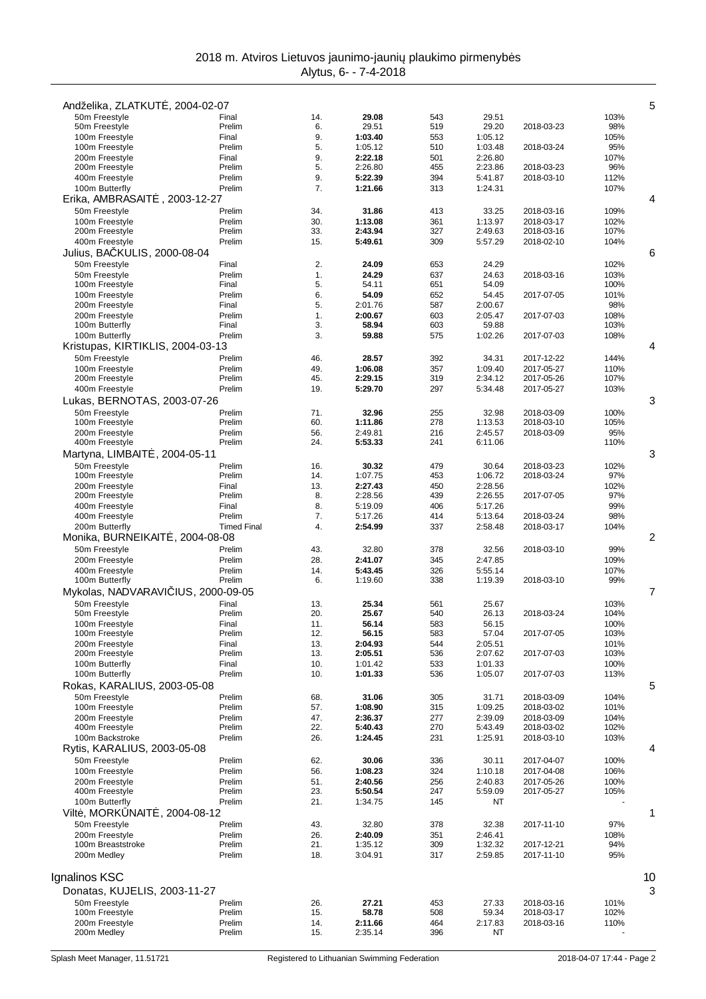|                                               | Andželika, ZLATKUT, 2004-02-07 |            |                    |            |                    |                          |              | 5  |
|-----------------------------------------------|--------------------------------|------------|--------------------|------------|--------------------|--------------------------|--------------|----|
| 50m Freestyle                                 | Final                          | 14.<br>6.  | 29.08              | 543<br>519 | 29.51<br>29.20     |                          | 103%<br>98%  |    |
| 50m Freestyle<br>100m Freestyle               | Prelim<br>Final                | 9.         | 29.51<br>1:03.40   | 553        | 1:05.12            | 2018-03-23               | 105%         |    |
| 100m Freestyle                                | Prelim                         | 5.         | 1:05.12            | 510        | 1:03.48            | 2018-03-24               | 95%          |    |
| 200m Freestyle                                | Final                          | 9.         | 2:22.18            | 501        | 2:26.80            |                          | 107%         |    |
| 200m Freestyle                                | Prelim                         | 5.         | 2:26.80            | 455        | 2:23.86            | 2018-03-23               | 96%          |    |
| 400m Freestyle<br>100m Butterfly              | Prelim<br>Prelim               | 9.<br>7.   | 5:22.39<br>1:21.66 | 394<br>313 | 5:41.87<br>1:24.31 | 2018-03-10               | 112%<br>107% |    |
| Erika, AMBRASAIT                              | , 2003-12-27                   |            |                    |            |                    |                          |              | 4  |
| 50m Freestyle                                 | Prelim                         | 34.        | 31.86              | 413        | 33.25              | 2018-03-16               | 109%         |    |
| 100m Freestyle                                | Prelim                         | 30.        | 1:13.08            | 361        | 1:13.97            | 2018-03-17               | 102%         |    |
| 200m Freestyle                                | Prelim                         | 33.        | 2:43.94            | 327        | 2:49.63            | 2018-03-16               | 107%         |    |
| 400m Freestyle                                | Prelim                         | 15.        | 5:49.61            | 309        | 5:57.29            | 2018-02-10               | 104%         |    |
| Julius, BA KULIS, 2000-08-04<br>50m Freestyle |                                |            |                    |            |                    |                          |              | 6  |
| 50m Freestyle                                 | Final<br>Prelim                | 2.<br>1.   | 24.09<br>24.29     | 653<br>637 | 24.29<br>24.63     | 2018-03-16               | 102%<br>103% |    |
| 100m Freestyle                                | Final                          | 5.         | 54.11              | 651        | 54.09              |                          | 100%         |    |
| 100m Freestyle                                | Prelim                         | 6.         | 54.09              | 652        | 54.45              | 2017-07-05               | 101%         |    |
| 200m Freestyle                                | Final                          | 5.         | 2:01.76            | 587        | 2:00.67            |                          | 98%          |    |
| 200m Freestyle<br>100m Butterfly              | Prelim<br>Final                | 1.<br>3.   | 2:00.67<br>58.94   | 603<br>603 | 2:05.47<br>59.88   | 2017-07-03               | 108%<br>103% |    |
| 100m Butterfly                                | Prelim                         | 3.         | 59.88              | 575        | 1:02.26            | 2017-07-03               | 108%         |    |
| Kristupas, KIRTIKLIS, 2004-03-13              |                                |            |                    |            |                    |                          |              | 4  |
| 50m Freestyle                                 | Prelim                         | 46.        | 28.57              | 392        | 34.31              | 2017-12-22               | 144%         |    |
| 100m Freestyle                                | Prelim                         | 49.        | 1:06.08            | 357        | 1:09.40            | 2017-05-27               | 110%         |    |
| 200m Freestyle                                | Prelim                         | 45.        | 2:29.15            | 319        | 2:34.12            | 2017-05-26               | 107%         |    |
| 400m Freestyle                                | Prelim                         | 19.        | 5:29.70            | 297        | 5:34.48            | 2017-05-27               | 103%         |    |
| Lukas, BERNOTAS, 2003-07-26                   |                                |            |                    |            |                    |                          |              | 3  |
| 50m Freestyle<br>100m Freestyle               | Prelim<br>Prelim               | 71.<br>60. | 32.96<br>1:11.86   | 255<br>278 | 32.98<br>1:13.53   | 2018-03-09<br>2018-03-10 | 100%<br>105% |    |
| 200m Freestyle                                | Prelim                         | 56.        | 2:49.81            | 216        | 2:45.57            | 2018-03-09               | 95%          |    |
| 400m Freestyle                                | Prelim                         | 24.        | 5:53.33            | 241        | 6:11.06            |                          | 110%         |    |
| Martyna, LIMBAIT                              | $, 2004 - 05 - 11$             |            |                    |            |                    |                          |              | 3  |
| 50m Freestyle                                 | Prelim                         | 16.        | 30.32              | 479        | 30.64              | 2018-03-23               | 102%         |    |
| 100m Freestyle                                | Prelim                         | 14.        | 1:07.75            | 453        | 1:06.72            | 2018-03-24               | 97%          |    |
| 200m Freestyle<br>200m Freestyle              | Final<br>Prelim                | 13.<br>8.  | 2:27.43<br>2:28.56 | 450<br>439 | 2:28.56<br>2:26.55 | 2017-07-05               | 102%<br>97%  |    |
| 400m Freestyle                                | Final                          | 8.         | 5:19.09            | 406        | 5:17.26            |                          | 99%          |    |
| 400m Freestyle                                | Prelim                         | 7.         | 5:17.26            | 414        | 5:13.64            | 2018-03-24               | 98%          |    |
| 200m Butterfly                                | <b>Timed Final</b>             | 4.         | 2:54.99            | 337        | 2:58.48            | 2018-03-17               | 104%         |    |
| Monika, BURNEIKAIT                            | . 2004-08-08                   |            |                    |            |                    |                          |              | 2  |
| 50m Freestyle                                 | Prelim                         | 43.        | 32.80              | 378        | 32.56              | 2018-03-10               | 99%          |    |
| 200m Freestyle<br>400m Freestyle              | Prelim<br>Prelim               | 28.<br>14. | 2:41.07<br>5:43.45 | 345<br>326 | 2:47.85<br>5:55.14 |                          | 109%<br>107% |    |
| 100m Butterfly                                | Prelim                         | 6.         | 1:19.60            | 338        | 1:19.39            | 2018-03-10               | 99%          |    |
| Mykolas, NADVARAVI IUS, 2000-09-05            |                                |            |                    |            |                    |                          |              | 7  |
| 50m Freestyle                                 | Final                          | 13.        | 25.34              |            | 25.67              |                          |              |    |
| 50m Freestyle                                 |                                |            |                    | 561        |                    |                          | 103%         |    |
|                                               | Prelim                         | 20.        | 25.67              | 540        | 26.13              | 2018-03-24               | 104%         |    |
| 100m Freestyle                                | Final                          | 11.        | 56.14              | 583        | 56.15              |                          | 100%         |    |
| 100m Freestyle                                | Prelim                         | 12.        | 56.15              | 583        | 57.04              | 2017-07-05               | 103%         |    |
| 200m Freestyle<br>200m Freestyle              | Final<br>Prelim                | 13.<br>13. | 2:04.93<br>2:05.51 | 544<br>536 | 2:05.51<br>2:07.62 | 2017-07-03               | 101%<br>103% |    |
| 100m Butterfly                                | Final                          | 10.        | 1:01.42            | 533        | 1:01.33            |                          | 100%         |    |
| 100m Butterfly                                | Prelim                         | 10.        | 1:01.33            | 536        | 1:05.07            | 2017-07-03               | 113%         |    |
| Rokas, KARALIUS, 2003-05-08                   |                                |            |                    |            |                    |                          |              | 5  |
| 50m Freestyle                                 | Prelim                         | 68.        | 31.06              | 305        | 31.71              | 2018-03-09               | 104%         |    |
| 100m Freestyle                                | Prelim                         | 57.        | 1:08.90            | 315        | 1:09.25            | 2018-03-02               | 101%         |    |
| 200m Freestyle<br>400m Freestyle              | Prelim<br>Prelim               | 47.<br>22. | 2:36.37<br>5:40.43 | 277<br>270 | 2:39.09<br>5:43.49 | 2018-03-09<br>2018-03-02 | 104%<br>102% |    |
| 100m Backstroke                               | Prelim                         | 26.        | 1:24.45            | 231        | 1:25.91            | 2018-03-10               | 103%         |    |
| Rytis, KARALIUS, 2003-05-08                   |                                |            |                    |            |                    |                          |              | 4  |
| 50m Freestyle                                 | Prelim                         | 62.        | 30.06              | 336        | 30.11              | 2017-04-07               | 100%         |    |
| 100m Freestyle                                | Prelim                         | 56.        | 1:08.23            | 324        | 1:10.18            | 2017-04-08               | 106%         |    |
| 200m Freestyle                                | Prelim                         | 51.        | 2:40.56            | 256        | 2:40.83            | 2017-05-26               | 100%         |    |
| 400m Freestyle<br>100m Butterfly              | Prelim<br>Prelim               | 23.<br>21. | 5:50.54<br>1:34.75 | 247<br>145 | 5:59.09<br>NT      | 2017-05-27               | 105%         |    |
| Vilt, MORK NAIT                               | . 2004-08-12                   |            |                    |            |                    |                          |              | 1  |
| 50m Freestyle                                 | Prelim                         | 43.        | 32.80              | 378        | 32.38              | 2017-11-10               | 97%          |    |
| 200m Freestyle                                | Prelim                         | 26.        | 2:40.09            | 351        | 2:46.41            |                          | 108%         |    |
| 100m Breaststroke                             | Prelim                         | 21.        | 1:35.12            | 309        | 1:32.32            | 2017-12-21               | 94%          |    |
| 200m Medley                                   | Prelim                         | 18.        | 3:04.91            | 317        | 2:59.85            | 2017-11-10               | 95%          |    |
|                                               |                                |            |                    |            |                    |                          |              |    |
| Ignalinos KSC                                 |                                |            |                    |            |                    |                          |              | 10 |
| Donatas, KUJELIS, 2003-11-27<br>50m Freestyle | Prelim                         |            | 27.21              | 453        | 27.33              | 2018-03-16               |              | 3  |
| 100m Freestyle                                | Prelim                         | 26.<br>15. | 58.78              | 508        | 59.34              | 2018-03-17               | 101%<br>102% |    |
| 200m Freestyle<br>200m Medley                 | Prelim<br>Prelim               | 14.<br>15. | 2:11.66<br>2:35.14 | 464<br>396 | 2:17.83<br>NT      | 2018-03-16               | 110%         |    |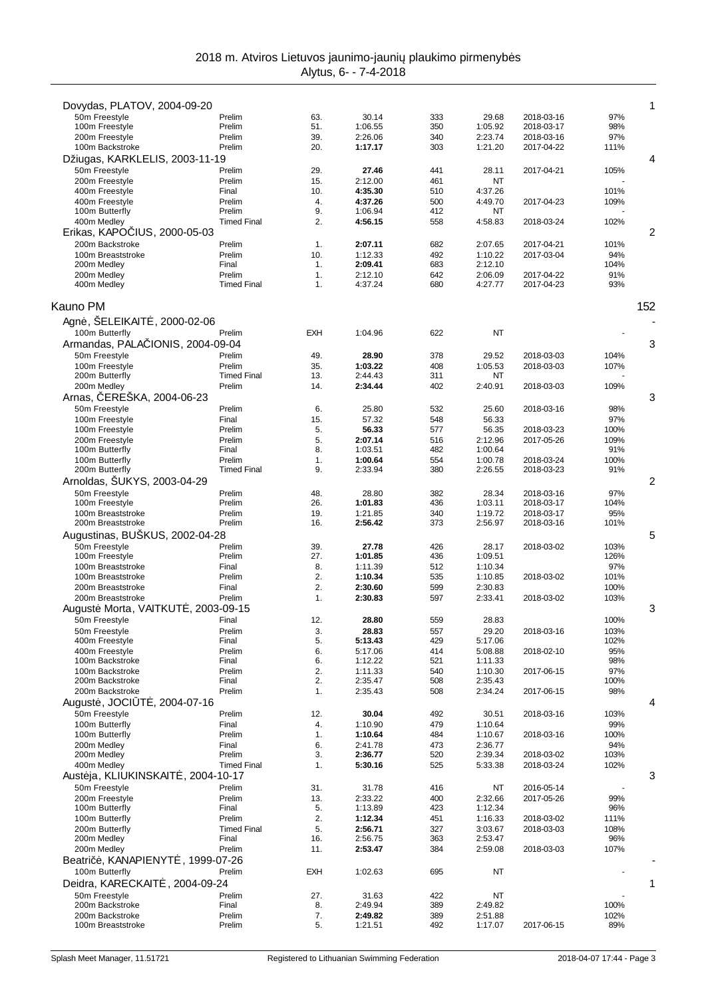| Dovydas, PLATOV, 2004-09-20                        |                    |                  |                    |            |                    |                          |              | 1   |
|----------------------------------------------------|--------------------|------------------|--------------------|------------|--------------------|--------------------------|--------------|-----|
| 50m Freestyle                                      | Prelim             | 63.              | 30.14              | 333        | 29.68              | 2018-03-16               | 97%          |     |
| 100m Freestyle                                     | Prelim             | 51.              | 1:06.55            | 350        | 1:05.92            | 2018-03-17               | 98%          |     |
| 200m Freestyle                                     | Prelim             | 39.              | 2:26.06            | 340        | 2:23.74            | 2018-03-16               | 97%          |     |
| 100m Backstroke                                    | Prelim             | 20.              | 1:17.17            | 303        | 1:21.20            | 2017-04-22               | 111%         | 4   |
| Džiugas, KARKLELIS, 2003-11-19<br>50m Freestyle    | Prelim             | 29.              | 27.46              | 441        | 28.11              | 2017-04-21               | 105%         |     |
| 200m Freestyle                                     | Prelim             | 15.              | 2:12.00            | 461        | ΝT                 |                          |              |     |
| 400m Freestyle                                     | Final              | 10.              | 4:35.30            | 510        | 4:37.26            |                          | 101%         |     |
| 400m Freestyle                                     | Prelim             | $\overline{4}$ . | 4:37.26            | 500        | 4:49.70            | 2017-04-23               | 109%         |     |
| 100m Butterfly                                     | Prelim             | 9.               | 1:06.94            | 412        | NT                 |                          |              |     |
| 400m Medley                                        | <b>Timed Final</b> | 2.               | 4:56.15            | 558        | 4:58.83            | 2018-03-24               | 102%         |     |
| Erikas, KAPO IUS, 2000-05-03                       |                    |                  |                    |            |                    |                          |              | 2   |
| 200m Backstroke<br>100m Breaststroke               | Prelim<br>Prelim   | 1.<br>10.        | 2:07.11<br>1:12.33 | 682<br>492 | 2:07.65<br>1:10.22 | 2017-04-21<br>2017-03-04 | 101%<br>94%  |     |
| 200m Medley                                        | Final              | 1.               | 2:09.41            | 683        | 2:12.10            |                          | 104%         |     |
| 200m Medley                                        | Prelim             | 1.               | 2:12.10            | 642        | 2:06.09            | 2017-04-22               | 91%          |     |
| 400m Medley                                        | <b>Timed Final</b> | 1.               | 4:37.24            | 680        | 4:27.77            | 2017-04-23               | 93%          |     |
| Kauno PM                                           |                    |                  |                    |            |                    |                          |              | 152 |
|                                                    |                    |                  |                    |            |                    |                          |              |     |
| Agn, ŠELEIKAIT, 2000-02-06                         |                    |                  |                    |            |                    |                          |              |     |
| 100m Butterfly<br>Armandas, PALA IONIS, 2004-09-04 | Prelim             | <b>EXH</b>       | 1:04.96            | 622        | NT                 |                          |              | 3   |
| 50m Freestyle                                      | Prelim             | 49.              | 28.90              | 378        | 29.52              | 2018-03-03               | 104%         |     |
| 100m Freestyle                                     | Prelim             | 35.              | 1:03.22            | 408        | 1:05.53            | 2018-03-03               | 107%         |     |
| 200m Butterfly                                     | <b>Timed Final</b> | 13.              | 2:44.43            | 311        | ΝT                 |                          |              |     |
| 200m Medley                                        | Prelim             | 14.              | 2:34.44            | 402        | 2:40.91            | 2018-03-03               | 109%         |     |
| ERESKA, 2004-06-23<br>Arnas,                       |                    |                  |                    |            |                    |                          |              | 3   |
| 50m Freestyle                                      | Prelim             | 6.               | 25.80              | 532        | 25.60              | 2018-03-16               | 98%          |     |
| 100m Freestyle                                     | Final              | 15.              | 57.32              | 548        | 56.33              |                          | 97%          |     |
| 100m Freestyle                                     | Prelim             | 5.               | 56.33              | 577        | 56.35              | 2018-03-23               | 100%         |     |
| 200m Freestyle<br>100m Butterfly                   | Prelim<br>Final    | 5.<br>8.         | 2:07.14<br>1:03.51 | 516<br>482 | 2:12.96<br>1:00.64 | 2017-05-26               | 109%<br>91%  |     |
| 100m Butterfly                                     | Prelim             | 1.               | 1:00.64            | 554        | 1:00.78            | 2018-03-24               | 100%         |     |
| 200m Butterfly                                     | <b>Timed Final</b> | 9.               | 2:33.94            | 380        | 2:26.55            | 2018-03-23               | 91%          |     |
| Arnoldas, ŠUKYS, 2003-04-29                        |                    |                  |                    |            |                    |                          |              | 2   |
| 50m Freestyle                                      | Prelim             | 48.              | 28.80              | 382        | 28.34              | 2018-03-16               | 97%          |     |
| 100m Freestyle                                     | Prelim             | 26.              | 1:01.83            | 436        | 1:03.11            | 2018-03-17               | 104%         |     |
| 100m Breaststroke                                  | Prelim             | 19.              | 1:21.85            | 340        | 1:19.72            | 2018-03-17               | 95%          |     |
| 200m Breaststroke                                  | Prelim             | 16.              | 2:56.42            | 373        | 2:56.97            | 2018-03-16               | 101%         |     |
| Augustinas, BUŠKUS, 2002-04-28                     |                    |                  |                    |            |                    |                          |              | 5   |
| 50m Freestyle<br>100m Freestyle                    | Prelim<br>Prelim   | 39.<br>27.       | 27.78<br>1:01.85   | 426<br>436 | 28.17<br>1:09.51   | 2018-03-02               | 103%<br>126% |     |
| 100m Breaststroke                                  | Final              | 8.               | 1:11.39            | 512        | 1:10.34            |                          | 97%          |     |
| 100m Breaststroke                                  | Prelim             | 2.               | 1:10.34            | 535        | 1:10.85            | 2018-03-02               | 101%         |     |
| 200m Breaststroke                                  | Final              | 2.               | 2:30.60            | 599        | 2:30.83            |                          | 100%         |     |
| 200m Breaststroke                                  | Prelim             | 1.               | 2:30.83            | 597        | 2:33.41            | 2018-03-02               | 103%         |     |
| August Morta, VAITKUT, 2003-09-15                  |                    |                  |                    |            |                    |                          |              | 3   |
| 50m Freestyle                                      | Final              | 12.              | 28.80              | 559        | 28.83              |                          | 100%         |     |
| 50m Freestyle<br>400m Freestyle                    | Prelim<br>Final    | 3.<br>5.         | 28.83<br>5:13.43   | 557<br>429 | 29.20<br>5:17.06   | 2018-03-16               | 103%<br>102% |     |
| 400m Freestvle                                     | Prelim             | 6.               | 5:17.06            | 414        | 5:08.88            | 2018-02-10               | 95%          |     |
| 100m Backstroke                                    | Final              | 6.               | 1:12.22            | 521        | 1:11.33            |                          | 98%          |     |
| 100m Backstroke                                    | Prelim             | 2.               | 1:11.33            | 540        | 1:10.30            | 2017-06-15               | 97%          |     |
| 200m Backstroke                                    | Final              | 2.               | 2:35.47            | 508        | 2:35.43            |                          | 100%         |     |
| 200m Backstroke                                    | Prelim             | 1.               | 2:35.43            | 508        | 2:34.24            | 2017-06-15               | 98%          |     |
| $.2004 - 07 - 16$<br>August, JOCI T                |                    |                  |                    |            |                    |                          |              | 4   |
| 50m Freestyle<br>100m Butterfly                    | Prelim             | 12.              | 30.04<br>1:10.90   | 492<br>479 | 30.51<br>1:10.64   | 2018-03-16               | 103%<br>99%  |     |
| 100m Butterfly                                     | Final<br>Prelim    | 4.<br>1.         | 1:10.64            | 484        | 1:10.67            | 2018-03-16               | 100%         |     |
| 200m Medley                                        | Final              | 6.               | 2:41.78            | 473        | 2:36.77            |                          | 94%          |     |
| 200m Medley                                        | Prelim             | 3.               | 2:36.77            | 520        | 2:39.34            | 2018-03-02               | 103%         |     |
| 400m Medley                                        | <b>Timed Final</b> | 1.               | 5:30.16            | 525        | 5:33.38            | 2018-03-24               | 102%         |     |
| Aust ja, KLIUKINSKAIT, 2004-10-17                  |                    |                  |                    |            |                    |                          |              | 3   |
| 50m Freestyle                                      | Prelim             | 31.              | 31.78              | 416        | NT                 | 2016-05-14               |              |     |
| 200m Freestyle                                     | Prelim<br>Final    | 13.              | 2:33.22            | 400<br>423 | 2:32.66            | 2017-05-26               | 99%<br>96%   |     |
| 100m Butterfly<br>100m Butterfly                   | Prelim             | 5.<br>2.         | 1:13.89<br>1:12.34 | 451        | 1:12.34<br>1:16.33 | 2018-03-02               | 111%         |     |
| 200m Butterfly                                     | <b>Timed Final</b> | 5.               | 2:56.71            | 327        | 3:03.67            | 2018-03-03               | 108%         |     |
| 200m Medley                                        | Final              | 16.              | 2:56.75            | 363        | 2:53.47            |                          | 96%          |     |
| 200m Medley                                        | Prelim             | 11.              | 2:53.47            | 384        | 2:59.08            | 2018-03-03               | 107%         |     |
| .1999-07-26<br>Beatri, KANAPIENYT                  |                    |                  |                    |            |                    |                          |              |     |
| 100m Butterfly                                     | Prelim             | <b>EXH</b>       | 1:02.63            | 695        | ΝT                 |                          |              |     |
| Deidra, KARECKAIT , 2004-09-24                     |                    |                  |                    |            |                    |                          |              | 1   |
| 50m Freestyle                                      | Prelim             | 27.              | 31.63              | 422        | NT                 |                          |              |     |
| 200m Backstroke                                    | Final              | 8.               | 2:49.94            | 389        | 2:49.82            |                          | 100%         |     |
| 200m Backstroke<br>100m Breaststroke               | Prelim<br>Prelim   | 7.<br>5.         | 2:49.82<br>1:21.51 | 389<br>492 | 2:51.88<br>1:17.07 | 2017-06-15               | 102%<br>89%  |     |
|                                                    |                    |                  |                    |            |                    |                          |              |     |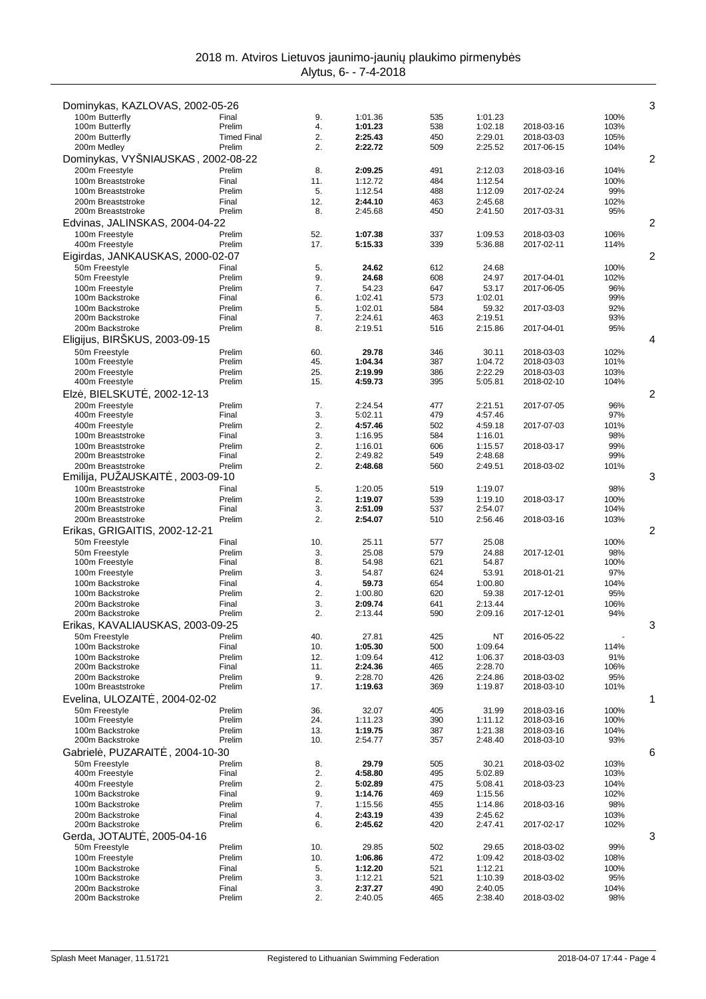| Dominykas, KAZLOVAS, 2002-05-26                |                    |            |                    |            |                    |                          |              | 3 |
|------------------------------------------------|--------------------|------------|--------------------|------------|--------------------|--------------------------|--------------|---|
| 100m Butterfly                                 | Final              | 9.         | 1:01.36            | 535        | 1:01.23            |                          | 100%         |   |
| 100m Butterfly                                 | Prelim             | 4.         | 1:01.23            | 538        | 1:02.18            | 2018-03-16               | 103%         |   |
| 200m Butterfly                                 | <b>Timed Final</b> | 2.         | 2:25.43            | 450        | 2:29.01            | 2018-03-03               | 105%         |   |
| 200m Medley                                    | Prelim             | 2.         | 2:22.72            | 509        | 2:25.52            | 2017-06-15               | 104%         |   |
| Dominykas, VYŠNIAUSKAS, 2002-08-22             |                    |            |                    |            |                    |                          |              | 2 |
| 200m Freestyle<br>100m Breaststroke            | Prelim<br>Final    | 8.<br>11.  | 2:09.25<br>1:12.72 | 491<br>484 | 2:12.03<br>1:12.54 | 2018-03-16               | 104%<br>100% |   |
| 100m Breaststroke                              | Prelim             | 5.         | 1:12.54            | 488        | 1:12.09            | 2017-02-24               | 99%          |   |
| 200m Breaststroke                              | Final              | 12.        | 2:44.10            | 463        | 2:45.68            |                          | 102%         |   |
| 200m Breaststroke                              | Prelim             | 8.         | 2:45.68            | 450        | 2:41.50            | 2017-03-31               | 95%          |   |
| Edvinas, JALINSKAS, 2004-04-22                 |                    |            |                    |            |                    |                          |              | 2 |
| 100m Freestyle                                 | Prelim             | 52.        | 1:07.38            | 337        | 1:09.53            | 2018-03-03               | 106%         |   |
| 400m Freestyle                                 | Prelim             | 17.        | 5:15.33            | 339        | 5:36.88            | 2017-02-11               | 114%         |   |
| Eigirdas, JANKAUSKAS, 2000-02-07               |                    |            |                    |            |                    |                          |              | 2 |
| 50m Freestyle                                  | Final              | 5.         | 24.62              | 612        | 24.68              |                          | 100%         |   |
| 50m Freestyle                                  | Prelim             | 9.         | 24.68              | 608        | 24.97              | 2017-04-01               | 102%         |   |
| 100m Freestyle<br>100m Backstroke              | Prelim<br>Final    | 7.<br>6.   | 54.23<br>1:02.41   | 647<br>573 | 53.17<br>1:02.01   | 2017-06-05               | 96%<br>99%   |   |
| 100m Backstroke                                | Prelim             | 5.         | 1:02.01            | 584        | 59.32              | 2017-03-03               | 92%          |   |
| 200m Backstroke                                | Final              | 7.         | 2:24.61            | 463        | 2:19.51            |                          | 93%          |   |
| 200m Backstroke                                | Prelim             | 8.         | 2:19.51            | 516        | 2:15.86            | 2017-04-01               | 95%          |   |
| Eligijus, BIRŠKUS, 2003-09-15                  |                    |            |                    |            |                    |                          |              | 4 |
| 50m Freestyle                                  | Prelim             | 60.        | 29.78              | 346        | 30.11              | 2018-03-03               | 102%         |   |
| 100m Freestyle                                 | Prelim             | 45.        | 1:04.34            | 387        | 1:04.72            | 2018-03-03               | 101%         |   |
| 200m Freestyle                                 | Prelim             | 25.        | 2:19.99            | 386        | 2:22.29            | 2018-03-03               | 103%         |   |
| 400m Freestyle                                 | Prelim             | 15.        | 4:59.73            | 395        | 5:05.81            | 2018-02-10               | 104%         |   |
| Elz, BIELSKUT, 2002-12-13                      |                    |            |                    |            |                    |                          |              | 2 |
| 200m Freestyle                                 | Prelim             | 7.         | 2:24.54            | 477        | 2:21.51            | 2017-07-05               | 96%          |   |
| 400m Freestyle<br>400m Freestyle               | Final<br>Prelim    | 3.<br>2.   | 5:02.11<br>4:57.46 | 479<br>502 | 4:57.46<br>4:59.18 | 2017-07-03               | 97%<br>101%  |   |
| 100m Breaststroke                              | Final              | 3.         | 1:16.95            | 584        | 1:16.01            |                          | 98%          |   |
| 100m Breaststroke                              | Prelim             | 2.         | 1:16.01            | 606        | 1:15.57            | 2018-03-17               | 99%          |   |
| 200m Breaststroke                              | Final              | 2.         | 2:49.82            | 549        | 2:48.68            |                          | 99%          |   |
| 200m Breaststroke                              | Prelim             | 2.         | 2:48.68            | 560        | 2:49.51            | 2018-03-02               | 101%         |   |
| Emilija, PUZAUSKAIT<br>$.2003 - 09 - 10$       |                    |            |                    |            |                    |                          |              | 3 |
| 100m Breaststroke                              | Final              | 5.         | 1:20.05            | 519        | 1:19.07            |                          | 98%          |   |
| 100m Breaststroke                              | Prelim             | 2.         | 1:19.07            | 539        | 1:19.10            | 2018-03-17               | 100%         |   |
| 200m Breaststroke<br>200m Breaststroke         | Final<br>Prelim    | 3.<br>2.   | 2:51.09            | 537        | 2:54.07            |                          | 104%<br>103% |   |
| Erikas, GRIGAITIS, 2002-12-21                  |                    |            | 2:54.07            | 510        | 2:56.46            | 2018-03-16               |              | 2 |
| 50m Freestyle                                  | Final              | 10.        | 25.11              | 577        | 25.08              |                          | 100%         |   |
| 50m Freestyle                                  | Prelim             | 3.         | 25.08              | 579        | 24.88              | 2017-12-01               | 98%          |   |
| 100m Freestyle                                 | Final              | 8.         | 54.98              | 621        | 54.87              |                          | 100%         |   |
| 100m Freestyle                                 | Prelim             | 3.         | 54.87              | 624        | 53.91              | 2018-01-21               | 97%          |   |
| 100m Backstroke                                | Final              | 4.         | 59.73              | 654        | 1:00.80            |                          | 104%         |   |
| 100m Backstroke                                | Prelim             | 2.         | 1:00.80            | 620        | 59.38              | 2017-12-01               | 95%          |   |
| 200m Backstroke<br>200m Backstroke             | Final<br>Prelim    | 3.<br>2.   | 2:09.74            | 641<br>590 | 2:13.44            |                          | 106%<br>94%  |   |
|                                                |                    |            | 2:13.44            |            | 2:09.16            | 2017-12-01               |              | 3 |
| Erikas, KAVALIAUSKAS, 2003-09-25               |                    |            |                    |            |                    |                          |              |   |
| 50m Freestyle<br>100m Backstroke               | Prelim<br>Final    | 40.<br>10. | 27.81<br>1:05.30   | 425<br>500 | ΝT<br>1:09.64      | 2016-05-22               | 114%         |   |
| 100m Backstroke                                | Prelim             | 12.        | 1:09.64            | 412        | 1:06.37            | 2018-03-03               | 91%          |   |
| 200m Backstroke                                | Final              | 11.        | 2:24.36            | 465        | 2:28.70            |                          | 106%         |   |
| 200m Backstroke                                | Prelim             | 9.         | 2:28.70            | 426        | 2:24.86            | 2018-03-02               | 95%          |   |
| 100m Breaststroke                              | Prelim             | 17.        | 1:19.63            | 369        | 1:19.87            | 2018-03-10               | 101%         |   |
| Evelina, ULOZAIT<br>. 2004-02-02               |                    |            |                    |            |                    |                          |              | 1 |
| 50m Freestyle                                  | Prelim             | 36.        | 32.07              | 405        | 31.99              | 2018-03-16               | 100%         |   |
| 100m Freestyle                                 | Prelim             | 24.        | 1:11.23<br>1:19.75 | 390        | 1:11.12            | 2018-03-16               | 100%         |   |
| 100m Backstroke<br>200m Backstroke             | Prelim<br>Prelim   | 13.<br>10. | 2:54.77            | 387<br>357 | 1:21.38<br>2:48.40 | 2018-03-16<br>2018-03-10 | 104%<br>93%  |   |
| Gabriel, PUZARAIT<br>$.2004 - 10 - 30$         |                    |            |                    |            |                    |                          |              | 6 |
| 50m Freestyle                                  | Prelim             | 8.         | 29.79              | 505        | 30.21              | 2018-03-02               | 103%         |   |
| 400m Freestyle                                 | Final              | 2.         | 4:58.80            | 495        | 5:02.89            |                          | 103%         |   |
| 400m Freestyle                                 | Prelim             | 2.         | 5:02.89            | 475        | 5:08.41            | 2018-03-23               | 104%         |   |
| 100m Backstroke                                | Final              | 9.         | 1:14.76            | 469        | 1:15.56            |                          | 102%         |   |
| 100m Backstroke                                | Prelim             | 7.         | 1:15.56            | 455        | 1:14.86            | 2018-03-16               | 98%          |   |
| 200m Backstroke                                | Final              | 4.         | 2:43.19            | 439        | 2:45.62            |                          | 103%         |   |
| 200m Backstroke                                | Prelim             | 6.         | 2:45.62            | 420        | 2:47.41            | 2017-02-17               | 102%         |   |
| Gerda, JOTAUT<br>, 2005-04-16<br>50m Freestyle | Prelim             | 10.        | 29.85              | 502        | 29.65              | 2018-03-02               | 99%          | 3 |
| 100m Freestyle                                 | Prelim             | 10.        | 1:06.86            | 472        | 1:09.42            | 2018-03-02               | 108%         |   |
| 100m Backstroke                                | Final              | 5.         | 1:12.20            | 521        | 1:12.21            |                          | 100%         |   |
| 100m Backstroke                                | Prelim             | 3.         | 1:12.21            | 521        | 1:10.39            | 2018-03-02               | 95%          |   |
| 200m Backstroke                                | Final              | 3.         | 2:37.27            | 490        | 2:40.05            |                          | 104%         |   |
| 200m Backstroke                                | Prelim             | 2.         | 2:40.05            | 465        | 2:38.40            | 2018-03-02               | 98%          |   |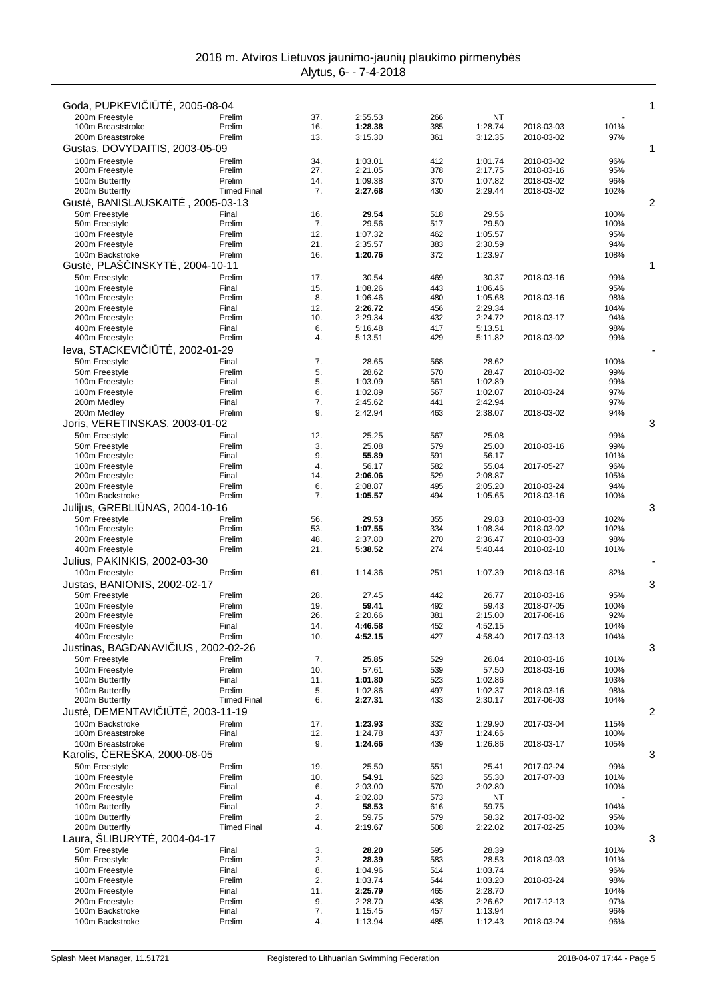|                                                 |                              |            |                    |            |                    |                          |              | 1 |
|-------------------------------------------------|------------------------------|------------|--------------------|------------|--------------------|--------------------------|--------------|---|
| Goda, PUPKEVI   T, 2005-08-04<br>200m Freestyle | Prelim                       | 37.        | 2:55.53            | 266        | ΝT                 |                          |              |   |
| 100m Breaststroke                               | Prelim                       | 16.        | 1:28.38            | 385        | 1:28.74            | 2018-03-03               | 101%         |   |
| 200m Breaststroke                               | Prelim                       | 13.        | 3:15.30            | 361        | 3:12.35            | 2018-03-02               | 97%          |   |
| Gustas, DOVYDAITIS, 2003-05-09                  |                              |            |                    |            |                    |                          |              | 1 |
| 100m Freestyle                                  | Prelim                       | 34.        | 1:03.01            | 412        | 1:01.74            | 2018-03-02               | 96%          |   |
| 200m Freestyle<br>100m Butterfly                | Prelim<br>Prelim             | 27.<br>14. | 2:21.05<br>1:09.38 | 378<br>370 | 2:17.75<br>1:07.82 | 2018-03-16<br>2018-03-02 | 95%<br>96%   |   |
| 200m Butterfly                                  | <b>Timed Final</b>           | 7.         | 2:27.68            | 430        | 2:29.44            | 2018-03-02               | 102%         |   |
| Gust, BANISLAUSKAIT                             | $, 2005 - 03 - 13$           |            |                    |            |                    |                          |              | 2 |
| 50m Freestyle                                   | Final                        | 16.        | 29.54              | 518        | 29.56              |                          | 100%         |   |
| 50m Freestyle                                   | Prelim                       | 7.         | 29.56              | 517        | 29.50              |                          | 100%         |   |
| 100m Freestyle<br>200m Freestyle                | Prelim<br>Prelim             | 12.<br>21. | 1:07.32<br>2:35.57 | 462<br>383 | 1:05.57<br>2:30.59 |                          | 95%<br>94%   |   |
| 100m Backstroke                                 | Prelim                       | 16.        | 1:20.76            | 372        | 1:23.97            |                          | 108%         |   |
| Gust, PLAS INSKYT<br>, 2004-10-11               |                              |            |                    |            |                    |                          |              | 1 |
| 50m Freestyle                                   | Prelim                       | 17.        | 30.54              | 469        | 30.37              | 2018-03-16               | 99%          |   |
| 100m Freestyle                                  | Final                        | 15.        | 1:08.26            | 443        | 1:06.46            |                          | 95%          |   |
| 100m Freestyle                                  | Prelim                       | 8.         | 1:06.46            | 480        | 1:05.68            | 2018-03-16               | 98%          |   |
| 200m Freestyle<br>200m Freestyle                | Final<br>Prelim              | 12.<br>10. | 2:26.72<br>2:29.34 | 456<br>432 | 2:29.34<br>2:24.72 | 2018-03-17               | 104%<br>94%  |   |
| 400m Freestyle                                  | Final                        | 6.         | 5:16.48            | 417        | 5:13.51            |                          | 98%          |   |
| 400m Freestyle                                  | Prelim                       | 4.         | 5:13.51            | 429        | 5:11.82            | 2018-03-02               | 99%          |   |
| T , 2002-01-29<br>leva, STACKEVI I              |                              |            |                    |            |                    |                          |              |   |
| 50m Freestyle                                   | Final                        | 7.         | 28.65              | 568        | 28.62              |                          | 100%         |   |
| 50m Freestyle                                   | Prelim                       | 5.         | 28.62              | 570        | 28.47              | 2018-03-02               | 99%          |   |
| 100m Freestyle<br>100m Freestyle                | Final<br>Prelim              | 5.<br>6.   | 1:03.09<br>1:02.89 | 561<br>567 | 1:02.89<br>1:02.07 | 2018-03-24               | 99%<br>97%   |   |
| 200m Medley                                     | Final                        | 7.         | 2:45.62            | 441        | 2:42.94            |                          | 97%          |   |
| 200m Medley                                     | Prelim                       | 9.         | 2:42.94            | 463        | 2:38.07            | 2018-03-02               | 94%          |   |
| Joris, VERETINSKAS, 2003-01-02                  |                              |            |                    |            |                    |                          |              | 3 |
| 50m Freestyle                                   | Final                        | 12.        | 25.25              | 567        | 25.08              |                          | 99%          |   |
| 50m Freestyle                                   | Prelim                       | 3.         | 25.08              | 579        | 25.00              | 2018-03-16               | 99%          |   |
| 100m Freestyle<br>100m Freestyle                | Final<br>Prelim              | 9.<br>4.   | 55.89<br>56.17     | 591<br>582 | 56.17<br>55.04     | 2017-05-27               | 101%<br>96%  |   |
| 200m Freestyle                                  | Final                        | 14.        | 2:06.06            | 529        | 2:08.87            |                          | 105%         |   |
| 200m Freestyle                                  | Prelim                       | 6.         | 2:08.87            | 495        | 2:05.20            | 2018-03-24               | 94%          |   |
| 100m Backstroke                                 | Prelim                       | 7.         | 1:05.57            | 494        | 1:05.65            | 2018-03-16               | 100%         |   |
| Julijus, GREBLI<br>NAS, 2004-10-16              |                              |            |                    |            |                    |                          |              | 3 |
| 50m Freestyle                                   | Prelim                       | 56.        | 29.53              | 355        | 29.83              | 2018-03-03               | 102%         |   |
| 100m Freestyle<br>200m Freestyle                | Prelim<br>Prelim             | 53.<br>48. | 1:07.55<br>2:37.80 | 334<br>270 | 1:08.34<br>2:36.47 | 2018-03-02<br>2018-03-03 | 102%<br>98%  |   |
| 400m Freestyle                                  | Prelim                       | 21.        | 5:38.52            | 274        | 5:40.44            | 2018-02-10               | 101%         |   |
| Julius, PAKINKIS, 2002-03-30                    |                              |            |                    |            |                    |                          |              |   |
| 100m Freestyle                                  | Prelim                       | 61.        | 1:14.36            | 251        | 1:07.39            | 2018-03-16               | 82%          |   |
| Justas, BANIONIS, 2002-02-17                    |                              |            |                    |            |                    |                          |              | 3 |
| 50m Freestyle                                   | Prelim                       | 28.        | 27.45              | 442        | 26.77              | 2018-03-16               | 95%          |   |
| 100m Freestyle                                  | Prelim                       | 19.        | 59.41              | 492        | 59.43              | 2018-07-05               | 100%         |   |
| 200m Freestyle<br>400m Freestyle                | Prelim<br>Final              | 26.<br>14. | 2:20.66<br>4:46.58 | 381<br>452 | 2:15.00<br>4:52.15 | 2017-06-16               | 92%<br>104%  |   |
| 400m Freestyle                                  | Prelim                       | 10.        | 4:52.15            | 427        | 4:58.40            | 2017-03-13               | 104%         |   |
| Justinas, BAGDANAVI IUS, 2002-02-26             |                              |            |                    |            |                    |                          |              | 3 |
| 50m Freestyle                                   | Prelim                       | 7.         | 25.85              | 529        | 26.04              | 2018-03-16               | 101%         |   |
| 100m Freestyle                                  | Prelim                       | 10.        | 57.61              | 539        | 57.50              | 2018-03-16               | 100%         |   |
| 100m Butterfly                                  | Final                        | 11.        | 1:01.80            | 523        | 1:02.86            |                          | 103%         |   |
| 100m Butterfly<br>200m Butterfly                | Prelim<br><b>Timed Final</b> | 5.<br>6.   | 1:02.86<br>2:27.31 | 497<br>433 | 1:02.37<br>2:30.17 | 2018-03-16<br>2017-06-03 | 98%<br>104%  |   |
| Just, DEMENTAVI   T, 2003-11-19                 |                              |            |                    |            |                    |                          |              | 2 |
| 100m Backstroke                                 | Prelim                       | 17.        | 1:23.93            | 332        | 1:29.90            | 2017-03-04               | 115%         |   |
| 100m Breaststroke                               | Final                        | 12.        | 1:24.78            | 437        | 1:24.66            |                          | 100%         |   |
| 100m Breaststroke                               | Prelim                       | 9.         | 1:24.66            | 439        | 1:26.86            | 2018-03-17               | 105%         |   |
| Karolis, EREŠKA, 2000-08-05                     |                              |            |                    |            |                    |                          |              | 3 |
| 50m Freestyle                                   | Prelim                       | 19.        | 25.50              | 551        | 25.41              | 2017-02-24               | 99%          |   |
| 100m Freestyle<br>200m Freestyle                | Prelim<br>Final              | 10.<br>6.  | 54.91<br>2:03.00   | 623<br>570 | 55.30<br>2:02.80   | 2017-07-03               | 101%<br>100% |   |
| 200m Freestyle                                  | Prelim                       | 4.         | 2:02.80            | 573        | NT                 |                          |              |   |
| 100m Butterfly                                  | Final                        | 2.         | 58.53              | 616        | 59.75              |                          | 104%         |   |
| 100m Butterfly                                  | Prelim                       | 2.         | 59.75              | 579        | 58.32              | 2017-03-02               | 95%          |   |
| 200m Butterfly                                  | <b>Timed Final</b>           | 4.         | 2:19.67            | 508        | 2:22.02            | 2017-02-25               | 103%         |   |
| Laura, ŠLIBURYT<br>, 2004-04-17                 |                              |            |                    |            |                    |                          |              | 3 |
| 50m Freestyle<br>50m Freestyle                  | Final<br>Prelim              | 3.<br>2.   | 28.20<br>28.39     | 595<br>583 | 28.39<br>28.53     | 2018-03-03               | 101%<br>101% |   |
| 100m Freestyle                                  | Final                        | 8.         | 1:04.96            | 514        | 1:03.74            |                          | 96%          |   |
| 100m Freestyle                                  | Prelim                       | 2.         | 1:03.74            | 544        | 1:03.20            | 2018-03-24               | 98%          |   |
| 200m Freestyle                                  | Final                        | 11.        | 2:25.79            | 465        | 2:28.70            |                          | 104%         |   |
| 200m Freestyle                                  | Prelim                       | 9.         | 2:28.70            | 438        | 2:26.62            | 2017-12-13               | 97%          |   |
| 100m Backstroke<br>100m Backstroke              | Final<br>Prelim              | 7.<br>4.   | 1:15.45<br>1:13.94 | 457<br>485 | 1:13.94<br>1:12.43 | 2018-03-24               | 96%<br>96%   |   |
|                                                 |                              |            |                    |            |                    |                          |              |   |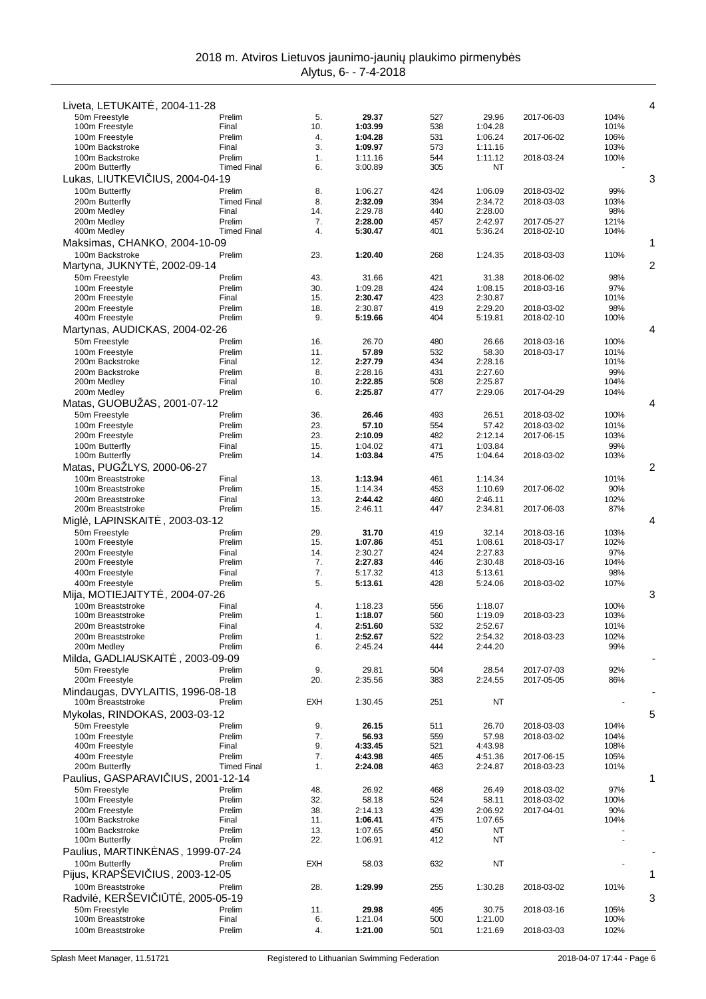| Liveta, LETUKAIT, 2004-11-28                       |                           |            |                    |            |                    |                          |              | 4              |
|----------------------------------------------------|---------------------------|------------|--------------------|------------|--------------------|--------------------------|--------------|----------------|
| 50m Freestyle                                      | Prelim                    | 5.         | 29.37              | 527        | 29.96              | 2017-06-03               | 104%         |                |
| 100m Freestyle                                     | Final                     | 10.        | 1:03.99            | 538        | 1:04.28            |                          | 101%         |                |
| 100m Freestyle<br>100m Backstroke                  | Prelim<br>Final           | 4.<br>3.   | 1:04.28<br>1:09.97 | 531<br>573 | 1:06.24<br>1:11.16 | 2017-06-02               | 106%<br>103% |                |
| 100m Backstroke                                    | Prelim                    | 1.         | 1:11.16            | 544        | 1:11.12            | 2018-03-24               | 100%         |                |
| 200m Butterfly                                     | <b>Timed Final</b>        | 6.         | 3:00.89            | 305        | ΝT                 |                          |              |                |
| Lukas, LIUTKEVI                                    | IUS, 2004-04-19<br>Prelim | 8.         | 1:06.27            | 424        | 1:06.09            | 2018-03-02               | 99%          | 3              |
| 100m Butterfly<br>200m Butterfly                   | <b>Timed Final</b>        | 8.         | 2:32.09            | 394        | 2:34.72            | 2018-03-03               | 103%         |                |
| 200m Medley                                        | Final                     | 14.        | 2:29.78            | 440        | 2:28.00            |                          | 98%          |                |
| 200m Medlev                                        | Prelim                    | 7.         | 2:28.00            | 457        | 2:42.97            | 2017-05-27               | 121%         |                |
| 400m Medley<br>Maksimas, CHANKO, 2004-10-09        | <b>Timed Final</b>        | 4.         | 5:30.47            | 401        | 5:36.24            | 2018-02-10               | 104%         | 1              |
| 100m Backstroke                                    | Prelim                    | 23.        | 1:20.40            | 268        | 1:24.35            | 2018-03-03               | 110%         |                |
| Martyna, JUKNYT                                    | , 2002-09-14              |            |                    |            |                    |                          |              | $\overline{2}$ |
| 50m Freestyle                                      | Prelim                    | 43.        | 31.66              | 421        | 31.38              | 2018-06-02               | 98%          |                |
| 100m Freestyle                                     | Prelim                    | 30.        | 1:09.28            | 424        | 1:08.15            | 2018-03-16               | 97%          |                |
| 200m Freestyle<br>200m Freestyle                   | Final<br>Prelim           | 15.<br>18. | 2:30.47<br>2:30.87 | 423<br>419 | 2:30.87<br>2:29.20 | 2018-03-02               | 101%<br>98%  |                |
| 400m Freestyle                                     | Prelim                    | 9.         | 5:19.66            | 404        | 5:19.81            | 2018-02-10               | 100%         |                |
| Martynas, AUDICKAS, 2004-02-26                     |                           |            |                    |            |                    |                          |              | 4              |
| 50m Freestyle                                      | Prelim                    | 16.        | 26.70              | 480        | 26.66              | 2018-03-16               | 100%         |                |
| 100m Freestyle<br>200m Backstroke                  | Prelim<br>Final           | 11.<br>12. | 57.89<br>2:27.79   | 532<br>434 | 58.30<br>2:28.16   | 2018-03-17               | 101%<br>101% |                |
| 200m Backstroke                                    | Prelim                    | 8.         | 2:28.16            | 431        | 2:27.60            |                          | 99%          |                |
| 200m Medley                                        | Final                     | 10.        | 2:22.85            | 508        | 2:25.87            |                          | 104%         |                |
| 200m Medley                                        | Prelim                    | 6.         | 2:25.87            | 477        | 2:29.06            | 2017-04-29               | 104%         |                |
| Matas, GUOBUZAS, 2001-07-12<br>50m Freestyle       | Prelim                    | 36.        | 26.46              | 493        | 26.51              | 2018-03-02               | 100%         | 4              |
| 100m Freestyle                                     | Prelim                    | 23.        | 57.10              | 554        | 57.42              | 2018-03-02               | 101%         |                |
| 200m Freestyle                                     | Prelim                    | 23.        | 2:10.09            | 482        | 2:12.14            | 2017-06-15               | 103%         |                |
| 100m Butterfly                                     | Final                     | 15.        | 1:04.02            | 471        | 1:03.84            |                          | 99%          |                |
| 100m Butterfly<br>Matas, PUGZLYS, 2000-06-27       | Prelim                    | 14.        | 1:03.84            | 475        | 1:04.64            | 2018-03-02               | 103%         | 2              |
| 100m Breaststroke                                  | Final                     | 13.        | 1:13.94            | 461        | 1:14.34            |                          | 101%         |                |
| 100m Breaststroke                                  | Prelim                    | 15.        | 1:14.34            | 453        | 1:10.69            | 2017-06-02               | 90%          |                |
| 200m Breaststroke                                  | Final                     | 13.        | 2:44.42            | 460        | 2:46.11            |                          | 102%         |                |
| 200m Breaststroke                                  | Prelim                    | 15.        | 2:46.11            | 447        | 2:34.81            | 2017-06-03               | 87%          | 4              |
| Migl, LAPINSKAIT<br>50m Freestyle                  | . 2003-03-12<br>Prelim    | 29.        | 31.70              | 419        | 32.14              | 2018-03-16               | 103%         |                |
| 100m Freestyle                                     | Prelim                    | 15.        | 1:07.86            | 451        | 1:08.61            | 2018-03-17               | 102%         |                |
| 200m Freestyle                                     | Final                     | 14.        | 2:30.27            | 424        | 2:27.83            |                          | 97%          |                |
| 200m Freestyle<br>400m Freestyle                   | Prelim<br>Final           | 7.<br>7.   | 2:27.83<br>5:17.32 | 446<br>413 | 2:30.48<br>5:13.61 | 2018-03-16               | 104%<br>98%  |                |
| 400m Freestyle                                     | Prelim                    | 5.         | 5:13.61            | 428        | 5:24.06            | 2018-03-02               | 107%         |                |
| Mija, MOTIEJAITYT                                  | . 2004-07-26              |            |                    |            |                    |                          |              | 3              |
| 100m Breaststroke                                  | Final                     | 4.         | 1:18.23            | 556        | 1:18.07            |                          | 100%         |                |
| 100m Breaststroke<br>200m Breaststroke             | Prelim<br>Final           | 1.<br>4.   | 1:18.07<br>2:51.60 | 560<br>532 | 1:19.09<br>2:52.67 | 2018-03-23               | 103%<br>101% |                |
| 200m Breaststroke                                  | Prelim                    | 1.         | 2:52.67            | 522        | 2:54.32            | 2018-03-23               | 102%         |                |
| 200m Medley                                        | Prelim                    | 6.         | 2:45.24            | 444        | 2:44.20            |                          | 99%          |                |
| Milda, GADLIAUSKAIT                                | , 2003-09-09              |            |                    |            |                    |                          |              |                |
| 50m Freestyle<br>200m Freestyle                    | Prelim<br>Prelim          | 9.<br>20.  | 29.81<br>2:35.56   | 504<br>383 | 28.54<br>2:24.55   | 2017-07-03<br>2017-05-05 | 92%<br>86%   |                |
| Mindaugas, DVYLAITIS, 1996-08-18                   |                           |            |                    |            |                    |                          |              |                |
| 100m Breaststroke                                  | Prelim                    | <b>EXH</b> | 1:30.45            | 251        | ΝT                 |                          |              |                |
| Mykolas, RINDOKAS, 2003-03-12                      |                           |            |                    |            |                    |                          |              | 5              |
| 50m Freestyle                                      | Prelim                    | 9.         | 26.15              | 511        | 26.70              | 2018-03-03               | 104%         |                |
| 100m Freestyle<br>400m Freestyle                   | Prelim<br>Final           | 7.<br>9.   | 56.93<br>4:33.45   | 559<br>521 | 57.98<br>4:43.98   | 2018-03-02               | 104%<br>108% |                |
| 400m Freestyle                                     | Prelim                    | 7.         | 4:43.98            | 465        | 4:51.36            | 2017-06-15               | 105%         |                |
| 200m Butterfly                                     | <b>Timed Final</b>        | 1.         | 2:24.08            | 463        | 2:24.87            | 2018-03-23               | 101%         |                |
| Paulius, GASPARAVI IUS, 2001-12-14                 |                           |            |                    |            |                    |                          |              | 1              |
| 50m Freestyle<br>100m Freestyle                    | Prelim<br>Prelim          | 48.<br>32. | 26.92<br>58.18     | 468<br>524 | 26.49<br>58.11     | 2018-03-02<br>2018-03-02 | 97%<br>100%  |                |
| 200m Freestyle                                     | Prelim                    | 38.        | 2:14.13            | 439        | 2:06.92            | 2017-04-01               | 90%          |                |
| 100m Backstroke                                    | Final                     | 11.        | 1:06.41            | 475        | 1:07.65            |                          | 104%         |                |
| 100m Backstroke                                    | Prelim                    | 13.        | 1:07.65            | 450        | ΝT                 |                          |              |                |
| 100m Butterfly<br>Paulius, MARTINK NAS, 1999-07-24 | Prelim                    | 22.        | 1:06.91            | 412        | NT                 |                          |              |                |
| 100m Butterfly                                     | Prelim                    | <b>EXH</b> | 58.03              | 632        | ΝT                 |                          |              |                |
| Pijus, KRAPSEVI IUS, 2003-12-05                    |                           |            |                    |            |                    |                          |              | 1              |
| 100m Breaststroke                                  | Prelim                    | 28.        | 1:29.99            | 255        | 1:30.28            | 2018-03-02               | 101%         |                |
| Radvil, KERŠEVI   T, 2005-05-19                    |                           |            |                    |            |                    |                          |              | 3              |
| 50m Freestyle<br>100m Breaststroke                 | Prelim<br>Final           | 11.<br>6.  | 29.98<br>1:21.04   | 495<br>500 | 30.75<br>1:21.00   | 2018-03-16               | 105%<br>100% |                |
| 100m Breaststroke                                  | Prelim                    | 4.         | 1:21.00            | 501        | 1:21.69            | 2018-03-03               | 102%         |                |
|                                                    |                           |            |                    |            |                    |                          |              |                |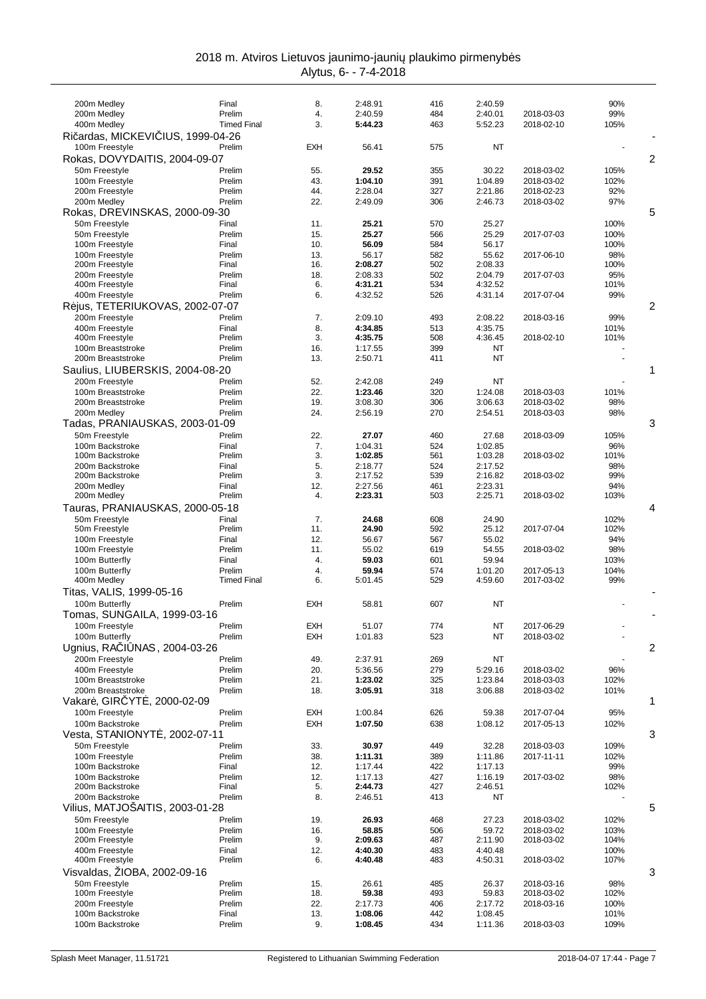|  | 2018 m. Atviros Lietuvos jaunimo-jauni plaukimo pirmenyb s |  |  |
|--|------------------------------------------------------------|--|--|
|  | Alvtus. 6- - 7-4-2018                                      |  |  |

| 200m Medley                                         | Final              | 8.         | 2:48.91            | 416        | 2:40.59            |                          | 90%          |                |
|-----------------------------------------------------|--------------------|------------|--------------------|------------|--------------------|--------------------------|--------------|----------------|
| 200m Medley                                         | Prelim             | 4.         | 2:40.59            | 484        | 2:40.01            | 2018-03-03               | 99%          |                |
| 400m Medley                                         | <b>Timed Final</b> | 3.         | 5:44.23            | 463        | 5:52.23            | 2018-02-10               | 105%         |                |
| Ri ardas, MICKEVI IUS, 1999-04-26<br>100m Freestyle |                    | <b>EXH</b> |                    |            | NT                 |                          |              |                |
|                                                     | Prelim             |            | 56.41              | 575        |                    |                          |              |                |
| Rokas, DOVYDAITIS, 2004-09-07                       |                    |            |                    |            |                    |                          |              | 2              |
| 50m Freestyle                                       | Prelim             | 55.        | 29.52              | 355        | 30.22              | 2018-03-02               | 105%         |                |
| 100m Freestyle<br>200m Freestyle                    | Prelim<br>Prelim   | 43.<br>44. | 1:04.10<br>2:28.04 | 391<br>327 | 1:04.89<br>2:21.86 | 2018-03-02<br>2018-02-23 | 102%<br>92%  |                |
| 200m Medley                                         | Prelim             | 22.        | 2:49.09            | 306        | 2:46.73            | 2018-03-02               | 97%          |                |
| Rokas, DREVINSKAS, 2000-09-30                       |                    |            |                    |            |                    |                          |              | 5              |
| 50m Freestyle                                       | Final              | 11.        | 25.21              | 570        | 25.27              |                          | 100%         |                |
| 50m Freestyle                                       | Prelim             | 15.        | 25.27              | 566        | 25.29              | 2017-07-03               | 100%         |                |
| 100m Freestyle                                      | Final              | 10.        | 56.09              | 584        | 56.17              |                          | 100%         |                |
| 100m Freestyle                                      | Prelim             | 13.        | 56.17              | 582        | 55.62              | 2017-06-10               | 98%          |                |
| 200m Freestyle                                      | Final              | 16.        | 2:08.27            | 502        | 2:08.33            |                          | 100%         |                |
| 200m Freestyle                                      | Prelim             | 18.        | 2:08.33            | 502        | 2:04.79            | 2017-07-03               | 95%          |                |
| 400m Freestyle                                      | Final              | 6.         | 4:31.21            | 534        | 4:32.52            |                          | 101%         |                |
| 400m Freestyle                                      | Prelim             | 6.         | 4:32.52            | 526        | 4:31.14            | 2017-07-04               | 99%          |                |
| R jus, TETERIUKOVAS, 2002-07-07                     |                    |            |                    |            |                    |                          |              | $\overline{2}$ |
| 200m Freestyle                                      | Prelim             | 7.         | 2:09.10            | 493        | 2:08.22            | 2018-03-16               | 99%          |                |
| 400m Freestyle                                      | Final<br>Prelim    | 8.<br>3.   | 4:34.85<br>4:35.75 | 513<br>508 | 4:35.75<br>4:36.45 |                          | 101%<br>101% |                |
| 400m Freestyle<br>100m Breaststroke                 | Prelim             | 16.        | 1:17.55            | 399        | NT                 | 2018-02-10               |              |                |
| 200m Breaststroke                                   | Prelim             | 13.        | 2:50.71            | 411        | NT                 |                          |              |                |
| Saulius, LIUBERSKIS, 2004-08-20                     |                    |            |                    |            |                    |                          |              | 1              |
| 200m Freestyle                                      | Prelim             | 52.        | 2:42.08            | 249        | NT                 |                          |              |                |
| 100m Breaststroke                                   | Prelim             | 22.        | 1:23.46            | 320        | 1:24.08            | 2018-03-03               | 101%         |                |
| 200m Breaststroke                                   | Prelim             | 19.        | 3:08.30            | 306        | 3:06.63            | 2018-03-02               | 98%          |                |
| 200m Medley                                         | Prelim             | 24.        | 2:56.19            | 270        | 2:54.51            | 2018-03-03               | 98%          |                |
| Tadas, PRANIAUSKAS, 2003-01-09                      |                    |            |                    |            |                    |                          |              | 3              |
| 50m Freestyle                                       | Prelim             | 22.        | 27.07              | 460        | 27.68              | 2018-03-09               | 105%         |                |
| 100m Backstroke                                     | Final              | 7.         | 1:04.31            | 524        | 1:02.85            |                          | 96%          |                |
| 100m Backstroke                                     | Prelim             | 3.         | 1:02.85            | 561        | 1:03.28            | 2018-03-02               | 101%         |                |
| 200m Backstroke                                     | Final              | 5.         | 2:18.77            | 524        | 2:17.52            |                          | 98%          |                |
| 200m Backstroke                                     | Prelim             | 3.         | 2:17.52            | 539        | 2:16.82            | 2018-03-02               | 99%          |                |
| 200m Medley                                         | Final<br>Prelim    | 12.<br>4.  | 2:27.56<br>2:23.31 | 461<br>503 | 2:23.31            |                          | 94%          |                |
| 200m Medley                                         |                    |            |                    |            | 2:25.71            | 2018-03-02               | 103%         |                |
| Tauras, PRANIAUSKAS, 2000-05-18                     |                    |            |                    |            |                    |                          |              | 4              |
| 50m Freestyle<br>50m Freestyle                      | Final<br>Prelim    | 7.<br>11.  | 24.68<br>24.90     | 608<br>592 | 24.90<br>25.12     | 2017-07-04               | 102%<br>102% |                |
| 100m Freestyle                                      | Final              | 12.        | 56.67              | 567        | 55.02              |                          | 94%          |                |
| 100m Freestyle                                      | Prelim             | 11.        | 55.02              | 619        | 54.55              | 2018-03-02               | 98%          |                |
|                                                     |                    |            | 59.03              | 601        | 59.94              |                          | 103%         |                |
|                                                     | Final              |            |                    |            |                    |                          |              |                |
| 100m Butterfly<br>100m Butterfly                    | Prelim             | 4.<br>4.   | 59.94              | 574        | 1:01.20            | 2017-05-13               | 104%         |                |
| 400m Medley                                         | <b>Timed Final</b> | 6.         | 5:01.45            | 529        | 4:59.60            | 2017-03-02               | 99%          |                |
| Titas, VALIS, 1999-05-16                            |                    |            |                    |            |                    |                          |              |                |
| 100m Butterfly                                      | Prelim             | <b>EXH</b> | 58.81              | 607        | <b>NT</b>          |                          |              |                |
| Tomas, SUNGAILA, 1999-03-16                         |                    |            |                    |            |                    |                          |              |                |
| 100m Freestyle                                      | Prelim             | <b>EXH</b> | 51.07              | 774        | ΝT                 | 2017-06-29               |              |                |
| 100m Butterfly                                      | Prelim             | EXH        | 1:01.83            | 523        | NT                 | 2018-03-02               |              |                |
| Ugnius, RA   NAS, 2004-03-26                        |                    |            |                    |            |                    |                          |              | 2              |
| 200m Freestyle                                      | Prelim             | 49.        | 2:37.91            | 269        | ΝT                 |                          |              |                |
| 400m Freestyle                                      | Prelim             | 20.        | 5:36.56            | 279        | 5:29.16            | 2018-03-02               | 96%          |                |
| 100m Breaststroke                                   | Prelim             | 21.        | 1:23.02            | 325        | 1:23.84            | 2018-03-03               | 102%         |                |
| 200m Breaststroke                                   | Prelim             | 18.        | 3:05.91            | 318        | 3:06.88            | 2018-03-02               | 101%         |                |
| Vakar, GIR YT, 2000-02-09                           |                    |            |                    |            |                    |                          |              | 1              |
| 100m Freestyle                                      | Prelim             | <b>EXH</b> | 1:00.84            | 626        | 59.38              | 2017-07-04               | 95%          |                |
| 100m Backstroke                                     | Prelim             | <b>EXH</b> | 1:07.50            | 638        | 1:08.12            | 2017-05-13               | 102%         |                |
| Vesta, STANIONYT, 2002-07-11                        |                    |            |                    |            |                    |                          |              | 3              |
| 50m Freestyle                                       | Prelim             | 33.        | 30.97              | 449        | 32.28              | 2018-03-03               | 109%         |                |
| 100m Freestyle                                      | Prelim             | 38.        | 1:11.31            | 389        | 1:11.86            | 2017-11-11               | 102%         |                |
| 100m Backstroke                                     | Final              | 12.        | 1:17.44            | 422        | 1:17.13            |                          | 99%          |                |
| 100m Backstroke                                     | Prelim             | 12.        | 1:17.13            | 427        | 1:16.19            | 2017-03-02               | 98%          |                |
| 200m Backstroke                                     | Final              | 5.         | 2:44.73            | 427        | 2:46.51            |                          | 102%         |                |
| 200m Backstroke                                     | Prelim             | 8.         | 2:46.51            | 413        | ΝT                 |                          |              |                |
| Vilius, MATJOŠAITIS, 2003-01-28                     | Prelim             |            | 26.93              |            |                    | 2018-03-02               |              | 5              |
| 50m Freestyle<br>100m Freestyle                     | Prelim             | 19.<br>16. | 58.85              | 468<br>506 | 27.23<br>59.72     | 2018-03-02               | 102%<br>103% |                |
| 200m Freestyle                                      | Prelim             | 9.         | 2:09.63            | 487        | 2:11.90            | 2018-03-02               | 104%         |                |
| 400m Freestyle                                      | Final              | 12.        | 4:40.30            | 483        | 4:40.48            |                          | 100%         |                |
| 400m Freestyle                                      | Prelim             | 6.         | 4:40.48            | 483        | 4:50.31            | 2018-03-02               | 107%         |                |
| Visvaldas, ŽIOBA, 2002-09-16                        |                    |            |                    |            |                    |                          |              | 3              |
| 50m Freestyle                                       | Prelim             | 15.        | 26.61              | 485        | 26.37              | 2018-03-16               | 98%          |                |
| 100m Freestyle                                      | Prelim             | 18.        | 59.38              | 493        | 59.83              | 2018-03-02               | 102%         |                |
| 200m Freestyle                                      | Prelim             | 22.        | 2:17.73            | 406        | 2:17.72            | 2018-03-16               | 100%         |                |
| 100m Backstroke<br>100m Backstroke                  | Final<br>Prelim    | 13.<br>9.  | 1:08.06<br>1:08.45 | 442<br>434 | 1:08.45<br>1:11.36 | 2018-03-03               | 101%<br>109% |                |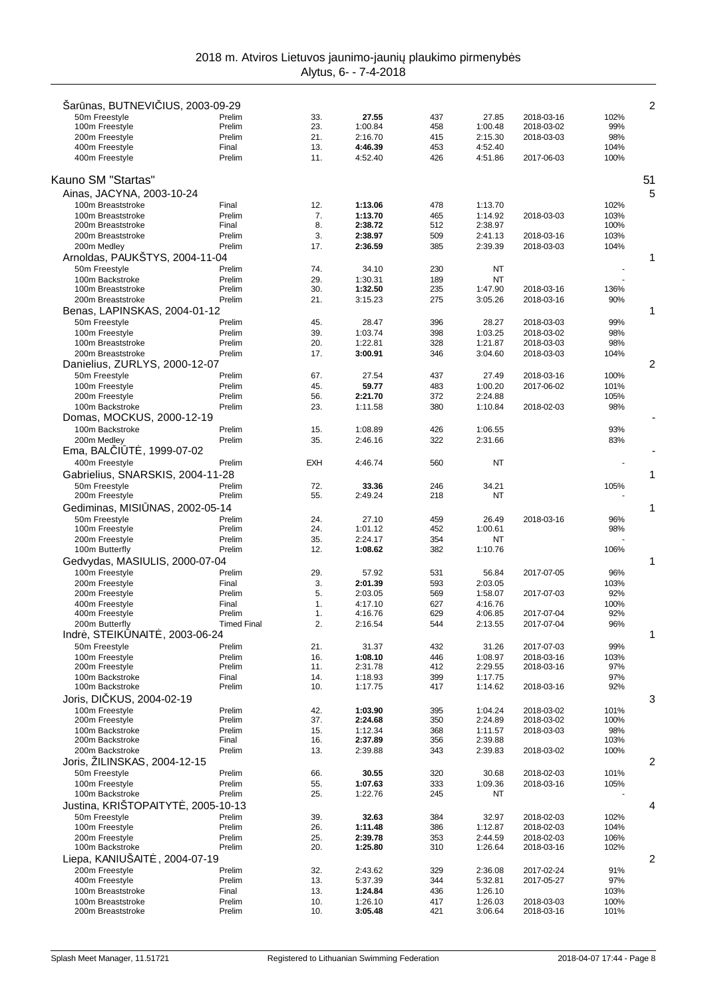| Sar nas, BUTNEVI IUS, 2003-09-29                |                    |            |                    |            |                    |                          |              | 2              |
|-------------------------------------------------|--------------------|------------|--------------------|------------|--------------------|--------------------------|--------------|----------------|
| 50m Freestyle                                   | Prelim             | 33.        | 27.55              | 437        | 27.85              | 2018-03-16               | 102%         |                |
| 100m Freestyle<br>200m Freestyle                | Prelim<br>Prelim   | 23.<br>21. | 1:00.84<br>2:16.70 | 458<br>415 | 1:00.48<br>2:15.30 | 2018-03-02<br>2018-03-03 | 99%<br>98%   |                |
| 400m Freestyle                                  | Final              | 13.        | 4:46.39            | 453        | 4:52.40            |                          | 104%         |                |
| 400m Freestyle                                  | Prelim             | 11.        | 4:52.40            | 426        | 4:51.86            | 2017-06-03               | 100%         |                |
|                                                 |                    |            |                    |            |                    |                          |              |                |
| Kauno SM "Startas"                              |                    |            |                    |            |                    |                          |              | 51             |
| Ainas, JACYNA, 2003-10-24                       |                    |            |                    |            |                    |                          |              | 5              |
| 100m Breaststroke                               | Final              | 12.        | 1:13.06            | 478        | 1:13.70            |                          | 102%         |                |
| 100m Breaststroke                               | Prelim             | 7.         | 1:13.70            | 465        | 1:14.92            | 2018-03-03               | 103%         |                |
| 200m Breaststroke                               | Final              | 8.         | 2:38.72            | 512        | 2:38.97            |                          | 100%         |                |
| 200m Breaststroke<br>200m Medley                | Prelim<br>Prelim   | 3.<br>17.  | 2:38.97<br>2:36.59 | 509<br>385 | 2:41.13<br>2:39.39 | 2018-03-16<br>2018-03-03 | 103%<br>104% |                |
| Arnoldas, PAUKSTYS, 2004-11-04                  |                    |            |                    |            |                    |                          |              | 1              |
| 50m Freestyle                                   | Prelim             | 74.        | 34.10              | 230        | NT                 |                          |              |                |
| 100m Backstroke                                 | Prelim             | 29.        | 1:30.31            | 189        | <b>NT</b>          |                          |              |                |
| 100m Breaststroke                               | Prelim             | 30.        | 1:32.50            | 235        | 1:47.90            | 2018-03-16               | 136%         |                |
| 200m Breaststroke                               | Prelim             | 21.        | 3:15.23            | 275        | 3:05.26            | 2018-03-16               | 90%          |                |
| Benas, LAPINSKAS, 2004-01-12                    |                    |            |                    |            |                    |                          |              | 1              |
| 50m Freestyle                                   | Prelim             | 45.        | 28.47              | 396        | 28.27              | 2018-03-03               | 99%          |                |
| 100m Freestyle<br>100m Breaststroke             | Prelim<br>Prelim   | 39.<br>20. | 1:03.74<br>1:22.81 | 398<br>328 | 1:03.25<br>1:21.87 | 2018-03-02<br>2018-03-03 | 98%<br>98%   |                |
| 200m Breaststroke                               | Prelim             | 17.        | 3:00.91            | 346        | 3:04.60            | 2018-03-03               | 104%         |                |
| Danielius, ZURLYS, 2000-12-07                   |                    |            |                    |            |                    |                          |              | $\overline{2}$ |
| 50m Freestyle                                   | Prelim             | 67.        | 27.54              | 437        | 27.49              | 2018-03-16               | 100%         |                |
| 100m Freestyle                                  | Prelim             | 45.        | 59.77              | 483        | 1:00.20            | 2017-06-02               | 101%         |                |
| 200m Freestyle                                  | Prelim             | 56.        | 2:21.70            | 372        | 2:24.88            |                          | 105%         |                |
| 100m Backstroke                                 | Prelim             | 23.        | 1:11.58            | 380        | 1:10.84            | 2018-02-03               | 98%          |                |
| Domas, MOCKUS, 2000-12-19                       |                    |            |                    |            |                    |                          |              |                |
| 100m Backstroke                                 | Prelim             | 15.        | 1:08.89            | 426        | 1:06.55            |                          | 93%          |                |
| 200m Medley                                     | Prelim             | 35.        | 2:46.16            | 322        | 2:31.66            |                          | 83%          |                |
| Ema, BAL   T, 1999-07-02                        |                    |            |                    |            |                    |                          |              |                |
| 400m Freestyle                                  | Prelim             | EXH        | 4:46.74            | 560        | NT                 |                          |              |                |
| Gabrielius, SNARSKIS, 2004-11-28                |                    |            |                    |            |                    |                          |              | 1              |
| 50m Freestyle<br>200m Freestyle                 | Prelim<br>Prelim   | 72.<br>55. | 33.36<br>2:49.24   | 246<br>218 | 34.21<br>NT        |                          | 105%         |                |
| Gediminas, MISI NAS, 2002-05-14                 |                    |            |                    |            |                    |                          |              | 1              |
| 50m Freestyle                                   | Prelim             | 24.        | 27.10              | 459        | 26.49              | 2018-03-16               | 96%          |                |
| 100m Freestyle                                  | Prelim             | 24.        | 1:01.12            | 452        | 1:00.61            |                          | 98%          |                |
| 200m Freestyle                                  | Prelim             | 35.        | 2:24.17            | 354        | NT                 |                          |              |                |
| 100m Butterfly                                  | Prelim             | 12.        | 1:08.62            | 382        | 1:10.76            |                          | 106%         |                |
| Gedvydas, MASIULIS, 2000-07-04                  |                    |            |                    |            |                    |                          |              | 1              |
| 100m Freestyle                                  | Prelim             | 29.        | 57.92              | 531        | 56.84              | 2017-07-05               | 96%          |                |
| 200m Freestyle<br>200m Freestyle                | Final<br>Prelim    | 3.<br>5.   | 2:01.39<br>2:03.05 | 593<br>569 | 2:03.05<br>1:58.07 | 2017-07-03               | 103%<br>92%  |                |
| 400m Freestyle                                  | Final              | 1.         | 4:17.10            | 627        | 4:16.76            |                          | 100%         |                |
| 400m Freestyle                                  | Prelim             | 1.         | 4:16.76            | 629        | 4:06.85            | 2017-07-04               | 92%          |                |
| 200m Butterfly                                  | <b>Timed Final</b> | 2.         | 2:16.54            | 544        | 2:13.55            | 2017-07-04               | 96%          |                |
| Indr, STEIK NAIT, 2003-06-24                    |                    |            |                    |            |                    |                          |              | 1              |
| 50m Freestvle                                   | Prelim             | 21.        | 31.37              | 432        | 31.26              | 2017-07-03               | 99%          |                |
| 100m Freestyle                                  | Prelim             | 16.        | 1:08.10            | 446        | 1:08.97            | 2018-03-16               | 103%         |                |
| 200m Freestyle<br>100m Backstroke               | Prelim<br>Final    | 11.<br>14. | 2:31.78<br>1:18.93 | 412<br>399 | 2:29.55<br>1:17.75 | 2018-03-16               | 97%<br>97%   |                |
| 100m Backstroke                                 | Prelim             | 10.        | 1:17.75            | 417        | 1:14.62            | 2018-03-16               | 92%          |                |
| Joris, DI KUS, 2004-02-19                       |                    |            |                    |            |                    |                          |              | 3              |
| 100m Freestyle                                  | Prelim             | 42.        | 1:03.90            | 395        | 1:04.24            | 2018-03-02               | 101%         |                |
| 200m Freestyle                                  | Prelim             | 37.        | 2:24.68            | 350        | 2:24.89            | 2018-03-02               | 100%         |                |
| 100m Backstroke                                 | Prelim             | 15.        | 1:12.34            | 368        | 1:11.57            | 2018-03-03               | 98%          |                |
| 200m Backstroke                                 | Final              | 16.        | 2:37.89            | 356        | 2:39.88            |                          | 103%         |                |
| 200m Backstroke<br>Joris, ŽILINSKAS, 2004-12-15 | Prelim             | 13.        | 2:39.88            | 343        | 2:39.83            | 2018-03-02               | 100%         | 2              |
| 50m Freestvle                                   | Prelim             | 66.        | 30.55              | 320        | 30.68              | 2018-02-03               | 101%         |                |
| 100m Freestyle                                  | Prelim             | 55.        | 1:07.63            | 333        | 1:09.36            | 2018-03-16               | 105%         |                |
| 100m Backstroke                                 | Prelim             | 25.        | 1:22.76            | 245        | NT                 |                          |              |                |
| Justina, KRIŠTOPAITYT , 2005-10-13              |                    |            |                    |            |                    |                          |              | 4              |
| 50m Freestyle                                   | Prelim             | 39.        | 32.63              | 384        | 32.97              | 2018-02-03               | 102%         |                |
| 100m Freestyle                                  | Prelim             | 26.        | 1:11.48            | 386        | 1:12.87            | 2018-02-03               | 104%         |                |
| 200m Freestyle                                  | Prelim             | 25.        | 2:39.78            | 353        | 2:44.59            | 2018-02-03               | 106%         |                |
| 100m Backstroke                                 | Prelim             | 20.        | 1:25.80            | 310        | 1:26.64            | 2018-03-16               | 102%         |                |
| Liepa, KANIUSAIT<br>.2004-07-19                 |                    |            |                    |            |                    |                          |              | 2              |
| 200m Freestyle<br>400m Freestyle                | Prelim<br>Prelim   | 32.<br>13. | 2:43.62<br>5:37.39 | 329<br>344 | 2:36.08<br>5:32.81 | 2017-02-24<br>2017-05-27 | 91%<br>97%   |                |
| 100m Breaststroke                               | Final              | 13.        | 1:24.84            | 436        | 1:26.10            |                          | 103%         |                |
| 100m Breaststroke                               | Prelim             | 10.        | 1:26.10            | 417        | 1:26.03            | 2018-03-03               | 100%         |                |
| 200m Breaststroke                               | Prelim             | 10.        | 3:05.48            | 421        | 3:06.64            | 2018-03-16               | 101%         |                |
|                                                 |                    |            |                    |            |                    |                          |              |                |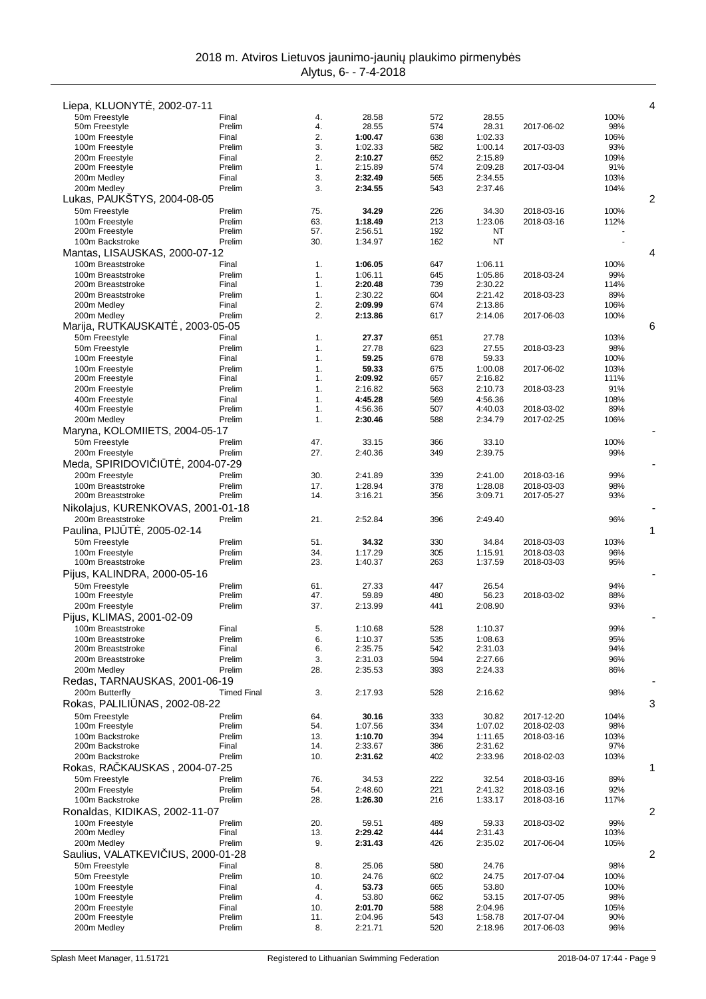| Liepa, KLUONYT, 2002-07-11                             |                    |            |                    |            |                    |            | 4              |
|--------------------------------------------------------|--------------------|------------|--------------------|------------|--------------------|------------|----------------|
| 50m Freestyle                                          | Final              | 4.         | 28.58              | 572        | 28.55              |            | 100%           |
| 50m Freestyle<br>100m Freestyle                        | Prelim<br>Final    | 4.<br>2.   | 28.55<br>1:00.47   | 574<br>638 | 28.31<br>1:02.33   | 2017-06-02 | 98%<br>106%    |
| 100m Freestyle                                         | Prelim             | 3.         | 1:02.33            | 582        | 1:00.14            | 2017-03-03 | 93%            |
| 200m Freestyle                                         | Final              | 2.         | 2:10.27            | 652        | 2:15.89            |            | 109%           |
| 200m Freestyle<br>200m Medley                          | Prelim<br>Final    | 1.<br>3.   | 2:15.89<br>2:32.49 | 574<br>565 | 2:09.28<br>2:34.55 | 2017-03-04 | 91%<br>103%    |
| 200m Medley                                            | Prelim             | 3.         | 2:34.55            | 543        | 2:37.46            |            | 104%           |
| Lukas, PAUKŠTYS, 2004-08-05                            |                    |            |                    |            |                    |            | $\overline{2}$ |
| 50m Freestyle                                          | Prelim             | 75.        | 34.29              | 226        | 34.30              | 2018-03-16 | 100%           |
| 100m Freestyle<br>200m Freestyle                       | Prelim<br>Prelim   | 63.<br>57. | 1:18.49<br>2:56.51 | 213<br>192 | 1:23.06<br>ΝT      | 2018-03-16 | 112%           |
| 100m Backstroke                                        | Prelim             | 30.        | 1:34.97            | 162        | NT                 |            |                |
| Mantas, LISAUSKAS, 2000-07-12                          |                    |            |                    |            |                    |            | 4              |
| 100m Breaststroke                                      | Final              | 1.         | 1:06.05            | 647        | 1:06.11            |            | 100%           |
| 100m Breaststroke<br>200m Breaststroke                 | Prelim<br>Final    | 1.<br>1.   | 1:06.11<br>2:20.48 | 645<br>739 | 1:05.86<br>2:30.22 | 2018-03-24 | 99%<br>114%    |
| 200m Breaststroke                                      | Prelim             | 1.         | 2:30.22            | 604        | 2:21.42            | 2018-03-23 | 89%            |
| 200m Medley                                            | Final              | 2.         | 2:09.99            | 674        | 2:13.86            |            | 106%           |
| 200m Medley                                            | Prelim             | 2.         | 2:13.86            | 617        | 2:14.06            | 2017-06-03 | 100%           |
| Marija, RUTKAUSKAIT<br>, 2003-05-05<br>50m Freestyle   | Final              | 1.         | 27.37              | 651        | 27.78              |            | 6<br>103%      |
| 50m Freestyle                                          | Prelim             | 1.         | 27.78              | 623        | 27.55              | 2018-03-23 | 98%            |
| 100m Freestyle                                         | Final              | 1.         | 59.25              | 678        | 59.33              |            | 100%           |
| 100m Freestyle                                         | Prelim             | 1.         | 59.33              | 675        | 1:00.08            | 2017-06-02 | 103%           |
| 200m Freestyle<br>200m Freestyle                       | Final<br>Prelim    | 1.<br>1.   | 2:09.92<br>2:16.82 | 657<br>563 | 2:16.82<br>2:10.73 | 2018-03-23 | 111%<br>91%    |
| 400m Freestyle                                         | Final              | 1.         | 4:45.28            | 569        | 4:56.36            |            | 108%           |
| 400m Freestyle                                         | Prelim             | 1.         | 4:56.36            | 507        | 4:40.03            | 2018-03-02 | 89%            |
| 200m Medley                                            | Prelim             | 1.         | 2:30.46            | 588        | 2:34.79            | 2017-02-25 | 106%           |
| Maryna, KOLOMIIETS, 2004-05-17                         | Prelim             |            |                    |            |                    |            |                |
| 50m Freestyle<br>200m Freestyle                        | Prelim             | 47.<br>27. | 33.15<br>2:40.36   | 366<br>349 | 33.10<br>2:39.75   |            | 100%<br>99%    |
| Meda, SPIRIDOVI   T, 2004-07-29                        |                    |            |                    |            |                    |            |                |
| 200m Freestyle                                         | Prelim             | 30.        | 2:41.89            | 339        | 2:41.00            | 2018-03-16 | 99%            |
| 100m Breaststroke                                      | Prelim             | 17.        | 1:28.94            | 378        | 1:28.08            | 2018-03-03 | 98%            |
| 200m Breaststroke                                      | Prelim             | 14.        | 3:16.21            | 356        | 3:09.71            | 2017-05-27 | 93%            |
| Nikolajus, KURENKOVAS, 2001-01-18<br>200m Breaststroke | Prelim             | 21.        | 2:52.84            | 396        | 2:49.40            |            | 96%            |
| Paulina, PIJ T, 2005-02-14                             |                    |            |                    |            |                    |            | 1              |
| 50m Freestyle                                          | Prelim             | 51.        | 34.32              | 330        | 34.84              | 2018-03-03 | 103%           |
| 100m Freestyle                                         | Prelim             | 34.        | 1:17.29            | 305        | 1:15.91            | 2018-03-03 | 96%            |
| 100m Breaststroke                                      | Prelim             | 23.        | 1:40.37            | 263        | 1:37.59            | 2018-03-03 | 95%            |
| Pijus, KALINDRA, 2000-05-16<br>50m Freestyle           | Prelim             | 61.        | 27.33              | 447        | 26.54              |            | 94%            |
| 100m Freestyle                                         | Prelim             | 47.        | 59.89              | 480        | 56.23              | 2018-03-02 | 88%            |
| 200m Freestyle                                         | Prelim             | 37.        | 2:13.99            | 441        | 2:08.90            |            | 93%            |
| Pijus, KLIMAS, 2001-02-09                              |                    |            |                    |            |                    |            |                |
| 100m Breaststroke<br>100m Breaststroke                 | Final              | 5.         | 1:10.68            | 528        | 1:10.37            |            | 99%            |
| 200m Breaststroke                                      | Prelim<br>Final    | 6.<br>6.   | 1:10.37<br>2:35.75 | 535<br>542 | 1:08.63<br>2:31.03 |            | 95%<br>94%     |
| 200m Breaststroke                                      | Prelim             | 3.         | 2:31.03            | 594        | 2:27.66            |            | 96%            |
| 200m Medley                                            | Prelim             | 28.        | 2:35.53            | 393        | 2:24.33            |            | 86%            |
| Redas, TARNAUSKAS, 2001-06-19                          |                    |            |                    |            |                    |            |                |
| 200m Butterfly<br>Rokas, PALILI NAS, 2002-08-22        | <b>Timed Final</b> | 3.         | 2:17.93            | 528        | 2:16.62            |            | 98%<br>3       |
| 50m Freestyle                                          | Prelim             | 64.        | 30.16              | 333        | 30.82              | 2017-12-20 | 104%           |
| 100m Freestyle                                         | Prelim             | 54.        | 1:07.56            | 334        | 1:07.02            | 2018-02-03 | 98%            |
| 100m Backstroke                                        | Prelim             | 13.        | 1:10.70            | 394        | 1:11.65            | 2018-03-16 | 103%           |
| 200m Backstroke<br>200m Backstroke                     | Final<br>Prelim    | 14.<br>10. | 2:33.67<br>2:31.62 | 386<br>402 | 2:31.62<br>2:33.96 | 2018-02-03 | 97%<br>103%    |
| Rokas, RA KAUSKAS, 2004-07-25                          |                    |            |                    |            |                    |            | 1              |
| 50m Freestyle                                          | Prelim             | 76.        | 34.53              | 222        | 32.54              | 2018-03-16 | 89%            |
| 200m Freestyle                                         | Prelim             | 54.        | 2:48.60            | 221        | 2:41.32            | 2018-03-16 | 92%            |
| 100m Backstroke                                        | Prelim             | 28.        | 1:26.30            | 216        | 1:33.17            | 2018-03-16 | 117%           |
| Ronaldas, KIDIKAS, 2002-11-07                          |                    |            |                    |            |                    |            | 2              |
| 100m Freestyle<br>200m Medley                          | Prelim<br>Final    | 20.<br>13. | 59.51<br>2:29.42   | 489<br>444 | 59.33<br>2:31.43   | 2018-03-02 | 99%<br>103%    |
| 200m Medley                                            | Prelim             | 9.         | 2:31.43            | 426        | 2:35.02            | 2017-06-04 | 105%           |
| Saulius, VALATKEVI IUS, 2000-01-28                     |                    |            |                    |            |                    |            | 2              |
| 50m Freestyle                                          | Final              | 8.         | 25.06              | 580        | 24.76              |            | 98%            |
| 50m Freestyle<br>100m Freestyle                        | Prelim<br>Final    | 10.<br>4.  | 24.76<br>53.73     | 602<br>665 | 24.75<br>53.80     | 2017-07-04 | 100%<br>100%   |
| 100m Freestyle                                         | Prelim             | 4.         | 53.80              | 662        | 53.15              | 2017-07-05 | 98%            |
| 200m Freestyle                                         | Final              | 10.        | 2:01.70            | 588        | 2:04.96            |            | 105%           |
| 200m Freestyle                                         | Prelim             | 11.        | 2:04.96            | 543        | 1:58.78            | 2017-07-04 | 90%            |
| 200m Medley                                            | Prelim             | 8.         | 2:21.71            | 520        | 2:18.96            | 2017-06-03 | 96%            |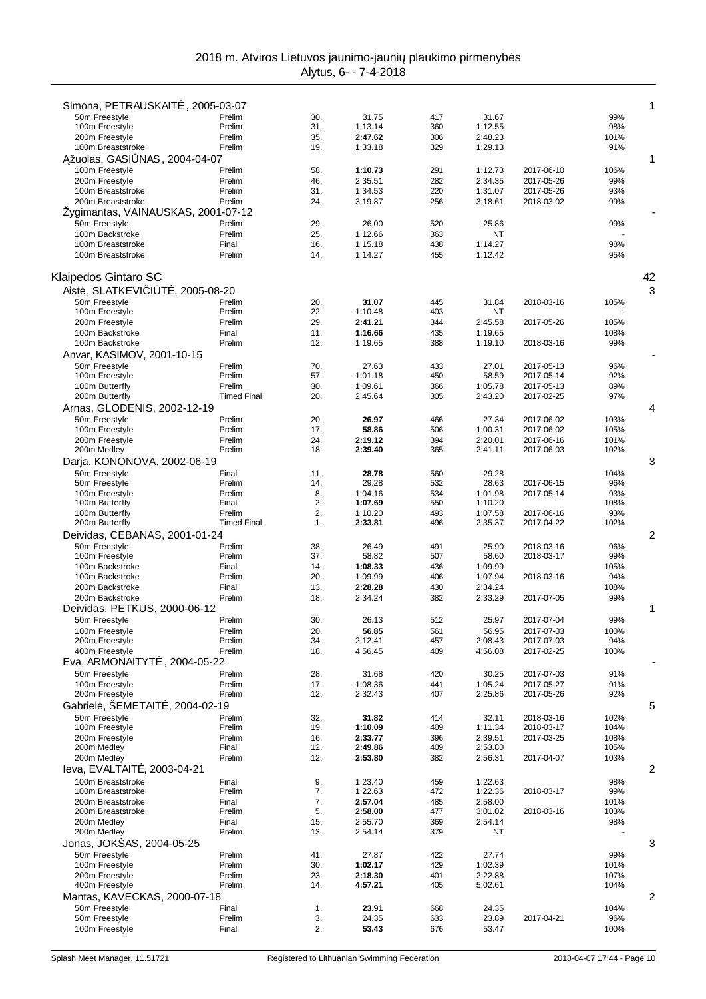| Simona, PETRAUSKAIT, 2005-03-07        |                    |            |                    |            |                    |                          |              | 1  |
|----------------------------------------|--------------------|------------|--------------------|------------|--------------------|--------------------------|--------------|----|
| 50m Freestyle                          | Prelim             | 30.        | 31.75              | 417        | 31.67              |                          | 99%          |    |
| 100m Freestyle                         | Prelim             | 31.        | 1:13.14            | 360        | 1:12.55            |                          | 98%          |    |
| 200m Freestyle<br>100m Breaststroke    | Prelim<br>Prelim   | 35.<br>19. | 2:47.62<br>1:33.18 | 306<br>329 | 2:48.23<br>1:29.13 |                          | 101%<br>91%  |    |
| žuolas, GASI NAS, 2004-04-07           |                    |            |                    |            |                    |                          |              | 1  |
| 100m Freestyle                         | Prelim             | 58.        | 1:10.73            | 291        | 1:12.73            | 2017-06-10               | 106%         |    |
| 200m Freestyle                         | Prelim             | 46.        | 2:35.51            | 282        | 2:34.35            | 2017-05-26               | 99%          |    |
| 100m Breaststroke                      | Prelim             | 31.        | 1:34.53            | 220        | 1:31.07            | 2017-05-26               | 93%          |    |
| 200m Breaststroke                      | Prelim             | 24.        | 3:19.87            | 256        | 3:18.61            | 2018-03-02               | 99%          |    |
| Żygimantas, VAINAUSKAS, 2001-07-12     |                    |            |                    |            |                    |                          |              |    |
| 50m Freestyle                          | Prelim             | 29.        | 26.00              | 520        | 25.86              |                          | 99%          |    |
| 100m Backstroke                        | Prelim             | 25.        | 1:12.66            | 363        | NT                 |                          |              |    |
| 100m Breaststroke                      | Final              | 16.        | 1:15.18            | 438        | 1:14.27            |                          | 98%          |    |
| 100m Breaststroke                      | Prelim             | 14.        | 1:14.27            | 455        | 1:12.42            |                          | 95%          |    |
| Klaipedos Gintaro SC                   |                    |            |                    |            |                    |                          |              | 42 |
| Aist, SLATKEVI I T, 2005-08-20         |                    |            |                    |            |                    |                          |              | 3  |
| 50m Freestyle                          | Prelim             | 20.        | 31.07              | 445        | 31.84              | 2018-03-16               | 105%         |    |
| 100m Freestyle                         | Prelim             | 22.        | 1:10.48            | 403        | NT                 |                          |              |    |
| 200m Freestyle                         | Prelim             | 29.        | 2:41.21            | 344        | 2:45.58            | 2017-05-26               | 105%         |    |
| 100m Backstroke                        | Final              | 11.        | 1:16.66            | 435        | 1:19.65            |                          | 108%         |    |
| 100m Backstroke                        | Prelim             | 12.        | 1:19.65            | 388        | 1:19.10            | 2018-03-16               | 99%          |    |
| Anvar, KASIMOV, 2001-10-15             |                    |            |                    |            |                    |                          |              |    |
| 50m Freestyle<br>100m Freestyle        | Prelim<br>Prelim   | 70.<br>57. | 27.63<br>1:01.18   | 433<br>450 | 27.01<br>58.59     | 2017-05-13<br>2017-05-14 | 96%<br>92%   |    |
| 100m Butterfly                         | Prelim             | 30.        | 1:09.61            | 366        | 1:05.78            | 2017-05-13               | 89%          |    |
| 200m Butterfly                         | <b>Timed Final</b> | 20.        | 2:45.64            | 305        | 2:43.20            | 2017-02-25               | 97%          |    |
| Arnas, GLODENIS, 2002-12-19            |                    |            |                    |            |                    |                          |              | 4  |
| 50m Freestyle                          | Prelim             | 20.        | 26.97              | 466        | 27.34              | 2017-06-02               | 103%         |    |
| 100m Freestyle                         | Prelim             | 17.        | 58.86              | 506        | 1:00.31            | 2017-06-02               | 105%         |    |
| 200m Freestyle                         | Prelim             | 24.        | 2:19.12            | 394        | 2:20.01            | 2017-06-16               | 101%         |    |
| 200m Medley                            | Prelim             | 18.        | 2:39.40            | 365        | 2:41.11            | 2017-06-03               | 102%         |    |
| Darja, KONONOVA, 2002-06-19            |                    |            |                    |            |                    |                          |              | 3  |
| 50m Freestyle                          | Final              | 11.        | 28.78              | 560        | 29.28              |                          | 104%         |    |
| 50m Freestyle<br>100m Freestyle        | Prelim<br>Prelim   | 14.<br>8.  | 29.28<br>1:04.16   | 532<br>534 | 28.63<br>1:01.98   | 2017-06-15<br>2017-05-14 | 96%<br>93%   |    |
| 100m Butterfly                         | Final              | 2.         | 1:07.69            | 550        | 1:10.20            |                          | 108%         |    |
| 100m Butterfly                         | Prelim             | 2.         | 1:10.20            | 493        | 1:07.58            | 2017-06-16               | 93%          |    |
| 200m Butterfly                         | <b>Timed Final</b> | 1.         | 2:33.81            | 496        | 2:35.37            | 2017-04-22               | 102%         |    |
| Deividas, CEBANAS, 2001-01-24          |                    |            |                    |            |                    |                          |              | 2  |
| 50m Freestyle                          | Prelim             | 38.        | 26.49              | 491        | 25.90              | 2018-03-16               | 96%          |    |
| 100m Freestyle                         | Prelim             | 37.        | 58.82              | 507        | 58.60              | 2018-03-17               | 99%          |    |
| 100m Backstroke<br>100m Backstroke     | Final<br>Prelim    | 14.<br>20. | 1:08.33            | 436<br>406 | 1:09.99            | 2018-03-16               | 105%<br>94%  |    |
| 200m Backstroke                        | Final              | 13.        | 1:09.99<br>2:28.28 | 430        | 1:07.94<br>2:34.24 |                          | 108%         |    |
| 200m Backstroke                        | Prelim             | 18.        | 2:34.24            | 382        | 2:33.29            | 2017-07-05               | 99%          |    |
| Deividas, PETKUS, 2000-06-12           |                    |            |                    |            |                    |                          |              | 1  |
| 50m Freestyle                          | Prelim             | 30.        | 26.13              | 512        | 25.97              | 2017-07-04               | 99%          |    |
| 100m Freestyle                         | Prelim             | 20.        | 56.85              | 561        | 56.95              | 2017-07-03               | 100%         |    |
| 200m Freestyle                         | Prelim             | 34.        | 2:12.41            | 457        | 2:08.43            | 2017-07-03               | 94%          |    |
| 400m Freestyle                         | Prelim             | 18.        | 4:56.45            | 409        | 4:56.08            | 2017-02-25               | 100%         |    |
| Eva, ARMONAITYT<br>, 2004-05-22        |                    |            |                    |            |                    |                          |              |    |
| 50m Freestyle                          | Prelim             | 28.        | 31.68              | 420        | 30.25              | 2017-07-03               | 91%          |    |
| 100m Freestyle<br>200m Freestyle       | Prelim<br>Prelim   | 17.<br>12. | 1:08.36<br>2:32.43 | 441<br>407 | 1:05.24<br>2:25.86 | 2017-05-27<br>2017-05-26 | 91%<br>92%   |    |
| Gabriel, ŠEMETAIT, 2004-02-19          |                    |            |                    |            |                    |                          |              | 5  |
| 50m Freestvle                          | Prelim             | 32.        | 31.82              | 414        | 32.11              | 2018-03-16               | 102%         |    |
| 100m Freestyle                         | Prelim             | 19.        | 1:10.09            | 409        | 1:11.34            | 2018-03-17               | 104%         |    |
| 200m Freestyle                         | Prelim             | 16.        | 2:33.77            | 396        | 2:39.51            | 2017-03-25               | 108%         |    |
| 200m Medley                            | Final              | 12.        | 2:49.86            | 409        | 2:53.80            |                          | 105%         |    |
| 200m Medley                            | Prelim             | 12.        | 2:53.80            | 382        | 2:56.31            | 2017-04-07               | 103%         |    |
| leva, EVALTAIT, 2003-04-21             |                    |            |                    |            |                    |                          |              | 2  |
| 100m Breaststroke                      | Final              | 9.         | 1:23.40            | 459        | 1:22.63            |                          | 98%          |    |
| 100m Breaststroke                      | Prelim             | 7.         | 1:22.63            | 472        | 1:22.36            | 2018-03-17               | 99%          |    |
| 200m Breaststroke<br>200m Breaststroke | Final<br>Prelim    | 7.<br>5.   | 2:57.04<br>2:58.00 | 485<br>477 | 2:58.00<br>3:01.02 | 2018-03-16               | 101%<br>103% |    |
| 200m Medley                            | Final              | 15.        | 2:55.70            | 369        | 2:54.14            |                          | 98%          |    |
| 200m Medley                            | Prelim             | 13.        | 2:54.14            | 379        | NT                 |                          |              |    |
| Jonas, JOKŠAS, 2004-05-25              |                    |            |                    |            |                    |                          |              | 3  |
| 50m Freestyle                          | Prelim             | 41.        | 27.87              | 422        | 27.74              |                          | 99%          |    |
| 100m Freestyle                         | Prelim             | 30.        | 1:02.17            | 429        | 1:02.39            |                          | 101%         |    |
| 200m Freestyle                         | Prelim             | 23.        | 2:18.30            | 401        | 2:22.88            |                          | 107%         |    |
| 400m Freestyle                         | Prelim             | 14.        | 4:57.21            | 405        | 5:02.61            |                          | 104%         |    |
| Mantas, KAVECKAS, 2000-07-18           |                    |            |                    |            |                    |                          |              | 2  |
| 50m Freestyle<br>50m Freestyle         | Final<br>Prelim    | 1.<br>3.   | 23.91<br>24.35     | 668<br>633 | 24.35<br>23.89     | 2017-04-21               | 104%<br>96%  |    |
| 100m Freestyle                         | Final              | 2.         | 53.43              | 676        | 53.47              |                          | 100%         |    |
|                                        |                    |            |                    |            |                    |                          |              |    |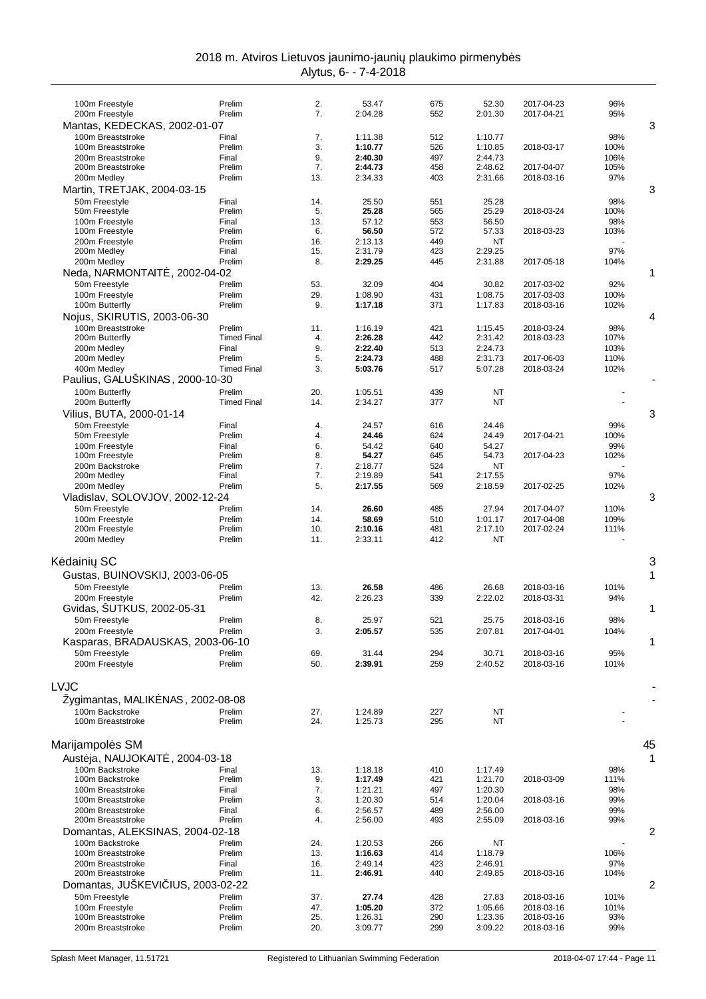| 2018 m. Atviros Lietuvos jaunimo-jauni plaukimo pirmenyb s |                       |  |
|------------------------------------------------------------|-----------------------|--|
|                                                            | Alvtus. 6- - 7-4-2018 |  |

| 100m Freestyle                                   | Prelim             | 2.<br>7.   | 53.47              | 675        | 52.30              | 2017-04-23               | 96%          |    |
|--------------------------------------------------|--------------------|------------|--------------------|------------|--------------------|--------------------------|--------------|----|
| 200m Freestyle<br>Mantas, KEDECKAS, 2002-01-07   | Prelim             |            | 2:04.28            | 552        | 2:01.30            | 2017-04-21               | 95%          | 3  |
| 100m Breaststroke                                | Final              | 7.         | 1:11.38            | 512        | 1:10.77            |                          | 98%          |    |
| 100m Breaststroke                                | Prelim             | 3.         | 1:10.77            | 526        | 1:10.85            | 2018-03-17               | 100%         |    |
| 200m Breaststroke                                | Final              | 9.         | 2:40.30            | 497        | 2:44.73            |                          | 106%         |    |
| 200m Breaststroke<br>200m Medley                 | Prelim<br>Prelim   | 7.<br>13.  | 2:44.73<br>2:34.33 | 458<br>403 | 2:48.62<br>2:31.66 | 2017-04-07<br>2018-03-16 | 105%<br>97%  |    |
|                                                  |                    |            |                    |            |                    |                          |              |    |
| Martin, TRETJAK, 2004-03-15                      |                    |            |                    |            |                    |                          |              | 3  |
| 50m Freestyle<br>50m Freestyle                   | Final<br>Prelim    | 14.<br>5.  | 25.50<br>25.28     | 551<br>565 | 25.28<br>25.29     | 2018-03-24               | 98%<br>100%  |    |
| 100m Freestyle                                   | Final              | 13.        | 57.12              | 553        | 56.50              |                          | 98%          |    |
| 100m Freestyle                                   | Prelim             | 6.         | 56.50              | 572        | 57.33              | 2018-03-23               | 103%         |    |
| 200m Freestyle                                   | Prelim             | 16.        | 2:13.13            | 449        | NT                 |                          |              |    |
| 200m Medley                                      | Final              | 15.        | 2:31.79            | 423        | 2:29.25            |                          | 97%          |    |
| 200m Medley                                      | Prelim             | 8.         | 2:29.25            | 445        | 2:31.88            | 2017-05-18               | 104%         |    |
| Neda, NARMONTAIT , 2002-04-02                    |                    |            |                    |            |                    |                          |              | 1  |
| 50m Freestyle                                    | Prelim             | 53.        | 32.09              | 404        | 30.82              | 2017-03-02               | 92%          |    |
| 100m Freestyle<br>100m Butterfly                 | Prelim<br>Prelim   | 29.<br>9.  | 1:08.90<br>1:17.18 | 431<br>371 | 1:08.75<br>1:17.83 | 2017-03-03<br>2018-03-16 | 100%<br>102% |    |
|                                                  |                    |            |                    |            |                    |                          |              | 4  |
| Nojus, SKIRUTIS, 2003-06-30<br>100m Breaststroke | Prelim             | 11.        | 1:16.19            | 421        | 1:15.45            | 2018-03-24               | 98%          |    |
| 200m Butterfly                                   | <b>Timed Final</b> | 4.         | 2:26.28            | 442        | 2:31.42            | 2018-03-23               | 107%         |    |
| 200m Medley                                      | Final              | 9.         | 2:22.40            | 513        | 2:24.73            |                          | 103%         |    |
| 200m Medley                                      | Prelim             | 5.         | 2:24.73            | 488        | 2:31.73            | 2017-06-03               | 110%         |    |
| 400m Medley                                      | <b>Timed Final</b> | 3.         | 5:03.76            | 517        | 5:07.28            | 2018-03-24               | 102%         |    |
| Paulius, GALUŠKINAS, 2000-10-30                  |                    |            |                    |            |                    |                          |              |    |
| 100m Butterfly                                   | Prelim             | 20.        | 1:05.51            | 439        | NT                 |                          |              |    |
| 200m Butterfly                                   | <b>Timed Final</b> | 14.        | 2:34.27            | 377        | <b>NT</b>          |                          |              |    |
| Vilius, BUTA, 2000-01-14                         |                    |            |                    |            |                    |                          |              | 3  |
| 50m Freestyle                                    | Final              | 4.         | 24.57              | 616        | 24.46              |                          | 99%          |    |
| 50m Freestyle                                    | Prelim             | 4.         | 24.46              | 624        | 24.49              | 2017-04-21               | 100%         |    |
| 100m Freestyle<br>100m Freestyle                 | Final<br>Prelim    | 6.<br>8.   | 54.42<br>54.27     | 640<br>645 | 54.27<br>54.73     | 2017-04-23               | 99%<br>102%  |    |
| 200m Backstroke                                  | Prelim             | 7.         | 2:18.77            | 524        | <b>NT</b>          |                          |              |    |
| 200m Medley                                      | Final              | 7.         | 2:19.89            | 541        | 2:17.55            |                          | 97%          |    |
| 200m Medley                                      | Prelim             | 5.         | 2:17.55            | 569        | 2:18.59            | 2017-02-25               | 102%         |    |
| Vladislav, SOLOVJOV, 2002-12-24                  |                    |            |                    |            |                    |                          |              | 3  |
| 50m Freestyle                                    | Prelim             | 14.        | 26.60              | 485        | 27.94              | 2017-04-07               | 110%         |    |
| 100m Freestyle                                   | Prelim             | 14.        | 58.69              | 510        | 1:01.17            | 2017-04-08               | 109%         |    |
| 200m Freestyle                                   | Prelim             | 10.        | 2:10.16            | 481        | 2:17.10            | 2017-02-24               | 111%         |    |
| 200m Medley                                      | Prelim             | 11.        | 2:33.11            | 412        | NT                 |                          |              |    |
| K daini SC                                       |                    |            |                    |            |                    |                          |              | 3  |
| Gustas, BUINOVSKIJ, 2003-06-05                   |                    |            |                    |            |                    |                          |              | 1  |
| 50m Freestyle                                    | Prelim             |            |                    |            |                    |                          |              |    |
| 200m Freestyle                                   | Prelim             | 13.<br>42. | 26.58<br>2:26.23   | 486<br>339 | 26.68<br>2:22.02   | 2018-03-16<br>2018-03-31 | 101%<br>94%  |    |
| Gvidas, SUTKUS, 2002-05-31                       |                    |            |                    |            |                    |                          |              | 1  |
| 50m Freestyle                                    | Prelim             | 8.         | 25.97              | 521        | 25.75              | 2018-03-16               | 98%          |    |
| 200m Freestyle                                   | Prelim             | 3.         | 2:05.57            | 535        | 2:07.81            | 2017-04-01               | 104%         |    |
| Kasparas, BRADAUSKAS, 2003-06-10                 |                    |            |                    |            |                    |                          |              | 1  |
| 50m Freestyle                                    | Prelim             | 69.        | 31.44              | 294        | 30.71              | 2018-03-16               | 95%          |    |
| 200m Freestyle                                   | Prelim             | 50.        | 2:39.91            | 259        | 2:40.52            | 2018-03-16               | 101%         |    |
|                                                  |                    |            |                    |            |                    |                          |              |    |
| LVJC                                             |                    |            |                    |            |                    |                          |              |    |
| Zygimantas, MALIK NAS, 2002-08-08                |                    |            |                    |            |                    |                          |              |    |
| 100m Backstroke                                  | Prelim             | 27.        | 1:24.89            | 227        | NT                 |                          |              |    |
| 100m Breaststroke                                | Prelim             | 24.        | 1:25.73            | 295        | NT                 |                          |              |    |
|                                                  |                    |            |                    |            |                    |                          |              |    |
| Marijampol s SM                                  |                    |            |                    |            |                    |                          |              | 45 |
| Aust ja, NAUJOKAIT<br>, 2004-03-18               |                    |            |                    |            |                    |                          |              | 1  |
| 100m Backstroke                                  | Final              | 13.        | 1:18.18            | 410        | 1:17.49            |                          | 98%          |    |
| 100m Backstroke                                  | Prelim             | 9.         | 1:17.49            | 421        | 1:21.70            | 2018-03-09               | 111%         |    |
| 100m Breaststroke                                | Final              | 7.         | 1:21.21            | 497        | 1:20.30            |                          | 98%          |    |
| 100m Breaststroke<br>200m Breaststroke           | Prelim             | 3.<br>6.   | 1:20.30            | 514<br>489 | 1:20.04            | 2018-03-16               | 99%<br>99%   |    |
| 200m Breaststroke                                | Final<br>Prelim    | 4.         | 2:56.57<br>2:56.00 | 493        | 2:56.00<br>2:55.09 | 2018-03-16               | 99%          |    |
| Domantas, ALEKSINAS, 2004-02-18                  |                    |            |                    |            |                    |                          |              | 2  |
| 100m Backstroke                                  | Prelim             | 24.        | 1:20.53            | 266        | NT                 |                          |              |    |
| 100m Breaststroke                                | Prelim             | 13.        | 1:16.63            | 414        | 1:18.79            |                          | 106%         |    |
| 200m Breaststroke                                | Final              | 16.        | 2:49.14            | 423        | 2:46.91            |                          | 97%          |    |
| 200m Breaststroke                                | Prelim             | 11.        | 2:46.91            | 440        | 2:49.85            | 2018-03-16               | 104%         |    |
| Domantas, JUSKEVI                                | IUS, 2003-02-22    |            |                    |            |                    |                          |              | 2  |
| 50m Freestyle                                    | Prelim             | 37.        | 27.74              | 428        | 27.83              | 2018-03-16               | 101%         |    |
| 100m Freestyle                                   | Prelim             | 47.        | 1:05.20            | 372        | 1:05.66            | 2018-03-16               | 101%         |    |
| 100m Breaststroke                                | Prelim             | 25.        | 1:26.31            | 290        | 1:23.36            | 2018-03-16               | 93%          |    |
| 200m Breaststroke                                | Prelim             | 20.        | 3:09.77            | 299        | 3:09.22            | 2018-03-16               | 99%          |    |
|                                                  |                    |            |                    |            |                    |                          |              |    |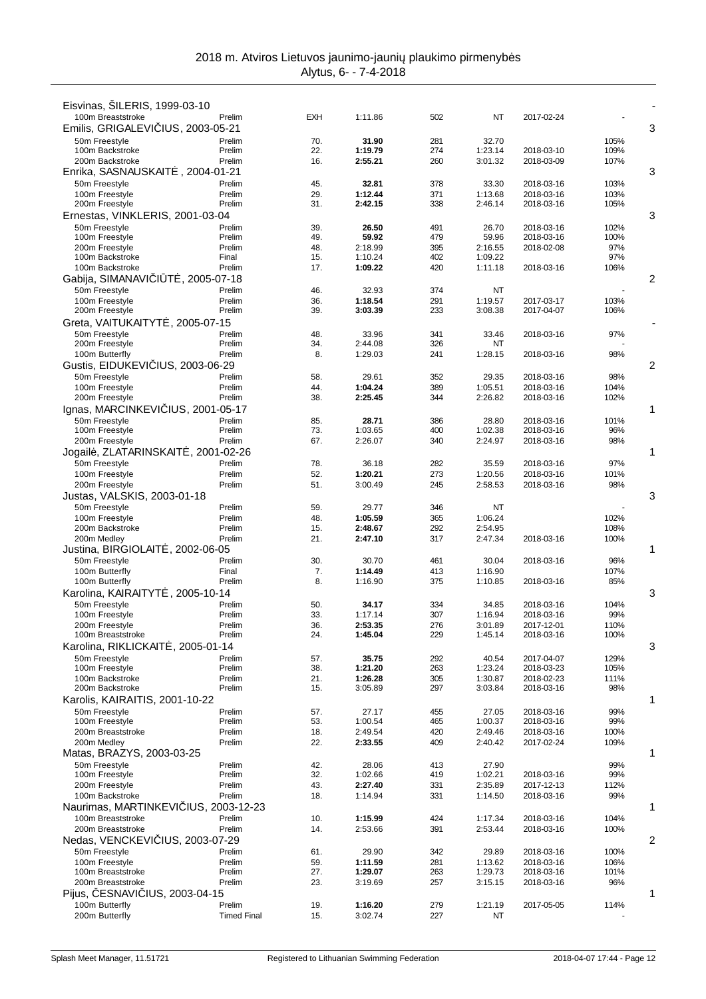| Eisvinas, ŠILERIS, 1999-03-10                          |                        |            |                    |            |                    |                          |              |   |
|--------------------------------------------------------|------------------------|------------|--------------------|------------|--------------------|--------------------------|--------------|---|
| 100m Breaststroke<br>Emilis, GRIGALEVI IUS, 2003-05-21 | Prelim                 | <b>EXH</b> | 1:11.86            | 502        | ΝT                 | 2017-02-24               |              | 3 |
| 50m Freestyle                                          | Prelim                 | 70.        | 31.90              | 281        | 32.70              |                          | 105%         |   |
| 100m Backstroke                                        | Prelim                 | 22.        | 1:19.79            | 274        | 1:23.14            | 2018-03-10               | 109%         |   |
| 200m Backstroke                                        | Prelim                 | 16.        | 2:55.21            | 260        | 3:01.32            | 2018-03-09               | 107%         |   |
| Enrika, SASNAUSKAIT<br>50m Freestyle                   | . 2004-01-21<br>Prelim | 45.        | 32.81              | 378        | 33.30              | 2018-03-16               | 103%         | 3 |
| 100m Freestyle                                         | Prelim                 | 29.        | 1:12.44            | 371        | 1:13.68            | 2018-03-16               | 103%         |   |
| 200m Freestyle                                         | Prelim                 | 31.        | 2:42.15            | 338        | 2:46.14            | 2018-03-16               | 105%         |   |
| Ernestas, VINKLERIS, 2001-03-04                        |                        |            |                    |            |                    |                          |              | 3 |
| 50m Freestyle<br>100m Freestyle                        | Prelim<br>Prelim       | 39.<br>49. | 26.50<br>59.92     | 491<br>479 | 26.70<br>59.96     | 2018-03-16<br>2018-03-16 | 102%<br>100% |   |
| 200m Freestyle                                         | Prelim                 | 48.        | 2:18.99            | 395        | 2:16.55            | 2018-02-08               | 97%          |   |
| 100m Backstroke                                        | Final                  | 15.        | 1:10.24            | 402        | 1:09.22            |                          | 97%          |   |
| 100m Backstroke<br>Gabija, SIMANAVI I T, 2005-07-18    | Prelim                 | 17.        | 1:09.22            | 420        | 1:11.18            | 2018-03-16               | 106%         | 2 |
| 50m Freestyle                                          | Prelim                 | 46.        | 32.93              | 374        | ΝT                 |                          |              |   |
| 100m Freestyle                                         | Prelim                 | 36.        | 1:18.54            | 291        | 1:19.57            | 2017-03-17               | 103%         |   |
| 200m Freestyle                                         | Prelim                 | 39.        | 3:03.39            | 233        | 3:08.38            | 2017-04-07               | 106%         |   |
| Greta, VAITUKAITYT, 2005-07-15                         |                        |            |                    |            |                    |                          |              |   |
| 50m Freestvle<br>200m Freestyle                        | Prelim<br>Prelim       | 48.<br>34. | 33.96<br>2:44.08   | 341<br>326 | 33.46<br>ΝT        | 2018-03-16               | 97%          |   |
| 100m Butterfly                                         | Prelim                 | 8.         | 1:29.03            | 241        | 1:28.15            | 2018-03-16               | 98%          |   |
| Gustis, EIDUKEVI IUS, 2003-06-29                       |                        |            |                    |            |                    |                          |              | 2 |
| 50m Freestyle                                          | Prelim                 | 58.        | 29.61              | 352        | 29.35              | 2018-03-16               | 98%          |   |
| 100m Freestyle<br>200m Freestyle                       | Prelim<br>Prelim       | 44.<br>38. | 1:04.24<br>2:25.45 | 389<br>344 | 1:05.51<br>2:26.82 | 2018-03-16<br>2018-03-16 | 104%<br>102% |   |
| Ignas, MARCINKEVI                                      | <b>IUS, 2001-05-17</b> |            |                    |            |                    |                          |              | 1 |
| 50m Freestyle                                          | Prelim                 | 85.        | 28.71              | 386        | 28.80              | 2018-03-16               | 101%         |   |
| 100m Freestyle                                         | Prelim                 | 73.        | 1:03.65            | 400        | 1:02.38            | 2018-03-16               | 96%          |   |
| 200m Freestyle<br>Jogail, ZLATARINSKAIT, 2001-02-26    | Prelim                 | 67.        | 2:26.07            | 340        | 2:24.97            | 2018-03-16               | 98%          | 1 |
| 50m Freestyle                                          | Prelim                 | 78.        | 36.18              | 282        | 35.59              | 2018-03-16               | 97%          |   |
| 100m Freestyle                                         | Prelim                 | 52.        | 1:20.21            | 273        | 1:20.56            | 2018-03-16               | 101%         |   |
| 200m Freestyle                                         | Prelim                 | 51.        | 3:00.49            | 245        | 2:58.53            | 2018-03-16               | 98%          |   |
| Justas, VALSKIS, 2003-01-18                            |                        |            |                    |            |                    |                          |              | 3 |
| 50m Freestyle<br>100m Freestyle                        | Prelim<br>Prelim       | 59.<br>48. | 29.77<br>1:05.59   | 346<br>365 | ΝT<br>1:06.24      |                          | 102%         |   |
| 200m Backstroke                                        | Prelim                 | 15.        | 2:48.67            | 292        | 2:54.95            |                          | 108%         |   |
| 200m Medley                                            | Prelim                 | 21.        | 2:47.10            | 317        | 2:47.34            | 2018-03-16               | 100%         |   |
| Justina, BIRGIOLAIT<br>, 2002-06-05                    |                        |            |                    |            |                    |                          |              | 1 |
| 50m Freestyle<br>100m Butterfly                        | Prelim<br>Final        | 30.<br>7.  | 30.70<br>1:14.49   | 461<br>413 | 30.04<br>1:16.90   | 2018-03-16               | 96%<br>107%  |   |
| 100m Butterfly                                         | Prelim                 | 8.         | 1:16.90            | 375        | 1:10.85            | 2018-03-16               | 85%          |   |
| Karolina, KAIRAITYT<br>, 2005-10-14                    |                        |            |                    |            |                    |                          |              | 3 |
| 50m Freestvle                                          | Prelim                 | 50.        | 34.17              | 334<br>307 | 34.85              | 2018-03-16               | 104%         |   |
| 100m Freestyle<br>200m Freestyle                       | Prelim<br>Prelim       | 33.<br>36. | 1:17.14<br>2:53.35 | 276        | 1:16.94<br>3:01.89 | 2018-03-16<br>2017-12-01 | 99%<br>110%  |   |
| 100m Breaststroke                                      | Prelim                 | 24.        | 1:45.04            | 229        | 1:45.14            | 2018-03-16               | 100%         |   |
| Karolina, RIKLICKAIT, 2005-01-14                       |                        |            |                    |            |                    |                          |              | 3 |
| 50m Freestyle<br>100m Freestyle                        | Prelim<br>Prelim       | 57.<br>38. | 35.75<br>1:21.20   | 292<br>263 | 40.54              | 2017-04-07<br>2018-03-23 | 129%<br>105% |   |
| 100m Backstroke                                        | Prelim                 | 21.        | 1:26.28            | 305        | 1:23.24<br>1:30.87 | 2018-02-23               | 111%         |   |
| 200m Backstroke                                        | Prelim                 | 15.        | 3:05.89            | 297        | 3:03.84            | 2018-03-16               | 98%          |   |
| Karolis, KAIRAITIS, 2001-10-22                         |                        |            |                    |            |                    |                          |              | 1 |
| 50m Freestyle<br>100m Freestyle                        | Prelim<br>Prelim       | 57.<br>53. | 27.17<br>1:00.54   | 455<br>465 | 27.05<br>1:00.37   | 2018-03-16<br>2018-03-16 | 99%<br>99%   |   |
| 200m Breaststroke                                      | Prelim                 | 18.        | 2:49.54            | 420        | 2:49.46            | 2018-03-16               | 100%         |   |
| 200m Medley                                            | Prelim                 | 22.        | 2:33.55            | 409        | 2:40.42            | 2017-02-24               | 109%         |   |
| Matas, BRAZYS, 2003-03-25                              |                        |            |                    |            |                    |                          |              | 1 |
| 50m Freestyle<br>100m Freestyle                        | Prelim<br>Prelim       | 42.<br>32. | 28.06<br>1:02.66   | 413<br>419 | 27.90<br>1:02.21   | 2018-03-16               | 99%<br>99%   |   |
| 200m Freestyle                                         | Prelim                 | 43.        | 2:27.40            | 331        | 2:35.89            | 2017-12-13               | 112%         |   |
| 100m Backstroke                                        | Prelim                 | 18.        | 1:14.94            | 331        | 1:14.50            | 2018-03-16               | 99%          |   |
| Naurimas, MARTINKEVI IUS, 2003-12-23                   |                        |            |                    |            |                    |                          |              | 1 |
| 100m Breaststroke<br>200m Breaststroke                 | Prelim<br>Prelim       | 10.<br>14. | 1:15.99<br>2:53.66 | 424<br>391 | 1:17.34<br>2:53.44 | 2018-03-16<br>2018-03-16 | 104%<br>100% |   |
| Nedas, VENCKEVI IUS, 2003-07-29                        |                        |            |                    |            |                    |                          |              | 2 |
| 50m Freestyle                                          | Prelim                 | 61.        | 29.90              | 342        | 29.89              | 2018-03-16               | 100%         |   |
| 100m Freestyle                                         | Prelim                 | 59.        | 1:11.59            | 281        | 1:13.62            | 2018-03-16               | 106%         |   |
| 100m Breaststroke<br>200m Breaststroke                 | Prelim<br>Prelim       | 27.<br>23. | 1:29.07<br>3:19.69 | 263<br>257 | 1:29.73<br>3:15.15 | 2018-03-16<br>2018-03-16 | 101%<br>96%  |   |
| Pijus, ESNAVI IUS, 2003-04-15                          |                        |            |                    |            |                    |                          |              | 1 |
| 100m Butterfly                                         | Prelim                 | 19.        | 1:16.20            | 279        | 1:21.19            | 2017-05-05               | 114%         |   |
| 200m Butterfly                                         | <b>Timed Final</b>     | 15.        | 3:02.74            | 227        | ΝT                 |                          |              |   |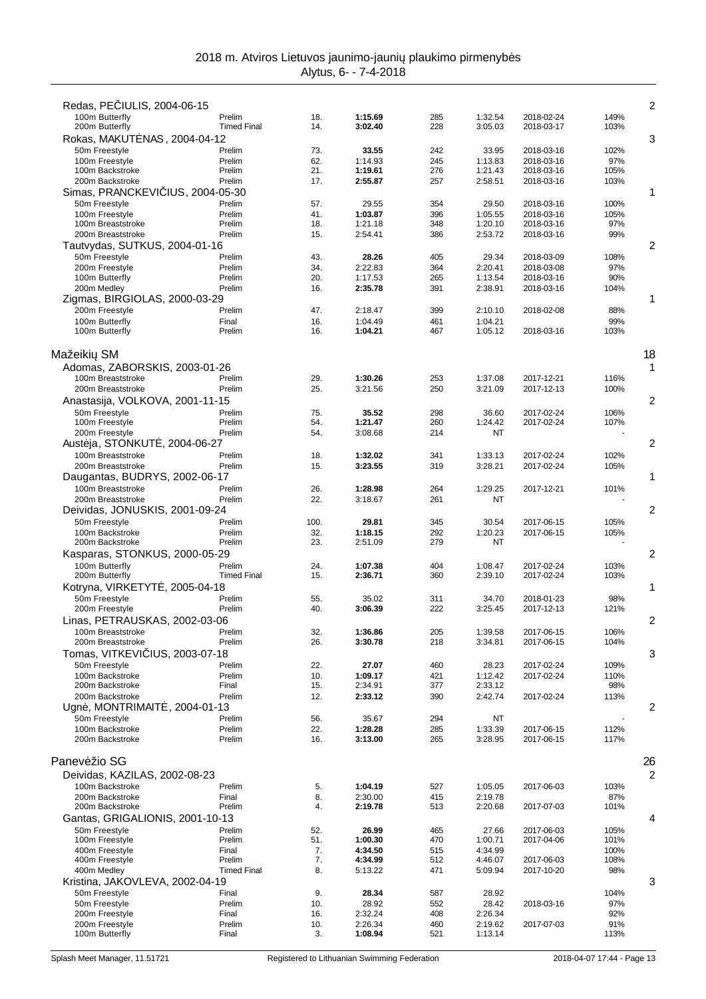| Redas, PE IULIS, 2004-06-15                  |                    |             |                    |            |                    |                          |              | 2              |
|----------------------------------------------|--------------------|-------------|--------------------|------------|--------------------|--------------------------|--------------|----------------|
| 100m Butterfly                               | Prelim             | 18.         | 1:15.69            | 285        | 1:32.54            | 2018-02-24               | 149%         |                |
| 200m Butterfly                               | <b>Timed Final</b> | 14.         | 3:02.40            | 228        | 3:05.03            | 2018-03-17               | 103%         |                |
| Rokas, MAKUT NAS, 2004-04-12                 |                    |             |                    |            |                    |                          |              | 3              |
| 50m Freestyle                                | Prelim             | 73.         | 33.55              | 242        | 33.95              | 2018-03-16               | 102%         |                |
| 100m Freestyle                               | Prelim             | 62.<br>21.  | 1:14.93<br>1:19.61 | 245<br>276 | 1:13.83            | 2018-03-16               | 97%          |                |
| 100m Backstroke<br>200m Backstroke           | Prelim<br>Prelim   | 17.         | 2:55.87            | 257        | 1:21.43<br>2:58.51 | 2018-03-16<br>2018-03-16 | 105%<br>103% |                |
| Simas, PRANCKEVI<br>IUS, 2004-05-30          |                    |             |                    |            |                    |                          |              | 1              |
| 50m Freestyle                                | Prelim             | 57.         | 29.55              | 354        | 29.50              | 2018-03-16               | 100%         |                |
| 100m Freestyle                               | Prelim             | 41.         | 1:03.87            | 396        | 1:05.55            | 2018-03-16               | 105%         |                |
| 100m Breaststroke                            | Prelim             | 18.         | 1:21.18            | 348        | 1:20.10            | 2018-03-16               | 97%          |                |
| 200m Breaststroke                            | Prelim             | 15.         | 2:54.41            | 386        | 2:53.72            | 2018-03-16               | 99%          |                |
| Tautvydas, SUTKUS, 2004-01-16                |                    |             |                    |            |                    |                          |              | 2              |
| 50m Freestyle                                | Prelim             | 43.         | 28.26              | 405        | 29.34              | 2018-03-09               | 108%         |                |
| 200m Freestyle                               | Prelim             | 34.         | 2:22.83            | 364        | 2:20.41            | 2018-03-08               | 97%          |                |
| 100m Butterfly                               | Prelim             | 20.         | 1:17.53            | 265        | 1:13.54            | 2018-03-16               | 90%          |                |
| 200m Medley<br>Zigmas, BIRGIOLAS, 2000-03-29 | Prelim             | 16.         | 2:35.78            | 391        | 2:38.91            | 2018-03-16               | 104%         | 1              |
| 200m Freestyle                               | Prelim             | 47.         | 2:18.47            | 399        | 2:10.10            | 2018-02-08               | 88%          |                |
| 100m Butterfly                               | Final              | 16.         | 1:04.49            | 461        | 1:04.21            |                          | 99%          |                |
| 100m Butterfly                               | Prelim             | 16.         | 1:04.21            | 467        | 1:05.12            | 2018-03-16               | 103%         |                |
|                                              |                    |             |                    |            |                    |                          |              |                |
| Mažeiki<br><b>SM</b>                         |                    |             |                    |            |                    |                          |              | 18             |
| Adomas, ZABORSKIS, 2003-01-26                |                    |             |                    |            |                    |                          |              | 1              |
| 100m Breaststroke                            | Prelim             | 29.         | 1:30.26            | 253        | 1:37.08            | 2017-12-21               | 116%         |                |
| 200m Breaststroke                            | Prelim             | 25.         | 3:21.56            | 250        | 3:21.09            | 2017-12-13               | 100%         |                |
| Anastasija, VOLKOVA, 2001-11-15              |                    |             |                    |            |                    |                          |              | 2              |
| 50m Freestyle                                | Prelim             | 75.         | 35.52              | 298        | 36.60              | 2017-02-24               | 106%         |                |
| 100m Freestyle                               | Prelim             | 54.         | 1:21.47            | 260        | 1:24.42            | 2017-02-24               | 107%         |                |
| 200m Freestyle                               | Prelim             | 54.         | 3:08.68            | 214        | NT                 |                          |              |                |
| Aust ja, STONKUT, 2004-06-27                 |                    |             |                    |            |                    |                          |              | 2              |
| 100m Breaststroke                            | Prelim             | 18.         | 1:32.02            | 341        | 1:33.13            | 2017-02-24               | 102%         |                |
| 200m Breaststroke                            | Prelim             | 15.         | 3:23.55            | 319        | 3:28.21            | 2017-02-24               | 105%         |                |
| Daugantas, BUDRYS, 2002-06-17                |                    |             |                    |            |                    |                          |              | 1              |
| 100m Breaststroke                            | Prelim             | 26.         | 1:28.98            | 264        | 1:29.25            | 2017-12-21               | 101%         |                |
| 200m Breaststroke                            | Prelim             | 22.         | 3:18.67            | 261        | NT                 |                          |              |                |
| Deividas, JONUSKIS, 2001-09-24               |                    |             |                    |            |                    |                          |              | 2              |
| 50m Freestyle<br>100m Backstroke             | Prelim<br>Prelim   | 100.<br>32. | 29.81<br>1:18.15   | 345<br>292 | 30.54<br>1:20.23   | 2017-06-15<br>2017-06-15 | 105%<br>105% |                |
| 200m Backstroke                              | Prelim             | 23.         | 2:51.09            | 279        | NT                 |                          |              |                |
| Kasparas, STONKUS, 2000-05-29                |                    |             |                    |            |                    |                          |              | 2              |
| 100m Butterfly                               | Prelim             | 24.         | 1:07.38            | 404        | 1:08.47            | 2017-02-24               | 103%         |                |
| 200m Butterfly                               | <b>Timed Final</b> | 15.         | 2:36.71            | 360        | 2:39.10            | 2017-02-24               | 103%         |                |
| Kotryna, VIRKETYT, 2005-04-18                |                    |             |                    |            |                    |                          |              | 1              |
| 50m Freestyle                                | Prelim             | 55.         | 35.02              | 311        | 34.70              | 2018-01-23               | 98%          |                |
| 200m Freestyle                               | Prelim             | 40.         | 3:06.39            | 222        | 3:25.45            | 2017-12-13               | 121%         |                |
| Linas, PETRAUSKAS, 2002-03-06                |                    |             |                    |            |                    |                          |              | $\overline{c}$ |
| 100m Breaststroke                            | Prelim             | 32.         | 1:36.86            | 205        | 1:39.58            | 2017-06-15               | 106%         |                |
| 200m Breaststroke                            | Prelim             | 26.         | 3:30.78            | 218        | 3:34.81            | 2017-06-15               | 104%         |                |
| Tomas, VITKEVI IUS, 2003-07-18               |                    |             |                    |            |                    |                          |              | 3              |
| 50m Freestyle                                | Prelim             | 22.         | 27.07              | 460        | 28.23              | 2017-02-24               | 109%         |                |
| 100m Backstroke                              | Prelim             | 10.         | 1:09.17            | 421        | 1:12.42            | 2017-02-24               | 110%         |                |
| 200m Backstroke                              | Final              | 15.         | 2:34.91            | 377        | 2:33.12            |                          | 98%          |                |
| 200m Backstroke                              | Prelim             | 12.         | 2:33.12            | 390        | 2:42.74            | 2017-02-24               | 113%         | 2              |
| Ugn, MONTRIMAIT, 2004-01-13                  |                    |             |                    | 294        |                    |                          |              |                |
| 50m Freestyle<br>100m Backstroke             | Prelim<br>Prelim   | 56.<br>22.  | 35.67<br>1:28.28   | 285        | NT<br>1:33.39      | 2017-06-15               | 112%         |                |
| 200m Backstroke                              | Prelim             | 16.         | 3:13.00            | 265        | 3:28.95            | 2017-06-15               | 117%         |                |
|                                              |                    |             |                    |            |                    |                          |              |                |
| Panev žio SG                                 |                    |             |                    |            |                    |                          |              | 26             |
| Deividas, KAZILAS, 2002-08-23                |                    |             |                    |            |                    |                          |              | 2              |
| 100m Backstroke                              | Prelim             | 5.          | 1:04.19            | 527        | 1:05.05            | 2017-06-03               | 103%         |                |
| 200m Backstroke                              | Final              | 8.          | 2:30.00            | 415        | 2:19.78            |                          | 87%          |                |
| 200m Backstroke                              | Prelim             | 4.          | 2:19.78            | 513        | 2:20.68            | 2017-07-03               | 101%         |                |
| Gantas, GRIGALIONIS, 2001-10-13              |                    |             |                    |            |                    |                          |              | 4              |
| 50m Freestyle                                | Prelim             | 52.         | 26.99              | 465        | 27.66              | 2017-06-03               | 105%         |                |
| 100m Freestyle                               | Prelim             | 51.         | 1:00.30            | 470        | 1:00.71            | 2017-04-06               | 101%         |                |
| 400m Freestyle                               | Final              | 7.          | 4:34.50            | 515        | 4:34.99            |                          | 100%         |                |
| 400m Freestyle                               | Prelim             | 7.          | 4:34.99            | 512        | 4:46.07            | 2017-06-03               | 108%         |                |
| 400m Medley                                  | <b>Timed Final</b> | 8.          | 5:13.22            | 471        | 5:09.94            | 2017-10-20               | 98%          |                |
| Kristina, JAKOVLEVA, 2002-04-19              |                    |             |                    |            |                    |                          |              | 3              |
| 50m Freestyle<br>50m Freestyle               | Final<br>Prelim    | 9.<br>10.   | 28.34<br>28.92     | 587<br>552 | 28.92<br>28.42     | 2018-03-16               | 104%<br>97%  |                |
| 200m Freestyle                               | Final              | 16.         | 2:32.24            | 408        | 2:26.34            |                          | 92%          |                |
| 200m Freestyle                               | Prelim             | 10.         | 2:26.34            | 460        | 2:19.62            | 2017-07-03               | 91%          |                |
| 100m Butterfly                               | Final              | 3.          | 1:08.94            | 521        | 1:13.14            |                          | 113%         |                |
|                                              |                    |             |                    |            |                    |                          |              |                |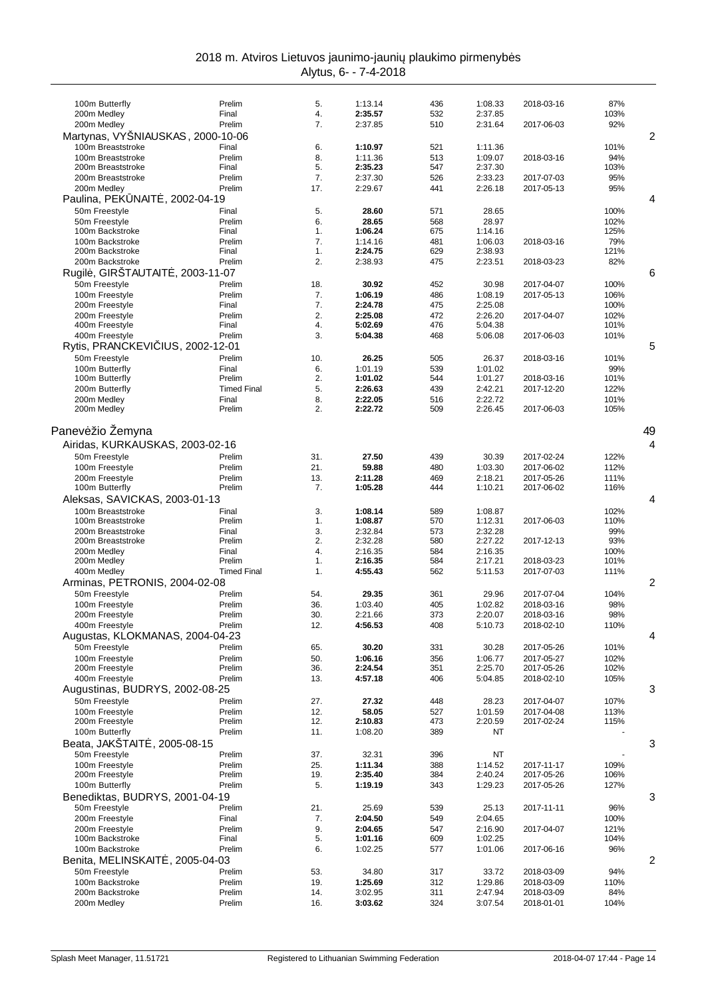| 100m Butterfly                                        | Prelim             | 5.         | 1:13.14            | 436        | 1:08.33            | 2018-03-16 | 87%          |    |
|-------------------------------------------------------|--------------------|------------|--------------------|------------|--------------------|------------|--------------|----|
| 200m Medley                                           | Final              | 4.         | 2:35.57            | 532        | 2:37.85            |            | 103%         |    |
| 200m Medley                                           | Prelim             | 7.         | 2:37.85            | 510        | 2:31.64            | 2017-06-03 | 92%          |    |
| Martynas, VYSNIAUSKAS, 2000-10-06                     |                    |            |                    |            |                    |            |              | 2  |
| 100m Breaststroke                                     | Final              | 6.         | 1:10.97            | 521        | 1:11.36            |            | 101%         |    |
| 100m Breaststroke                                     | Prelim             | 8.         | 1:11.36            | 513        | 1:09.07            | 2018-03-16 | 94%          |    |
| 200m Breaststroke                                     | Final              | 5.         | 2:35.23            | 547        | 2:37.30            |            | 103%         |    |
| 200m Breaststroke                                     | Prelim             | 7.         | 2:37.30            | 526        | 2:33.23            | 2017-07-03 | 95%          |    |
| 200m Medley                                           | Prelim             | 17.        | 2:29.67            | 441        | 2:26.18            | 2017-05-13 | 95%          |    |
| Paulina, PEK NAIT<br>. 2002-04-19                     |                    |            |                    |            |                    |            |              | 4  |
| 50m Freestyle                                         | Final<br>Prelim    | 5.<br>6.   | 28.60<br>28.65     | 571<br>568 | 28.65              |            | 100%         |    |
| 50m Freestyle<br>100m Backstroke                      | Final              | 1.         | 1:06.24            | 675        | 28.97<br>1:14.16   |            | 102%<br>125% |    |
| 100m Backstroke                                       | Prelim             | 7.         | 1:14.16            | 481        | 1:06.03            | 2018-03-16 | 79%          |    |
| 200m Backstroke                                       | Final              | 1.         | 2:24.75            | 629        | 2:38.93            |            | 121%         |    |
| 200m Backstroke                                       | Prelim             | 2.         | 2:38.93            | 475        | 2:23.51            | 2018-03-23 | 82%          |    |
| Rugil, GIRŠTAUTAIT, 2003-11-07                        |                    |            |                    |            |                    |            |              | 6  |
| 50m Freestyle                                         | Prelim             | 18.        | 30.92              | 452        | 30.98              | 2017-04-07 | 100%         |    |
| 100m Freestyle                                        | Prelim             | 7.         | 1:06.19            | 486        | 1:08.19            | 2017-05-13 | 106%         |    |
| 200m Freestyle                                        | Final              | 7.         | 2:24.78            | 475        | 2:25.08            |            | 100%         |    |
| 200m Freestyle                                        | Prelim             | 2.         | 2:25.08            | 472        | 2:26.20            | 2017-04-07 | 102%         |    |
| 400m Freestyle                                        | Final              | 4.<br>3.   | 5:02.69            | 476<br>468 | 5:04.38            | 2017-06-03 | 101%         |    |
| 400m Freestyle<br>IUS, 2002-12-01<br>Rytis, PRANCKEVI | Prelim             |            | 5:04.38            |            | 5:06.08            |            | 101%         | 5  |
|                                                       | Prelim             |            |                    |            |                    |            |              |    |
| 50m Freestyle<br>100m Butterfly                       | Final              | 10.<br>6.  | 26.25<br>1:01.19   | 505<br>539 | 26.37<br>1:01.02   | 2018-03-16 | 101%<br>99%  |    |
| 100m Butterfly                                        | Prelim             | 2.         | 1:01.02            | 544        | 1:01.27            | 2018-03-16 | 101%         |    |
| 200m Butterfly                                        | <b>Timed Final</b> | 5.         | 2:26.63            | 439        | 2:42.21            | 2017-12-20 | 122%         |    |
| 200m Medley                                           | Final              | 8.         | 2:22.05            | 516        | 2:22.72            |            | 101%         |    |
| 200m Medley                                           | Prelim             | 2.         | 2:22.72            | 509        | 2:26.45            | 2017-06-03 | 105%         |    |
|                                                       |                    |            |                    |            |                    |            |              |    |
| Panev žio Žemyna                                      |                    |            |                    |            |                    |            |              | 49 |
| Airidas, KURKAUSKAS, 2003-02-16                       |                    |            |                    |            |                    |            |              | 4  |
| 50m Freestyle                                         | Prelim             | 31.        | 27.50              | 439        | 30.39              | 2017-02-24 | 122%         |    |
| 100m Freestyle                                        | Prelim             | 21.        | 59.88              | 480        | 1:03.30            | 2017-06-02 | 112%         |    |
| 200m Freestyle                                        | Prelim             | 13.        | 2:11.28            | 469        | 2:18.21            | 2017-05-26 | 111%         |    |
| 100m Butterfly                                        | Prelim             | 7.         | 1:05.28            | 444        | 1:10.21            | 2017-06-02 | 116%         |    |
| Aleksas, SAVICKAS, 2003-01-13                         |                    |            |                    |            |                    |            |              | 4  |
| 100m Breaststroke                                     | Final              | 3.         | 1:08.14            | 589        | 1:08.87            |            | 102%         |    |
| 100m Breaststroke                                     | Prelim             | 1.         | 1:08.87            | 570        | 1:12.31            | 2017-06-03 | 110%         |    |
| 200m Breaststroke                                     | Final              | 3.         | 2:32.84            | 573        | 2:32.28            |            | 99%          |    |
| 200m Breaststroke                                     | Prelim             | 2.         | 2:32.28            | 580        | 2:27.22            | 2017-12-13 | 93%          |    |
| 200m Medley<br>200m Medley                            | Final<br>Prelim    | 4.<br>1.   | 2:16.35<br>2:16.35 | 584<br>584 | 2:16.35<br>2:17.21 | 2018-03-23 | 100%<br>101% |    |
| 400m Medley                                           | <b>Timed Final</b> | 1.         | 4:55.43            | 562        | 5:11.53            | 2017-07-03 | 111%         |    |
| Arminas, PETRONIS, 2004-02-08                         |                    |            |                    |            |                    |            |              | 2  |
| 50m Freestyle                                         | Prelim             | 54.        | 29.35              | 361        | 29.96              | 2017-07-04 | 104%         |    |
| 100m Freestyle                                        | Prelim             | 36.        | 1:03.40            | 405        | 1:02.82            | 2018-03-16 | 98%          |    |
| 200m Freestyle                                        | Prelim             | 30.        | 2:21.66            | 373        | 2:20.07            | 2018-03-16 | 98%          |    |
| 400m Freestyle                                        | Prelim             | 12.        | 4:56.53            | 408        | 5:10.73            | 2018-02-10 | 110%         |    |
| Augustas, KLOKMANAS, 2004-04-23                       |                    |            |                    |            |                    |            |              | 4  |
| 50m Freestyle                                         | Prelim             | 65.        | 30.20              | 331        | 30.28              | 2017-05-26 | 101%         |    |
| 100m Freestyle                                        | Prelim             | 50.        | 1:06.16            | 356        | 1:06.77            | 2017-05-27 | 102%         |    |
| 200m Freestyle                                        | Prelim             | 36.        | 2:24.54            | 351        | 2:25.70            | 2017-05-26 | 102%         |    |
| 400m Freestyle                                        | Prelim             | 13.        | 4:57.18            | 406        | 5:04.85            | 2018-02-10 | 105%         |    |
| Augustinas, BUDRYS, 2002-08-25                        |                    |            |                    |            |                    |            |              | 3  |
| 50m Freestyle                                         | Prelim             | 27.        | 27.32              | 448        | 28.23              | 2017-04-07 | 107%         |    |
| 100m Freestyle                                        | Prelim             | 12.        | 58.05              | 527        | 1:01.59            | 2017-04-08 | 113%         |    |
| 200m Freestyle<br>100m Butterfly                      | Prelim<br>Prelim   | 12.<br>11. | 2:10.83<br>1:08.20 | 473<br>389 | 2:20.59<br>NT      | 2017-02-24 | 115%         |    |
| Beata, JAKŠTAIT                                       |                    |            |                    |            |                    |            |              |    |
| $.2005 - 08 - 15$<br>50m Freestyle                    | Prelim             |            |                    | 396        | ΝT                 |            |              | 3  |
| 100m Freestyle                                        | Prelim             | 37.<br>25. | 32.31<br>1:11.34   | 388        | 1:14.52            | 2017-11-17 | 109%         |    |
| 200m Freestyle                                        | Prelim             | 19.        | 2:35.40            | 384        | 2:40.24            | 2017-05-26 | 106%         |    |
| 100m Butterfly                                        | Prelim             | 5.         | 1:19.19            | 343        | 1:29.23            | 2017-05-26 | 127%         |    |
| Benediktas, BUDRYS, 2001-04-19                        |                    |            |                    |            |                    |            |              | 3  |
| 50m Freestyle                                         | Prelim             | 21.        | 25.69              | 539        | 25.13              | 2017-11-11 | 96%          |    |
| 200m Freestyle                                        | Final              | 7.         | 2:04.50            | 549        | 2:04.65            |            | 100%         |    |
| 200m Freestyle                                        | Prelim             | 9.         | 2:04.65            | 547        | 2:16.90            | 2017-04-07 | 121%         |    |
| 100m Backstroke                                       | Final              | 5.         | 1:01.16            | 609        | 1:02.25            |            | 104%         |    |
| 100m Backstroke                                       | Prelim             | 6.         | 1:02.25            | 577        | 1:01.06            | 2017-06-16 | 96%          |    |
| , 2005-04-03<br>Benita, MELINSKAIT                    |                    |            |                    |            |                    |            |              | 2  |
| 50m Freestyle                                         | Prelim             | 53.        | 34.80              | 317        | 33.72              | 2018-03-09 | 94%          |    |
| 100m Backstroke                                       | Prelim             | 19.        | 1:25.69            | 312        | 1:29.86            | 2018-03-09 | 110%         |    |
| 200m Backstroke                                       | Prelim             | 14.        | 3:02.95            | 311        | 2:47.94            | 2018-03-09 | 84%          |    |
| 200m Medley                                           | Prelim             | 16.        | 3:03.62            | 324        | 3:07.54            | 2018-01-01 | 104%         |    |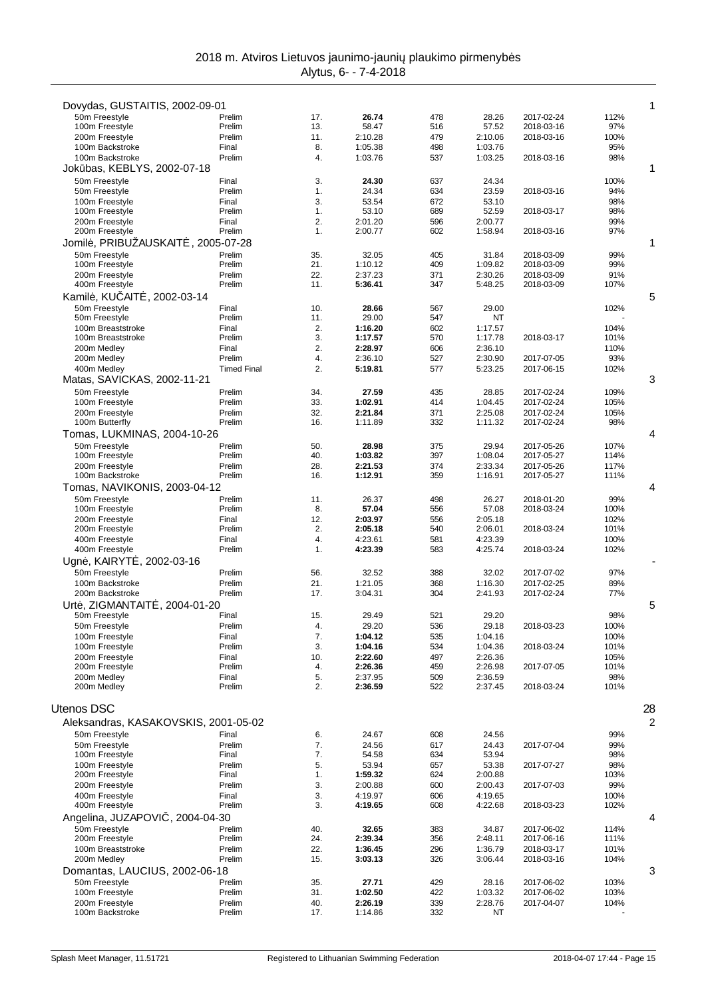| Dovydas, GUSTAITIS, 2002-09-01                |                    |            |                    |            |                    |                          |              | 1              |
|-----------------------------------------------|--------------------|------------|--------------------|------------|--------------------|--------------------------|--------------|----------------|
| 50m Freestyle                                 | Prelim             | 17.        | 26.74              | 478        | 28.26              | 2017-02-24               | 112%         |                |
| 100m Freestyle                                | Prelim             | 13.        | 58.47              | 516        | 57.52              | 2018-03-16               | 97%          |                |
| 200m Freestyle                                | Prelim             | 11.        | 2:10.28            | 479        | 2:10.06            | 2018-03-16               | 100%         |                |
| 100m Backstroke<br>100m Backstroke            | Final<br>Prelim    | 8.<br>4.   | 1:05.38<br>1:03.76 | 498<br>537 | 1:03.76<br>1:03.25 | 2018-03-16               | 95%<br>98%   |                |
| Jok bas, KEBLYS, 2002-07-18                   |                    |            |                    |            |                    |                          |              | 1              |
| 50m Freestyle                                 | Final              | 3.         | 24.30              | 637        | 24.34              |                          | 100%         |                |
| 50m Freestyle                                 | Prelim             | 1.         | 24.34              | 634        | 23.59              | 2018-03-16               | 94%          |                |
| 100m Freestyle                                | Final              | 3.         | 53.54              | 672        | 53.10              |                          | 98%          |                |
| 100m Freestyle                                | Prelim             | 1.         | 53.10              | 689        | 52.59              | 2018-03-17               | 98%          |                |
| 200m Freestyle<br>200m Freestyle              | Final<br>Prelim    | 2.<br>1.   | 2:01.20<br>2:00.77 | 596<br>602 | 2:00.77<br>1:58.94 | 2018-03-16               | 99%<br>97%   |                |
| Jomil, PRIBUŽAUSKAIT                          | $.2005 - 07 - 28$  |            |                    |            |                    |                          |              | 1              |
| 50m Freestyle                                 | Prelim             | 35.        | 32.05              | 405        | 31.84              | 2018-03-09               | 99%          |                |
| 100m Freestyle                                | Prelim             | 21.        | 1:10.12            | 409        | 1:09.82            | 2018-03-09               | 99%          |                |
| 200m Freestyle                                | Prelim             | 22.        | 2:37.23            | 371        | 2:30.26            | 2018-03-09               | 91%          |                |
| 400m Freestyle                                | Prelim             | 11.        | 5:36.41            | 347        | 5:48.25            | 2018-03-09               | 107%         |                |
| Kamil, KU AIT<br>, 2002-03-14                 |                    |            |                    |            |                    |                          |              | 5              |
| 50m Freestyle                                 | Final              | 10.        | 28.66              | 567        | 29.00              |                          | 102%         |                |
| 50m Freestyle<br>100m Breaststroke            | Prelim<br>Final    | 11.<br>2.  | 29.00<br>1:16.20   | 547<br>602 | NT<br>1:17.57      |                          | 104%         |                |
| 100m Breaststroke                             | Prelim             | 3.         | 1:17.57            | 570        | 1:17.78            | 2018-03-17               | 101%         |                |
| 200m Medley                                   | Final              | 2.         | 2:28.97            | 606        | 2:36.10            |                          | 110%         |                |
| 200m Medley                                   | Prelim             | 4.         | 2:36.10            | 527        | 2:30.90            | 2017-07-05               | 93%          |                |
| 400m Medley                                   | <b>Timed Final</b> | 2.         | 5:19.81            | 577        | 5:23.25            | 2017-06-15               | 102%         |                |
| Matas, SAVICKAS, 2002-11-21                   |                    |            |                    |            |                    |                          |              | 3              |
| 50m Freestyle                                 | Prelim<br>Prelim   | 34.        | 27.59<br>1:02.91   | 435        | 28.85              | 2017-02-24               | 109%         |                |
| 100m Freestyle<br>200m Freestyle              | Prelim             | 33.<br>32. | 2:21.84            | 414<br>371 | 1:04.45<br>2:25.08 | 2017-02-24<br>2017-02-24 | 105%<br>105% |                |
| 100m Butterfly                                | Prelim             | 16.        | 1:11.89            | 332        | 1:11.32            | 2017-02-24               | 98%          |                |
| Tomas, LUKMINAS, 2004-10-26                   |                    |            |                    |            |                    |                          |              | 4              |
| 50m Freestyle                                 | Prelim             | 50.        | 28.98              | 375        | 29.94              | 2017-05-26               | 107%         |                |
| 100m Freestyle                                | Prelim             | 40.        | 1:03.82            | 397        | 1:08.04            | 2017-05-27               | 114%         |                |
| 200m Freestyle<br>100m Backstroke             | Prelim<br>Prelim   | 28.<br>16. | 2:21.53<br>1:12.91 | 374<br>359 | 2:33.34            | 2017-05-26<br>2017-05-27 | 117%         |                |
|                                               |                    |            |                    |            | 1:16.91            |                          | 111%         | 4              |
| Tomas, NAVIKONIS, 2003-04-12<br>50m Freestyle | Prelim             | 11.        | 26.37              | 498        | 26.27              | 2018-01-20               | 99%          |                |
| 100m Freestyle                                | Prelim             | 8.         | 57.04              | 556        | 57.08              | 2018-03-24               | 100%         |                |
| 200m Freestyle                                | Final              | 12.        | 2:03.97            | 556        | 2:05.18            |                          | 102%         |                |
| 200m Freestyle                                | Prelim             | 2.         | 2:05.18            | 540        | 2:06.01            | 2018-03-24               | 101%         |                |
| 400m Freestyle                                | Final              | 4.         | 4:23.61            | 581        | 4:23.39            |                          | 100%         |                |
| 400m Freestyle                                | Prelim             | 1.         | 4:23.39            | 583        | 4:25.74            | 2018-03-24               | 102%         |                |
| Ugn, KAIRYT, 2002-03-16                       |                    |            |                    |            |                    |                          |              |                |
| 50m Freestyle<br>100m Backstroke              | Prelim<br>Prelim   | 56.<br>21. | 32.52<br>1:21.05   | 388<br>368 | 32.02<br>1:16.30   | 2017-07-02<br>2017-02-25 | 97%<br>89%   |                |
| 200m Backstroke                               | Prelim             | 17.        | 3:04.31            | 304        | 2:41.93            | 2017-02-24               | 77%          |                |
| Urt, ZIGMANTAIT                               | , 2004-01-20       |            |                    |            |                    |                          |              | 5              |
| 50m Freestyle                                 | Final              | 15.        | 29.49              | 521        | 29.20              |                          | 98%          |                |
| 50m Freestyle                                 | Prelim             | 4.         | 29.20              | 536        | 29.18              | 2018-03-23               | 100%         |                |
| 100m Freestyle                                | Final              | 7.         | 1:04.12            | 535        | 1:04.16            |                          | 100%         |                |
| 100m Freestyle<br>200m Freestyle              | Prelim<br>Final    | 3.<br>10.  | 1:04.16<br>2:22.60 | 534<br>497 | 1:04.36<br>2:26.36 | 2018-03-24               | 101%<br>105% |                |
| 200m Freestyle                                | Prelim             | 4.         | 2:26.36            | 459        | 2:26.98            | 2017-07-05               | 101%         |                |
| 200m Medley                                   | Final              | 5.         | 2:37.95            | 509        | 2:36.59            |                          | 98%          |                |
| 200m Medley                                   | Prelim             | 2.         | 2:36.59            | 522        | 2:37.45            | 2018-03-24               | 101%         |                |
|                                               |                    |            |                    |            |                    |                          |              |                |
| <b>Utenos DSC</b>                             |                    |            |                    |            |                    |                          |              | 28             |
| Aleksandras, KASAKOVSKIS, 2001-05-02          |                    |            |                    |            |                    |                          |              | $\overline{c}$ |
| 50m Freestyle                                 | Final              | 6.         | 24.67              | 608        | 24.56              |                          | 99%          |                |
| 50m Freestyle<br>100m Freestyle               | Prelim<br>Final    | 7.<br>7.   | 24.56<br>54.58     | 617<br>634 | 24.43<br>53.94     | 2017-07-04               | 99%<br>98%   |                |
| 100m Freestyle                                | Prelim             | 5.         | 53.94              | 657        | 53.38              | 2017-07-27               | 98%          |                |
| 200m Freestyle                                | Final              | 1.         | 1:59.32            | 624        | 2:00.88            |                          | 103%         |                |
| 200m Freestyle                                | Prelim             | 3.         | 2:00.88            | 600        | 2:00.43            | 2017-07-03               | 99%          |                |
| 400m Freestyle                                | Final              | 3.         | 4:19.97            | 606        | 4:19.65            |                          | 100%         |                |
| 400m Freestyle                                | Prelim             | 3.         | 4:19.65            | 608        | 4:22.68            | 2018-03-23               | 102%         |                |
| Angelina, JUZAPOVI                            | $.2004 - 04 - 30$  |            |                    |            |                    |                          |              | 4              |
| 50m Freestyle<br>200m Freestyle               | Prelim<br>Prelim   | 40.<br>24. | 32.65<br>2:39.34   | 383<br>356 | 34.87<br>2:48.11   | 2017-06-02<br>2017-06-16 | 114%<br>111% |                |
| 100m Breaststroke                             | Prelim             | 22.        | 1:36.45            | 296        | 1:36.79            | 2018-03-17               | 101%         |                |
| 200m Medley                                   | Prelim             | 15.        | 3:03.13            | 326        | 3:06.44            | 2018-03-16               | 104%         |                |
| Domantas, LAUCIUS, 2002-06-18                 |                    |            |                    |            |                    |                          |              | 3              |
| 50m Freestyle                                 | Prelim             | 35.        | 27.71              | 429        | 28.16              | 2017-06-02               | 103%         |                |
| 100m Freestyle                                | Prelim             | 31.        | 1:02.50            | 422        | 1:03.32            | 2017-06-02               | 103%         |                |
| 200m Freestyle<br>100m Backstroke             | Prelim<br>Prelim   | 40.<br>17. | 2:26.19<br>1:14.86 | 339<br>332 | 2:28.76<br>NT      | 2017-04-07               | 104%         |                |
|                                               |                    |            |                    |            |                    |                          |              |                |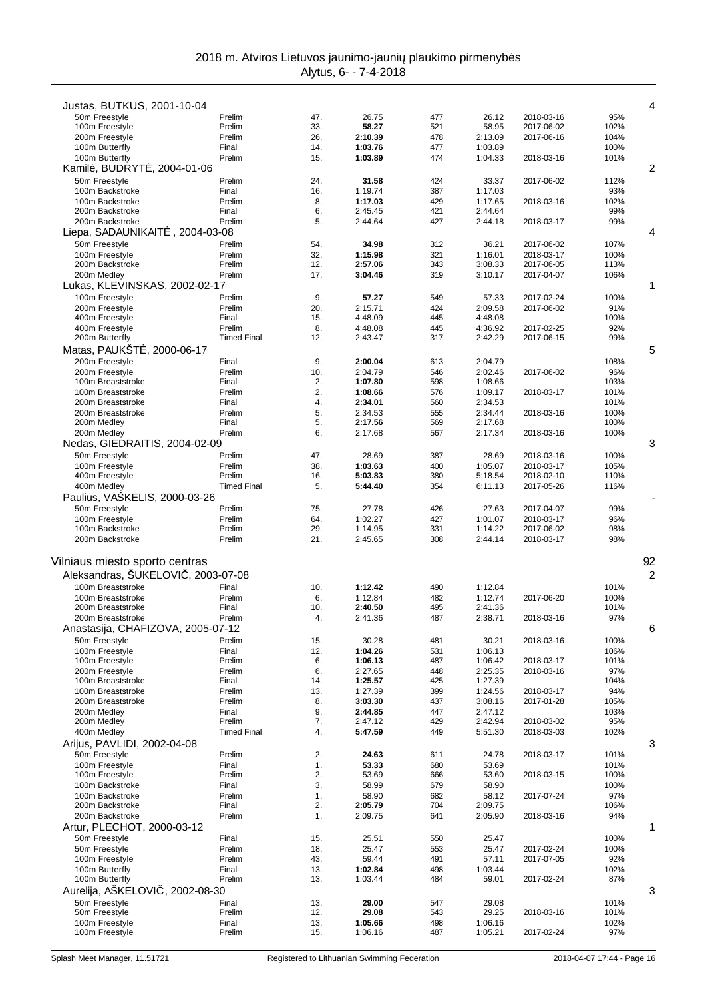| Justas, BUTKUS, 2001-10-04        |                    |          |                    |            |                    |                          |              | 4  |
|-----------------------------------|--------------------|----------|--------------------|------------|--------------------|--------------------------|--------------|----|
| 50m Freestyle                     | Prelim             | 47.      | 26.75              | 477        | 26.12              | 2018-03-16               | 95%          |    |
| 100m Freestyle                    | Prelim             | 33.      | 58.27              | 521        | 58.95              | 2017-06-02               | 102%         |    |
| 200m Freestyle                    | Prelim             | 26.      | 2:10.39            | 478        | 2:13.09            | 2017-06-16               | 104%         |    |
| 100m Butterfly                    | Final              | 14.      | 1:03.76            | 477        | 1:03.89            |                          | 100%         |    |
| 100m Butterfly                    | Prelim             | 15.      | 1:03.89            | 474        | 1:04.33            | 2018-03-16               | 101%         |    |
| Kamil, BUDRYT, 2004-01-06         |                    |          |                    |            |                    |                          |              | 2  |
|                                   |                    |          |                    |            |                    |                          |              |    |
| 50m Freestyle                     | Prelim             | 24.      | 31.58              | 424        | 33.37              | 2017-06-02               | 112%         |    |
| 100m Backstroke                   | Final              | 16.      | 1:19.74            | 387        | 1:17.03            |                          | 93%          |    |
| 100m Backstroke                   | Prelim             | 8.       | 1:17.03            | 429        | 1:17.65            | 2018-03-16               | 102%         |    |
| 200m Backstroke                   | Final              | 6.       | 2:45.45            | 421        | 2:44.64            |                          | 99%          |    |
| 200m Backstroke                   | Prelim             | 5.       | 2:44.64            | 427        | 2:44.18            | 2018-03-17               | 99%          |    |
| Liepa, SADAUNIKAIT                | , 2004-03-08       |          |                    |            |                    |                          |              | 4  |
| 50m Freestyle                     | Prelim             | 54.      | 34.98              | 312        | 36.21              | 2017-06-02               | 107%         |    |
| 100m Freestyle                    | Prelim             | 32.      | 1:15.98            | 321        | 1:16.01            | 2018-03-17               | 100%         |    |
| 200m Backstroke                   | Prelim             | 12.      | 2:57.06            | 343        | 3:08.33            | 2017-06-05               | 113%         |    |
| 200m Medley                       | Prelim             | 17.      | 3:04.46            | 319        | 3:10.17            | 2017-04-07               | 106%         |    |
| Lukas, KLEVINSKAS, 2002-02-17     |                    |          |                    |            |                    |                          |              | 1  |
| 100m Freestyle                    | Prelim             | 9.       | 57.27              | 549        | 57.33              | 2017-02-24               | 100%         |    |
| 200m Freestyle                    | Prelim             | 20.      | 2:15.71            | 424        | 2:09.58            | 2017-06-02               | 91%          |    |
| 400m Freestyle                    | Final              | 15.      | 4:48.09            | 445        | 4:48.08            |                          | 100%         |    |
| 400m Freestyle                    | Prelim             | 8.       | 4:48.08            | 445        | 4:36.92            | 2017-02-25               | 92%          |    |
| 200m Butterfly                    | <b>Timed Final</b> | 12.      | 2:43.47            | 317        | 2:42.29            | 2017-06-15               | 99%          |    |
| Matas, PAUKST<br>, 2000-06-17     |                    |          |                    |            |                    |                          |              | 5  |
|                                   |                    |          |                    |            |                    |                          |              |    |
| 200m Freestyle                    | Final              | 9.       | 2:00.04            | 613        | 2:04.79            |                          | 108%         |    |
| 200m Freestyle                    | Prelim             | 10.      | 2:04.79            | 546        | 2:02.46            | 2017-06-02               | 96%          |    |
| 100m Breaststroke                 | Final              | 2.       | 1:07.80            | 598        | 1:08.66            |                          | 103%         |    |
| 100m Breaststroke                 | Prelim             | 2.       | 1:08.66            | 576        | 1:09.17            | 2018-03-17               | 101%         |    |
| 200m Breaststroke                 | Final              | 4.       | 2:34.01            | 560        | 2:34.53            |                          | 101%         |    |
| 200m Breaststroke                 | Prelim             | 5.       | 2:34.53            | 555        | 2:34.44            | 2018-03-16               | 100%         |    |
| 200m Medley                       | Final              | 5.       | 2:17.56            | 569        | 2:17.68            |                          | 100%         |    |
| 200m Medley                       | Prelim             | 6.       | 2:17.68            | 567        | 2:17.34            | 2018-03-16               | 100%         |    |
| Nedas, GIEDRAITIS, 2004-02-09     |                    |          |                    |            |                    |                          |              | 3  |
| 50m Freestyle                     | Prelim             | 47.      | 28.69              | 387        | 28.69              | 2018-03-16               | 100%         |    |
| 100m Freestyle                    | Prelim             | 38.      | 1:03.63            | 400        | 1:05.07            | 2018-03-17               | 105%         |    |
| 400m Freestyle                    | Prelim             | 16.      | 5:03.83            | 380        | 5:18.54            | 2018-02-10               | 110%         |    |
| 400m Medley                       | <b>Timed Final</b> | 5.       | 5:44.40            | 354        | 6:11.13            | 2017-05-26               | 116%         |    |
| Paulius, VASKELIS, 2000-03-26     |                    |          |                    |            |                    |                          |              |    |
| 50m Freestyle                     | Prelim             | 75.      | 27.78              | 426        | 27.63              | 2017-04-07               | 99%          |    |
|                                   | Prelim             | 64.      |                    |            |                    |                          |              |    |
| 100m Freestyle<br>100m Backstroke | Prelim             | 29.      | 1:02.27<br>1:14.95 | 427<br>331 | 1:01.07<br>1:14.22 | 2018-03-17<br>2017-06-02 | 96%<br>98%   |    |
|                                   |                    |          |                    |            |                    |                          |              |    |
| 200m Backstroke                   | Prelim             | 21.      | 2:45.65            | 308        | 2:44.14            | 2018-03-17               | 98%          |    |
|                                   |                    |          |                    |            |                    |                          |              |    |
| Vilniaus miesto sporto centras    |                    |          |                    |            |                    |                          |              | 92 |
| Aleksandras, ŠUKELOVI, 2003-07-08 |                    |          |                    |            |                    |                          |              | 2  |
| 100m Breaststroke                 | Final              | 10.      | 1:12.42            | 490        | 1:12.84            |                          | 101%         |    |
| 100m Breaststroke                 | Prelim             | 6.       | 1:12.84            | 482        | 1:12.74            | 2017-06-20               | 100%         |    |
| 200m Breaststroke                 | Final              | 10.      | 2:40.50            | 495        | 2:41.36            |                          | 101%         |    |
| 200m Breaststroke                 | Prelim             | 4.       | 2:41.36            | 487        | 2:38.71            | 2018-03-16               | 97%          |    |
| Anastasija, CHAFIZOVA, 2005-07-12 |                    |          |                    |            |                    |                          |              | 6  |
|                                   |                    |          |                    |            |                    |                          |              |    |
| 50m Freestyle                     |                    |          |                    |            |                    |                          |              |    |
| 100m Freestyle                    | Prelim             | 15.      | 30.28              | 481        | 30.21              | 2018-03-16               | 100%         |    |
|                                   | Final              | 12.      | 1:04.26            | 531        | 1:06.13            |                          | 106%         |    |
| 100m Freestyle                    | Prelim             | 6.       | 1:06.13            | 487        | 1:06.42            | 2018-03-17               | 101%         |    |
| 200m Freestyle                    | Prelim             | 6.       | 2:27.65            | 448        | 2:25.35            | 2018-03-16               | 97%          |    |
| 100m Breaststroke                 | Final              | 14.      | 1:25.57            | 425        | 1:27.39            |                          | 104%         |    |
| 100m Breaststroke                 | Prelim             | 13.      | 1:27.39            | 399        | 1:24.56            | 2018-03-17               | 94%          |    |
| 200m Breaststroke                 | Prelim             | 8.       | 3:03.30            | 437        | 3:08.16            | 2017-01-28               | 105%         |    |
| 200m Medley                       | Final              | 9.       | 2:44.85            | 447        | 2:47.12            |                          | 103%         |    |
| 200m Medley                       | Prelim             | 7.       | 2:47.12            | 429        | 2:42.94            | 2018-03-02               | 95%          |    |
| 400m Medley                       | <b>Timed Final</b> | 4.       | 5:47.59            | 449        | 5:51.30            | 2018-03-03               | 102%         |    |
| Arijus, PAVLIDI, 2002-04-08       |                    |          |                    |            |                    |                          |              | 3  |
| 50m Freestyle                     | Prelim             | 2.       | 24.63              | 611        | 24.78              | 2018-03-17               | 101%         |    |
|                                   |                    |          |                    |            |                    |                          |              |    |
| 100m Freestyle<br>100m Freestyle  | Final<br>Prelim    | 1.<br>2. | 53.33<br>53.69     | 680<br>666 | 53.69<br>53.60     | 2018-03-15               | 101%<br>100% |    |
|                                   |                    |          |                    |            |                    |                          |              |    |
| 100m Backstroke                   | Final              | 3.       | 58.99              | 679        | 58.90              |                          | 100%         |    |
| 100m Backstroke                   | Prelim             | 1.       | 58.90              | 682        | 58.12              | 2017-07-24               | 97%          |    |
| 200m Backstroke                   | Final              | 2.       | 2:05.79            | 704        | 2:09.75            |                          | 106%         |    |
| 200m Backstroke                   | Prelim             | 1.       | 2:09.75            | 641        | 2:05.90            | 2018-03-16               | 94%          |    |
| Artur, PLECHOT, 2000-03-12        |                    |          |                    |            |                    |                          |              | 1  |
| 50m Freestyle                     | Final              | 15.      | 25.51              | 550        | 25.47              |                          | 100%         |    |
| 50m Freestyle                     | Prelim             | 18.      | 25.47              | 553        | 25.47              | 2017-02-24               | 100%         |    |
| 100m Freestyle                    | Prelim             | 43.      | 59.44              | 491        | 57.11              | 2017-07-05               | 92%          |    |
| 100m Butterfly                    | Final              | 13.      | 1:02.84            | 498        | 1:03.44            |                          | 102%         |    |
| 100m Butterfly                    | Prelim             | 13.      | 1:03.44            | 484        | 59.01              | 2017-02-24               | 87%          |    |
| Aurelija, AŠKELOVI                | , 2002-08-30       |          |                    |            |                    |                          |              | 3  |
| 50m Freestyle                     | Final              | 13.      | 29.00              | 547        | 29.08              |                          | 101%         |    |
| 50m Freestyle                     | Prelim             | 12.      | 29.08              | 543        | 29.25              | 2018-03-16               | 101%         |    |
| 100m Freestyle                    | Final              | 13.      | 1:05.66            | 498        | 1:06.16            |                          | 102%         |    |
| 100m Freestyle                    | Prelim             | 15.      | 1:06.16            | 487        | 1:05.21            | 2017-02-24               | 97%          |    |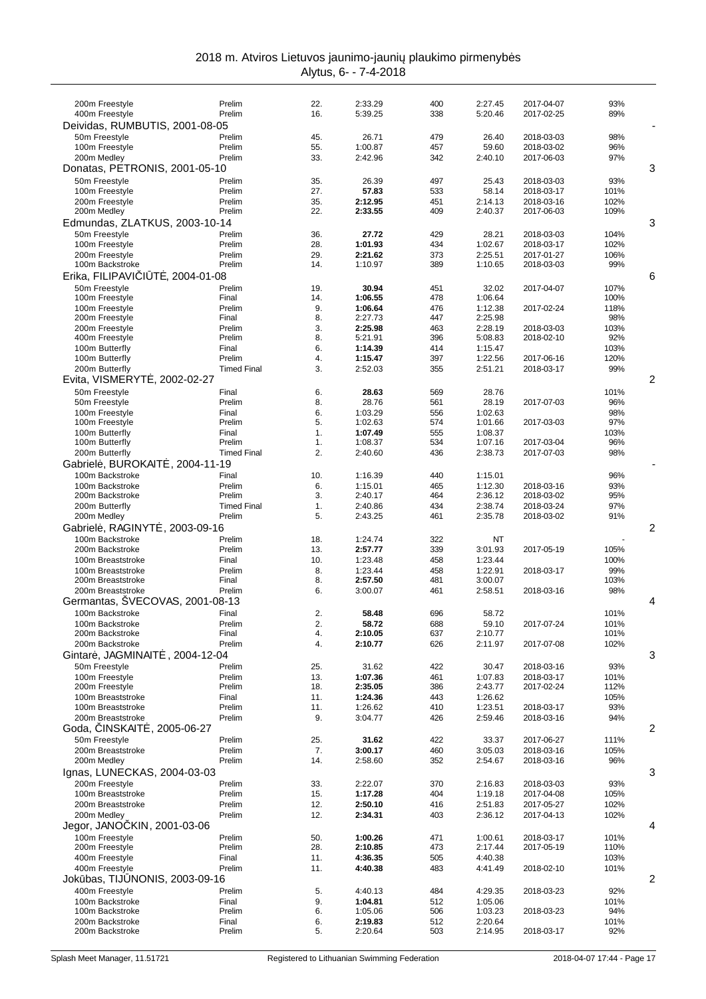| 200m Freestyle                      | Prelim             | 22.        | 2:33.29            | 400        | 2:27.45            | 2017-04-07               | 93%         |   |
|-------------------------------------|--------------------|------------|--------------------|------------|--------------------|--------------------------|-------------|---|
| 400m Freestyle                      | Prelim             | 16.        | 5:39.25            | 338        | 5:20.46            | 2017-02-25               | 89%         |   |
| Deividas, RUMBUTIS, 2001-08-05      |                    |            |                    |            |                    |                          |             |   |
| 50m Freestyle                       | Prelim             | 45.        | 26.71              | 479        | 26.40              | 2018-03-03               | 98%         |   |
| 100m Freestyle                      | Prelim             | 55.        | 1:00.87            | 457        | 59.60              | 2018-03-02               | 96%         |   |
| 200m Medley                         | Prelim             | 33.        | 2:42.96            | 342        | 2:40.10            | 2017-06-03               | 97%         |   |
| Donatas, PETRONIS, 2001-05-10       |                    |            |                    |            |                    |                          |             | 3 |
| 50m Freestyle                       | Prelim             | 35.        | 26.39              | 497        | 25.43              | 2018-03-03               | 93%         |   |
| 100m Freestyle                      | Prelim             | 27.        | 57.83              | 533        | 58.14              | 2018-03-17               | 101%        |   |
| 200m Freestyle                      | Prelim             | 35.        | 2:12.95            | 451        | 2:14.13            | 2018-03-16               | 102%        |   |
| 200m Medley                         | Prelim             | 22.        | 2:33.55            | 409        | 2:40.37            | 2017-06-03               | 109%        |   |
| Edmundas, ZLATKUS, 2003-10-14       |                    |            |                    |            |                    |                          |             | 3 |
| 50m Freestyle                       | Prelim             | 36.        | 27.72              | 429        | 28.21              | 2018-03-03               | 104%        |   |
| 100m Freestyle<br>200m Freestyle    | Prelim             | 28.        | 1:01.93<br>2:21.62 | 434        | 1:02.67            | 2018-03-17               | 102%        |   |
| 100m Backstroke                     | Prelim<br>Prelim   | 29.<br>14. | 1:10.97            | 373<br>389 | 2:25.51<br>1:10.65 | 2017-01-27<br>2018-03-03 | 106%<br>99% |   |
| Erika, FILIPAVI I<br>T, 2004-01-08  |                    |            |                    |            |                    |                          |             | 6 |
| 50m Freestyle                       | Prelim             | 19.        | 30.94              | 451        | 32.02              | 2017-04-07               | 107%        |   |
| 100m Freestyle                      | Final              | 14.        | 1:06.55            | 478        | 1:06.64            |                          | 100%        |   |
| 100m Freestyle                      | Prelim             | 9.         | 1:06.64            | 476        | 1:12.38            | 2017-02-24               | 118%        |   |
| 200m Freestyle                      | Final              | 8.         | 2:27.73            | 447        | 2:25.98            |                          | 98%         |   |
| 200m Freestyle                      | Prelim             | 3.         | 2:25.98            | 463        | 2:28.19            | 2018-03-03               | 103%        |   |
| 400m Freestyle                      | Prelim             | 8.         | 5:21.91            | 396        | 5:08.83            | 2018-02-10               | 92%         |   |
| 100m Butterfly                      | Final              | 6.         | 1:14.39            | 414        | 1:15.47            |                          | 103%        |   |
| 100m Butterfly                      | Prelim             | 4.         | 1:15.47            | 397        | 1:22.56            | 2017-06-16               | 120%        |   |
| 200m Butterfly                      | <b>Timed Final</b> | 3.         | 2:52.03            | 355        | 2:51.21            | 2018-03-17               | 99%         |   |
| Evita, VISMERYT<br>, 2002-02-27     |                    |            |                    |            |                    |                          |             | 2 |
| 50m Freestyle                       | Final              | 6.         | 28.63              | 569        | 28.76              |                          | 101%        |   |
| 50m Freestyle                       | Prelim             | 8.         | 28.76              | 561        | 28.19              | 2017-07-03               | 96%         |   |
| 100m Freestyle                      | Final              | 6.         | 1:03.29            | 556        | 1:02.63            |                          | 98%         |   |
| 100m Freestyle                      | Prelim             | 5.         | 1:02.63            | 574        | 1:01.66            | 2017-03-03               | 97%         |   |
| 100m Butterfly<br>100m Butterfly    | Final<br>Prelim    | 1.<br>1.   | 1:07.49<br>1:08.37 | 555<br>534 | 1:08.37<br>1:07.16 | 2017-03-04               | 103%<br>96% |   |
| 200m Butterfly                      | <b>Timed Final</b> | 2.         | 2:40.60            | 436        | 2:38.73            | 2017-07-03               | 98%         |   |
| Gabriel, BUROKAIT<br>, 2004-11-19   |                    |            |                    |            |                    |                          |             |   |
| 100m Backstroke                     | Final              | 10.        | 1:16.39            | 440        | 1:15.01            |                          | 96%         |   |
| 100m Backstroke                     | Prelim             | 6.         | 1:15.01            | 465        | 1:12.30            | 2018-03-16               | 93%         |   |
| 200m Backstroke                     | Prelim             | 3.         | 2:40.17            | 464        | 2:36.12            | 2018-03-02               | 95%         |   |
| 200m Butterfly                      | <b>Timed Final</b> | 1.         | 2:40.86            | 434        | 2:38.74            | 2018-03-24               | 97%         |   |
| 200m Medley                         | Prelim             | 5.         | 2:43.25            | 461        | 2:35.78            | 2018-03-02               | 91%         |   |
| Gabriel, RAGINYT<br>. 2003-09-16    |                    |            |                    |            |                    |                          |             | 2 |
| 100m Backstroke                     | Prelim             | 18.        | 1:24.74            | 322        | ΝT                 |                          |             |   |
| 200m Backstroke                     | Prelim             | 13.        | 2:57.77            | 339        | 3:01.93            | 2017-05-19               | 105%        |   |
| 100m Breaststroke                   | Final              | 10.        | 1:23.48            | 458        | 1:23.44            |                          | 100%        |   |
| 100m Breaststroke                   | Prelim             | 8.         | 1:23.44            | 458        | 1:22.91            | 2018-03-17               | 99%         |   |
| 200m Breaststroke                   | Final              | 8.         | 2:57.50            | 481        | 3:00.07            |                          | 103%        |   |
| 200m Breaststroke                   | Prelim             | 6.         | 3:00.07            | 461        | 2:58.51            | 2018-03-16               | 98%         |   |
| Germantas, SVECOVAS, 2001-08-13     |                    |            |                    |            |                    |                          |             | 4 |
| 100m Backstroke                     | Final              | 2.         | 58.48              | 696        | 58.72              |                          | 101%        |   |
| 100m Backstroke                     | Prelim             | 2.         | 58.72              | 688        | 59.10              | 2017-07-24               | 101%        |   |
| 200m Backstroke                     | Final              | 4.         | 2:10.05            | 637        |                    |                          |             |   |
| 200m Backstroke                     | Prelim             |            |                    |            | 2:10.77            |                          | 101%        |   |
|                                     |                    | 4.         | 2:10.77            | 626        | 2:11.97            | 2017-07-08               | 102%        |   |
| Gintar, JAGMINAIT<br>, 2004-12-04   |                    |            |                    |            |                    |                          |             | 3 |
| 50m Freestyle                       | Prelim             | 25.        | 31.62              | 422        | 30.47              | 2018-03-16               | 93%         |   |
| 100m Freestyle                      | Prelim             | 13.        | 1:07.36            | 461        | 1:07.83            | 2018-03-17               | 101%        |   |
| 200m Freestyle                      | Prelim             | 18.        | 2:35.05            | 386        | 2:43.77            | 2017-02-24               | 112%        |   |
| 100m Breaststroke                   | Final              | 11.        | 1:24.36            | 443        | 1:26.62            |                          | 105%        |   |
| 100m Breaststroke                   | Prelim             | 11.        | 1:26.62            | 410        | 1:23.51            | 2018-03-17               | 93%         |   |
| 200m Breaststroke                   | Prelim             | 9.         | 3:04.77            | 426        | 2:59.46            | 2018-03-16               | 94%         |   |
| Goda, INSKAIT<br>$.2005 - 06 - 27$  |                    |            |                    |            |                    |                          |             | 2 |
| 50m Freestyle                       | Prelim             | 25.        | 31.62              | 422        | 33.37              | 2017-06-27               | 111%        |   |
| 200m Breaststroke<br>200m Medley    | Prelim<br>Prelim   | 7.<br>14.  | 3:00.17<br>2:58.60 | 460<br>352 | 3:05.03<br>2:54.67 | 2018-03-16<br>2018-03-16 | 105%<br>96% |   |
|                                     |                    |            |                    |            |                    |                          |             |   |
| Ignas, LUNECKAS, 2004-03-03         |                    |            |                    |            |                    |                          |             | 3 |
| 200m Freestyle<br>100m Breaststroke | Prelim<br>Prelim   | 33.<br>15. | 2:22.07<br>1:17.28 | 370<br>404 | 2:16.83<br>1:19.18 | 2018-03-03<br>2017-04-08 | 93%<br>105% |   |
| 200m Breaststroke                   | Prelim             | 12.        | 2:50.10            | 416        | 2:51.83            | 2017-05-27               | 102%        |   |
| 200m Medley                         | Prelim             | 12.        | 2:34.31            | 403        | 2:36.12            | 2017-04-13               | 102%        |   |
| Jegor, JANO KIN, 2001-03-06         |                    |            |                    |            |                    |                          |             | 4 |
| 100m Freestyle                      | Prelim             | 50.        | 1:00.26            | 471        | 1:00.61            | 2018-03-17               | 101%        |   |
| 200m Freestyle                      | Prelim             | 28.        | 2:10.85            | 473        | 2:17.44            | 2017-05-19               | 110%        |   |
| 400m Freestyle                      | Final              | 11.        | 4:36.35            | 505        | 4:40.38            |                          | 103%        |   |
| 400m Freestyle                      | Prelim             | 11.        | 4:40.38            | 483        | 4:41.49            | 2018-02-10               | 101%        |   |
| Jok bas, TIJ NONIS, 2003-09-16      |                    |            |                    |            |                    |                          |             | 2 |
| 400m Freestyle                      | Prelim             | 5.         | 4:40.13            | 484        | 4:29.35            | 2018-03-23               | 92%         |   |
| 100m Backstroke                     | Final              | 9.         | 1:04.81            | 512        | 1:05.06            |                          | 101%        |   |
| 100m Backstroke                     | Prelim             | 6.         | 1:05.06            | 506        | 1:03.23            | 2018-03-23               | 94%         |   |
| 200m Backstroke<br>200m Backstroke  | Final<br>Prelim    | 6.<br>5.   | 2:19.83<br>2:20.64 | 512<br>503 | 2:20.64<br>2:14.95 | 2018-03-17               | 101%<br>92% |   |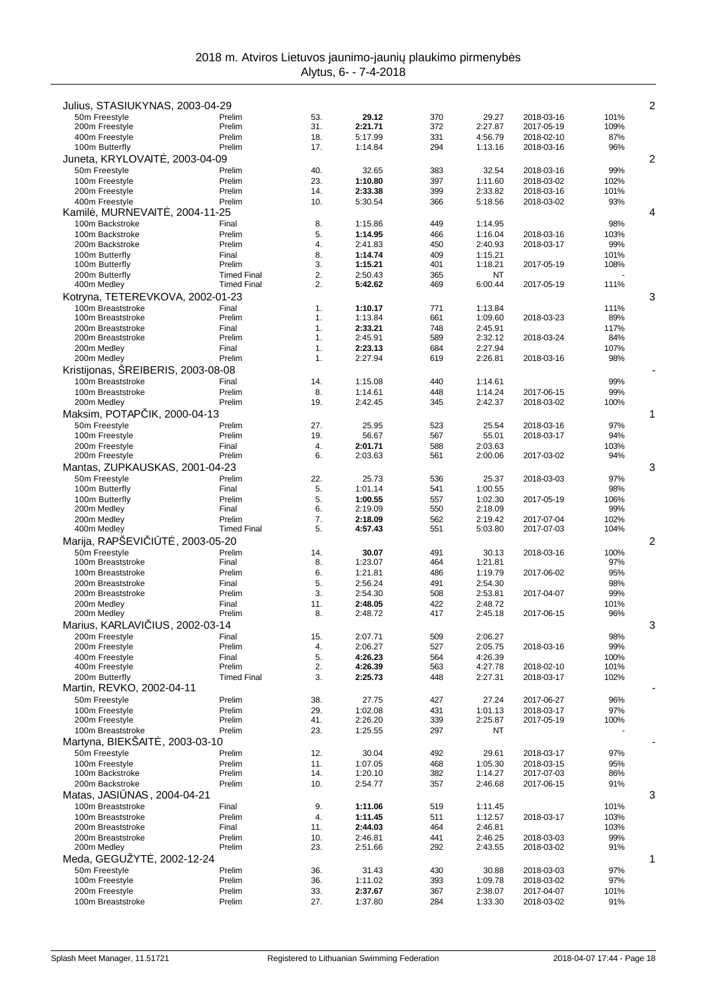| Julius, STASIUKYNAS, 2003-04-29        |                    |            |                    |            |                    |                          |              | $\overline{c}$ |
|----------------------------------------|--------------------|------------|--------------------|------------|--------------------|--------------------------|--------------|----------------|
| 50m Freestyle<br>200m Freestyle        | Prelim<br>Prelim   | 53.<br>31. | 29.12<br>2:21.71   | 370<br>372 | 29.27<br>2:27.87   | 2018-03-16<br>2017-05-19 | 101%<br>109% |                |
| 400m Freestyle                         | Prelim             | 18.        | 5:17.99            | 331        | 4:56.79            | 2018-02-10               | 87%          |                |
| 100m Butterfly                         | Prelim             | 17.        | 1:14.84            | 294        | 1:13.16            | 2018-03-16               | 96%          |                |
| Juneta, KRYLOVAIT, 2003-04-09          |                    |            |                    |            |                    |                          |              | 2              |
| 50m Freestyle                          | Prelim             | 40.        | 32.65              | 383        | 32.54              | 2018-03-16               | 99%          |                |
| 100m Freestyle                         | Prelim             | 23.        | 1:10.80            | 397        | 1:11.60            | 2018-03-02               | 102%         |                |
| 200m Freestyle                         | Prelim             | 14.        | 2:33.38            | 399        | 2:33.82            | 2018-03-16               | 101%         |                |
| 400m Freestyle                         | Prelim             | 10.        | 5:30.54            | 366        | 5:18.56            | 2018-03-02               | 93%          |                |
| Kamil, MURNEVAIT, 2004-11-25           |                    |            |                    |            |                    |                          |              | 4              |
| 100m Backstroke                        | Final              | 8.         | 1:15.86            | 449        | 1:14.95            |                          | 98%          |                |
| 100m Backstroke                        | Prelim             | 5.         | 1:14.95            | 466        | 1:16.04            | 2018-03-16               | 103%         |                |
| 200m Backstroke                        | Prelim             | 4.         | 2:41.83            | 450        | 2:40.93            | 2018-03-17               | 99%          |                |
| 100m Butterfly                         | Final              | 8.         | 1:14.74            | 409        | 1:15.21            |                          | 101%         |                |
| 100m Butterfly                         | Prelim             | 3.         | 1:15.21            | 401        | 1:18.21            | 2017-05-19               | 108%         |                |
| 200m Butterfly                         | <b>Timed Final</b> | 2.         | 2:50.43            | 365        | NT                 |                          |              |                |
| 400m Medley                            | <b>Timed Final</b> | 2.         | 5:42.62            | 469        | 6:00.44            | 2017-05-19               | 111%         |                |
| Kotryna, TETEREVKOVA, 2002-01-23       |                    |            |                    |            |                    |                          |              | 3              |
| 100m Breaststroke                      | Final              | 1.         | 1:10.17            | 771        | 1:13.84            |                          | 111%         |                |
| 100m Breaststroke                      | Prelim             | 1.         | 1:13.84            | 661        | 1:09.60            | 2018-03-23               | 89%          |                |
| 200m Breaststroke                      | Final              | 1.         | 2:33.21            | 748        | 2:45.91            |                          | 117%         |                |
| 200m Breaststroke                      | Prelim             | 1.         | 2:45.91            | 589        | 2:32.12            | 2018-03-24               | 84%          |                |
| 200m Medley                            | Final<br>Prelim    | 1.<br>1.   | 2:23.13<br>2:27.94 | 684<br>619 | 2:27.94<br>2:26.81 |                          | 107%<br>98%  |                |
| 200m Medley                            |                    |            |                    |            |                    | 2018-03-16               |              |                |
| Kristijonas, SREIBERIS, 2003-08-08     |                    |            |                    |            |                    |                          |              |                |
| 100m Breaststroke                      | Final              | 14.        | 1:15.08            | 440        | 1:14.61            |                          | 99%          |                |
| 100m Breaststroke                      | Prelim             | 8.         | 1:14.61            | 448        | 1:14.24            | 2017-06-15               | 99%          |                |
| 200m Medley                            | Prelim             | 19.        | 2:42.45            | 345        | 2:42.37            | 2018-03-02               | 100%         |                |
| Maksim, POTAP<br>IK, 2000-04-13        |                    |            |                    |            |                    |                          |              | 1              |
| 50m Freestyle                          | Prelim             | 27.        | 25.95              | 523        | 25.54              | 2018-03-16               | 97%          |                |
| 100m Freestyle                         | Prelim             | 19.        | 56.67              | 567        | 55.01              | 2018-03-17               | 94%          |                |
| 200m Freestyle<br>200m Freestyle       | Final<br>Prelim    | 4.<br>6.   | 2:01.71<br>2:03.63 | 588<br>561 | 2:03.63<br>2:00.06 | 2017-03-02               | 103%<br>94%  |                |
|                                        |                    |            |                    |            |                    |                          |              |                |
| Mantas, ZUPKAUSKAS, 2001-04-23         |                    |            |                    |            |                    |                          |              | 3              |
| 50m Freestyle<br>100m Butterfly        | Prelim<br>Final    | 22.<br>5.  | 25.73<br>1:01.14   | 536<br>541 | 25.37<br>1:00.55   | 2018-03-03               | 97%<br>98%   |                |
| 100m Butterfly                         | Prelim             | 5.         | 1:00.55            | 557        | 1:02.30            | 2017-05-19               | 106%         |                |
| 200m Medley                            | Final              | 6.         | 2:19.09            | 550        | 2:18.09            |                          | 99%          |                |
| 200m Medley                            | Prelim             | 7.         | 2:18.09            | 562        | 2:19.42            | 2017-07-04               | 102%         |                |
| 400m Medley                            | <b>Timed Final</b> | 5.         | 4:57.43            | 551        | 5:03.80            | 2017-07-03               | 104%         |                |
| Marija, RAPŠEVI I T<br>. 2003-05-20    |                    |            |                    |            |                    |                          |              | 2              |
| 50m Freestyle                          | Prelim             | 14.        | 30.07              | 491        | 30.13              | 2018-03-16               | 100%         |                |
| 100m Breaststroke                      | Final              | 8.         | 1:23.07            | 464        | 1:21.81            |                          | 97%          |                |
| 100m Breaststroke                      | Prelim             | 6.         | 1:21.81            | 486        | 1:19.79            | 2017-06-02               | 95%          |                |
| 200m Breaststroke                      | Final              | 5.         | 2:56.24            | 491        | 2:54.30            |                          | 98%          |                |
| 200m Breaststroke                      | Prelim             | 3.         | 2:54.30            | 508        | 2:53.81            | 2017-04-07               | 99%          |                |
| 200m Medley                            | Final              | 11.        | 2:48.05            | 422        | 2:48.72            |                          | 101%         |                |
| 200m Medley                            | Prelim             | 8.         | 2:48.72            | 417        | 2:45.18            | 2017-06-15               | 96%          |                |
| Marius, KARLAVI IUS, 2002-03-14        |                    |            |                    |            |                    |                          |              | 3              |
| 200m Freestyle                         | Final              | 15.        | 2:07.71            | 509        | 2:06.27            |                          | 98%          |                |
| 200m Freestyle                         | Prelim             | 4.         | 2:06.27            | 527        | 2:05.75            | 2018-03-16               | 99%          |                |
| 400m Freestyle                         | Final              | 5.         | 4:26.23            | 564        | 4:26.39            |                          | 100%         |                |
| 400m Freestyle                         | Prelim             | 2.         | 4:26.39            | 563        | 4:27.78            | 2018-02-10               | 101%         |                |
| 200m Butterfly                         | <b>Timed Final</b> | 3.         | 2:25.73            | 448        | 2:27.31            | 2018-03-17               | 102%         |                |
| Martin, REVKO, 2002-04-11              |                    |            |                    |            |                    |                          |              |                |
| 50m Freestyle                          | Prelim             | 38.        | 27.75              | 427        | 27.24              | 2017-06-27               | 96%          |                |
| 100m Freestyle                         | Prelim             | 29.        | 1:02.08<br>2:26.20 | 431        | 1:01.13            | 2018-03-17               | 97%          |                |
| 200m Freestyle                         | Prelim<br>Prelim   | 41.        |                    | 339<br>297 | 2:25.87<br>NT      | 2017-05-19               | 100%         |                |
| 100m Breaststroke<br>Martyna, BIEKŠAIT |                    | 23.        | 1:25.55            |            |                    |                          |              |                |
| , 2003-03-10<br>50m Freestyle          | Prelim             | 12.        |                    | 492        |                    |                          |              |                |
| 100m Freestyle                         | Prelim             | 11.        | 30.04<br>1:07.05   | 468        | 29.61              | 2018-03-17<br>2018-03-15 | 97%<br>95%   |                |
| 100m Backstroke                        | Prelim             | 14.        | 1:20.10            | 382        | 1:05.30<br>1:14.27 | 2017-07-03               | 86%          |                |
| 200m Backstroke                        | Prelim             | 10.        | 2:54.77            | 357        | 2:46.68            | 2017-06-15               | 91%          |                |
| Matas, JASI NAS, 2004-04-21            |                    |            |                    |            |                    |                          |              | 3              |
| 100m Breaststroke                      | Final              | 9.         | 1:11.06            | 519        | 1:11.45            |                          | 101%         |                |
| 100m Breaststroke                      | Prelim             | 4.         | 1:11.45            | 511        | 1:12.57            | 2018-03-17               | 103%         |                |
| 200m Breaststroke                      | Final              | 11.        | 2:44.03            | 464        | 2:46.81            |                          | 103%         |                |
| 200m Breaststroke                      | Prelim             | 10.        | 2:46.81            | 441        | 2:46.25            | 2018-03-03               | 99%          |                |
| 200m Medley                            | Prelim             | 23.        | 2:51.66            | 292        | 2:43.55            | 2018-03-02               | 91%          |                |
| Meda, GEGUZYT<br>, 2002-12-24          |                    |            |                    |            |                    |                          |              | 1              |
| 50m Freestyle                          | Prelim             | 36.        | 31.43              | 430        | 30.88              | 2018-03-03               | 97%          |                |
| 100m Freestyle                         | Prelim             | 36.        | 1:11.02            | 393        | 1:09.78            | 2018-03-02               | 97%          |                |
| 200m Freestyle                         | Prelim             | 33.        | 2:37.67            | 367        | 2:38.07            | 2017-04-07               | 101%         |                |
| 100m Breaststroke                      | Prelim             | 27.        | 1:37.80            | 284        | 1:33.30            | 2018-03-02               | 91%          |                |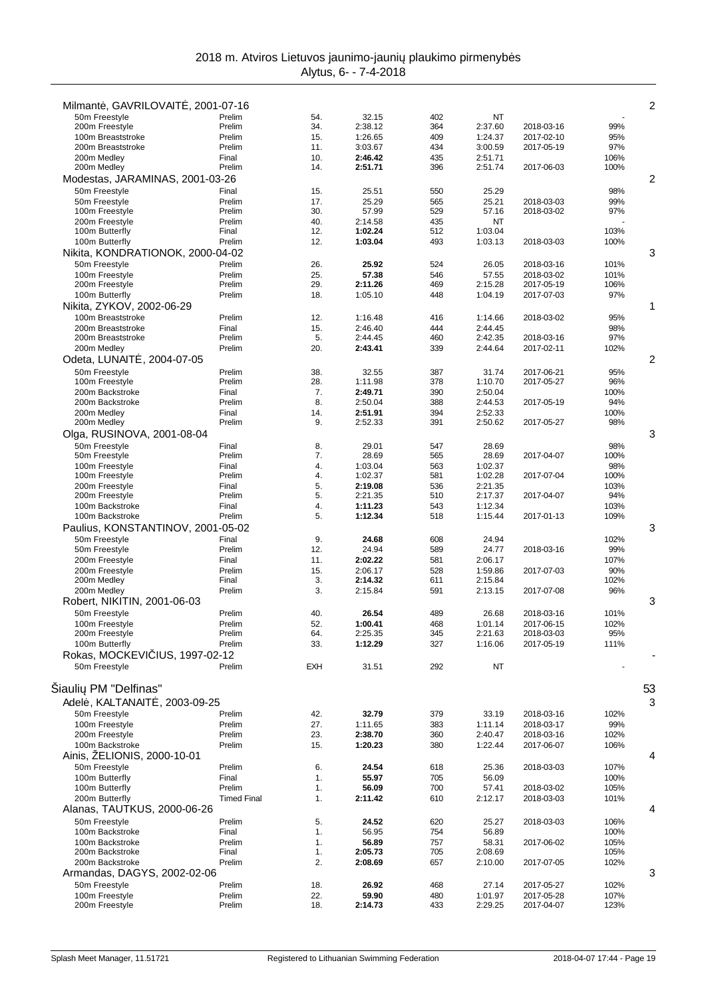|                                                   |                    |            |                    |            |                    |                          |             | 2  |
|---------------------------------------------------|--------------------|------------|--------------------|------------|--------------------|--------------------------|-------------|----|
| Milmant, GAVRILOVAIT, 2001-07-16<br>50m Freestyle | Prelim             | 54.        | 32.15              | 402        | NT                 |                          |             |    |
| 200m Freestyle                                    | Prelim             | 34.        | 2:38.12            | 364        | 2:37.60            | 2018-03-16               | 99%         |    |
| 100m Breaststroke                                 | Prelim             | 15.        | 1:26.65            | 409        | 1:24.37            | 2017-02-10               | 95%         |    |
| 200m Breaststroke                                 | Prelim             | 11.        | 3:03.67            | 434        | 3:00.59            | 2017-05-19               | 97%         |    |
| 200m Medlev                                       | Final              | 10.        | 2:46.42            | 435        | 2:51.71            |                          | 106%        |    |
| 200m Medley                                       | Prelim             | 14.        | 2:51.71            | 396        | 2:51.74            | 2017-06-03               | 100%        |    |
| Modestas, JARAMINAS, 2001-03-26                   |                    |            |                    |            |                    |                          |             | 2  |
| 50m Freestyle                                     | Final              | 15.        | 25.51              | 550        | 25.29              |                          | 98%         |    |
| 50m Freestyle                                     | Prelim             | 17.        | 25.29              | 565        | 25.21              | 2018-03-03               | 99%         |    |
| 100m Freestyle                                    | Prelim             | 30.        | 57.99              | 529        | 57.16              | 2018-03-02               | 97%         |    |
| 200m Freestyle                                    | Prelim             | 40.        | 2:14.58            | 435        | ΝT                 |                          |             |    |
| 100m Butterfly                                    | Final              | 12.        | 1:02.24            | 512        | 1:03.04            |                          | 103%        |    |
| 100m Butterfly                                    | Prelim             | 12.        | 1:03.04            | 493        | 1:03.13            | 2018-03-03               | 100%        |    |
| Nikita, KONDRATIONOK, 2000-04-02                  |                    |            |                    |            |                    |                          |             | 3  |
| 50m Freestyle                                     | Prelim             | 26.        | 25.92              | 524        | 26.05              | 2018-03-16               | 101%        |    |
| 100m Freestyle                                    | Prelim             | 25.        | 57.38              | 546        | 57.55              | 2018-03-02               | 101%        |    |
| 200m Freestyle                                    | Prelim<br>Prelim   | 29.<br>18. | 2:11.26            | 469        | 2:15.28            | 2017-05-19               | 106%        |    |
| 100m Butterfly                                    |                    |            | 1:05.10            | 448        | 1:04.19            | 2017-07-03               | 97%         |    |
| Nikita, ZYKOV, 2002-06-29                         |                    |            |                    |            |                    |                          |             | 1  |
| 100m Breaststroke                                 | Prelim             | 12.        | 1:16.48            | 416        | 1:14.66            | 2018-03-02               | 95%         |    |
| 200m Breaststroke<br>200m Breaststroke            | Final<br>Prelim    | 15.<br>5.  | 2:46.40<br>2:44.45 | 444<br>460 | 2:44.45<br>2:42.35 | 2018-03-16               | 98%<br>97%  |    |
| 200m Medley                                       | Prelim             | 20.        | 2:43.41            | 339        | 2:44.64            | 2017-02-11               | 102%        |    |
| Odeta, LUNAIT, 2004-07-05                         |                    |            |                    |            |                    |                          |             | 2  |
|                                                   |                    |            |                    |            |                    |                          |             |    |
| 50m Freestyle<br>100m Freestyle                   | Prelim<br>Prelim   | 38.<br>28. | 32.55<br>1:11.98   | 387<br>378 | 31.74<br>1:10.70   | 2017-06-21<br>2017-05-27 | 95%<br>96%  |    |
| 200m Backstroke                                   | Final              | 7.         | 2:49.71            | 390        | 2:50.04            |                          | 100%        |    |
| 200m Backstroke                                   | Prelim             | 8.         | 2:50.04            | 388        | 2:44.53            | 2017-05-19               | 94%         |    |
| 200m Medley                                       | Final              | 14.        | 2:51.91            | 394        | 2:52.33            |                          | 100%        |    |
| 200m Medley                                       | Prelim             | 9.         | 2:52.33            | 391        | 2:50.62            | 2017-05-27               | 98%         |    |
| Olga, RUSINOVA, 2001-08-04                        |                    |            |                    |            |                    |                          |             | 3  |
| 50m Freestyle                                     | Final              | 8.         | 29.01              | 547        | 28.69              |                          | 98%         |    |
| 50m Freestyle                                     | Prelim             | 7.         | 28.69              | 565        | 28.69              | 2017-04-07               | 100%        |    |
| 100m Freestyle                                    | Final              | 4.         | 1:03.04            | 563        | 1:02.37            |                          | 98%         |    |
| 100m Freestyle                                    | Prelim             | 4.         | 1:02.37            | 581        | 1:02.28            | 2017-07-04               | 100%        |    |
| 200m Freestyle                                    | Final              | 5.         | 2:19.08            | 536        | 2:21.35            |                          | 103%        |    |
| 200m Freestyle                                    | Prelim             | 5.         | 2:21.35            | 510        | 2:17.37            | 2017-04-07               | 94%         |    |
| 100m Backstroke                                   | Final              | 4.         | 1:11.23            | 543        | 1:12.34            |                          | 103%        |    |
| 100m Backstroke                                   | Prelim             | 5.         | 1:12.34            | 518        | 1:15.44            | 2017-01-13               | 109%        |    |
| Paulius, KONSTANTINOV, 2001-05-02                 |                    |            |                    |            |                    |                          |             | 3  |
| 50m Freestyle                                     | Final              | 9.         | 24.68              | 608        | 24.94              |                          | 102%        |    |
| 50m Freestyle                                     | Prelim             | 12.        | 24.94              | 589        | 24.77              | 2018-03-16               | 99%         |    |
| 200m Freestyle<br>200m Freestyle                  | Final<br>Prelim    | 11.<br>15. | 2:02.22<br>2:06.17 | 581<br>528 | 2:06.17<br>1:59.86 | 2017-07-03               | 107%<br>90% |    |
| 200m Medley                                       | Final              | 3.         | 2:14.32            | 611        | 2:15.84            |                          | 102%        |    |
| 200m Medley                                       | Prelim             | 3.         | 2:15.84            | 591        | 2:13.15            | 2017-07-08               | 96%         |    |
| Robert, NIKITIN, 2001-06-03                       |                    |            |                    |            |                    |                          |             | 3  |
| 50m Freestyle                                     | Prelim             | 40.        | 26.54              | 489        | 26.68              | 2018-03-16               | 101%        |    |
| 100m Freestyle                                    | Prelim             | 52.        | 1:00.41            | 468        | 1:01.14            | 2017-06-15               | 102%        |    |
| 200m Freestyle                                    | Prelim             | 64.        | 2:25.35            | 345        | 2:21.63            | 2018-03-03               | 95%         |    |
| 100m Butterfly                                    | Prelim             | 33.        | 1:12.29            | 327        | 1:16.06            | 2017-05-19               | 111%        |    |
| Rokas, MOCKEVI IUS, 1997-02-12                    |                    |            |                    |            |                    |                          |             |    |
| 50m Freestyle                                     | Prelim             | <b>EXH</b> | 31.51              | 292        | NT                 |                          |             |    |
|                                                   |                    |            |                    |            |                    |                          |             |    |
| Šiauli PM "Delfinas"                              |                    |            |                    |            |                    |                          |             | 53 |
| Adel, KALTANAIT, 2003-09-25                       |                    |            |                    |            |                    |                          |             | 3  |
| 50m Freestyle                                     | Prelim             | 42.        | 32.79              | 379        | 33.19              | 2018-03-16               | 102%        |    |
| 100m Freestyle                                    | Prelim             | 27.        | 1:11.65            | 383        | 1:11.14            | 2018-03-17               | 99%         |    |
| 200m Freestyle                                    | Prelim             | 23.        | 2:38.70            | 360        | 2:40.47            | 2018-03-16               | 102%        |    |
| 100m Backstroke                                   | Prelim             | 15.        | 1:20.23            | 380        | 1:22.44            | 2017-06-07               | 106%        |    |
| Ainis, ZELIONIS, 2000-10-01                       |                    |            |                    |            |                    |                          |             | 4  |
| 50m Freestyle                                     | Prelim             | 6.         | 24.54              | 618        | 25.36              | 2018-03-03               | 107%        |    |
| 100m Butterfly                                    | Final              | 1.         | 55.97              | 705        | 56.09              |                          | 100%        |    |
| 100m Butterfly                                    | Prelim             | 1.         | 56.09              | 700        | 57.41              | 2018-03-02               | 105%        |    |
| 200m Butterfly                                    | <b>Timed Final</b> | 1.         | 2:11.42            | 610        | 2:12.17            | 2018-03-03               | 101%        |    |
| Alanas, TAUTKUS, 2000-06-26                       |                    |            |                    |            |                    |                          |             | 4  |
| 50m Freestyle                                     | Prelim             | 5.         | 24.52              | 620        | 25.27              | 2018-03-03               | 106%        |    |
| 100m Backstroke                                   | Final              | 1.         | 56.95              | 754        | 56.89              |                          | 100%        |    |
| 100m Backstroke                                   | Prelim             | 1.         | 56.89              | 757        | 58.31              | 2017-06-02               | 105%        |    |
| 200m Backstroke                                   | Final              | 1.         | 2:05.73            | 705        | 2:08.69            |                          | 105%        |    |
| 200m Backstroke                                   | Prelim             | 2.         | 2:08.69            | 657        | 2:10.00            | 2017-07-05               | 102%        |    |
| Armandas, DAGYS, 2002-02-06                       |                    |            |                    |            |                    |                          |             | 3  |
| 50m Freestyle                                     | Prelim             | 18.        | 26.92              | 468        | 27.14              | 2017-05-27               | 102%        |    |
| 100m Freestyle                                    | Prelim             | 22.        | 59.90              | 480        | 1:01.97            | 2017-05-28               | 107%        |    |
| 200m Freestyle                                    | Prelim             | 18.        | 2:14.73            | 433        | 2:29.25            | 2017-04-07               | 123%        |    |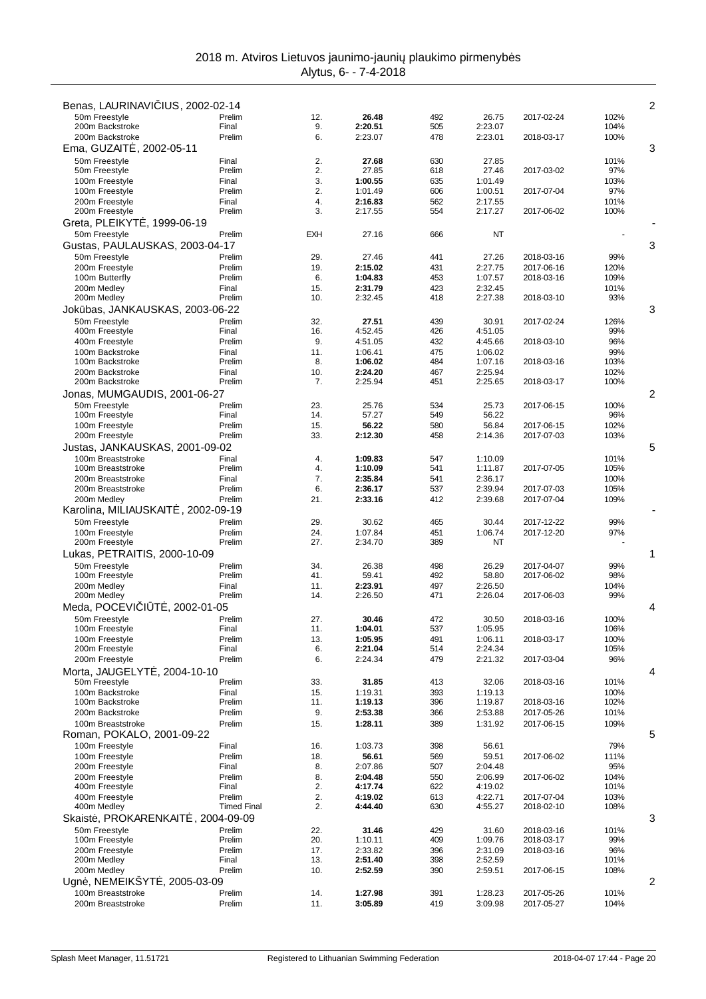| Benas, LAURINAVI IUS, 2002-02-14      |                    |                        |                    |            |                    |                          | 2            |
|---------------------------------------|--------------------|------------------------|--------------------|------------|--------------------|--------------------------|--------------|
| 50m Freestyle                         | Prelim             | 12.                    | 26.48              | 492        | 26.75              | 2017-02-24               | 102%         |
| 200m Backstroke<br>200m Backstroke    | Final              | 9.                     | 2:20.51            | 505        | 2:23.07            |                          | 104%         |
| Ema, GUZAIT, 2002-05-11               | Prelim             | 6.                     | 2:23.07            | 478        | 2:23.01            | 2018-03-17               | 100%<br>3    |
| 50m Freestyle                         | Final              | 2.                     | 27.68              | 630        | 27.85              |                          | 101%         |
| 50m Freestyle                         | Prelim             | 2.                     | 27.85              | 618        | 27.46              | 2017-03-02               | 97%          |
| 100m Freestyle                        | Final              | 3.                     | 1:00.55            | 635        | 1:01.49            |                          | 103%         |
| 100m Freestyle                        | Prelim             | 2.                     | 1:01.49            | 606        | 1:00.51            | 2017-07-04               | 97%          |
| 200m Freestyle<br>200m Freestyle      | Final<br>Prelim    | $\overline{4}$ .<br>3. | 2:16.83<br>2:17.55 | 562<br>554 | 2:17.55<br>2:17.27 | 2017-06-02               | 101%<br>100% |
| Greta, PLEIKYT, 1999-06-19            |                    |                        |                    |            |                    |                          |              |
| 50m Freestyle                         | Prelim             | <b>EXH</b>             | 27.16              | 666        | ΝT                 |                          |              |
| Gustas, PAULAUSKAS, 2003-04-17        |                    |                        |                    |            |                    |                          | 3            |
| 50m Freestyle                         | Prelim             | 29.                    | 27.46              | 441        | 27.26              | 2018-03-16               | 99%          |
| 200m Freestyle                        | Prelim             | 19.                    | 2:15.02            | 431        | 2:27.75            | 2017-06-16               | 120%         |
| 100m Butterfly                        | Prelim             | 6.                     | 1:04.83            | 453        | 1:07.57            | 2018-03-16               | 109%         |
| 200m Medley<br>200m Medley            | Final<br>Prelim    | 15.<br>10.             | 2:31.79<br>2:32.45 | 423<br>418 | 2:32.45<br>2:27.38 | 2018-03-10               | 101%<br>93%  |
| Jok bas, JANKAUSKAS, 2003-06-22       |                    |                        |                    |            |                    |                          | 3            |
| 50m Freestyle                         | Prelim             | 32.                    | 27.51              | 439        | 30.91              | 2017-02-24               | 126%         |
| 400m Freestyle                        | Final              | 16.                    | 4:52.45            | 426        | 4:51.05            |                          | 99%          |
| 400m Freestyle                        | Prelim             | 9.                     | 4:51.05            | 432        | 4:45.66            | 2018-03-10               | 96%          |
| 100m Backstroke<br>100m Backstroke    | Final<br>Prelim    | 11.<br>8.              | 1:06.41<br>1:06.02 | 475<br>484 | 1:06.02<br>1:07.16 | 2018-03-16               | 99%<br>103%  |
| 200m Backstroke                       | Final              | 10.                    | 2:24.20            | 467        | 2:25.94            |                          | 102%         |
| 200m Backstroke                       | Prelim             | 7.                     | 2:25.94            | 451        | 2:25.65            | 2018-03-17               | 100%         |
| Jonas, MUMGAUDIS, 2001-06-27          |                    |                        |                    |            |                    |                          | 2            |
| 50m Freestyle                         | Prelim             | 23.                    | 25.76              | 534        | 25.73              | 2017-06-15               | 100%         |
| 100m Freestyle                        | Final              | 14.                    | 57.27              | 549        | 56.22              |                          | 96%          |
| 100m Freestyle<br>200m Freestyle      | Prelim<br>Prelim   | 15.<br>33.             | 56.22<br>2:12.30   | 580<br>458 | 56.84<br>2:14.36   | 2017-06-15<br>2017-07-03 | 102%<br>103% |
| Justas, JANKAUSKAS, 2001-09-02        |                    |                        |                    |            |                    |                          | 5            |
| 100m Breaststroke                     | Final              | 4.                     | 1:09.83            | 547        | 1:10.09            |                          | 101%         |
| 100m Breaststroke                     | Prelim             | 4.                     | 1:10.09            | 541        | 1:11.87            | 2017-07-05               | 105%         |
| 200m Breaststroke                     | Final              | 7.                     | 2:35.84            | 541        | 2:36.17            |                          | 100%         |
| 200m Breaststroke<br>200m Medley      | Prelim<br>Prelim   | 6.<br>21.              | 2:36.17<br>2:33.16 | 537<br>412 | 2:39.94<br>2:39.68 | 2017-07-03<br>2017-07-04 | 105%<br>109% |
| , 2002-09-19<br>Karolina, MILIAUSKAIT |                    |                        |                    |            |                    |                          |              |
| 50m Freestyle                         | Prelim             | 29.                    | 30.62              | 465        | 30.44              | 2017-12-22               | 99%          |
| 100m Freestyle                        | Prelim             | 24.                    | 1:07.84            | 451        | 1:06.74            | 2017-12-20               | 97%          |
| 200m Freestyle                        | Prelim             | 27.                    | 2:34.70            | 389        | NT                 |                          |              |
| Lukas, PETRAITIS, 2000-10-09          |                    |                        |                    |            |                    |                          | 1            |
| 50m Freestyle                         | Prelim             | 34.                    | 26.38              | 498        | 26.29              | 2017-04-07<br>2017-06-02 | 99%          |
| 100m Freestyle<br>200m Medley         | Prelim<br>Final    | 41.<br>11.             | 59.41<br>2:23.91   | 492<br>497 | 58.80<br>2:26.50   |                          | 98%<br>104%  |
| 200m Medley                           | Prelim             | 14.                    | 2:26.50            | 471        | 2:26.04            | 2017-06-03               | 99%          |
| Meda, POCEVI<br>$1 T$ , 2002-01-05    |                    |                        |                    |            |                    |                          | 4            |
| 50m Freestyle                         | Prelim             | 27.                    | 30.46              | 472        | 30.50              | 2018-03-16               | 100%         |
| 100m Freestyle                        | Final              | 11.                    | 1:04.01            | 537        | 1:05.95            |                          | 106%         |
| 100m Freestyle<br>200m Freestyle      | Prelim<br>Final    | 13.<br>6.              | 1:05.95<br>2:21.04 | 491<br>514 | 1:06.11<br>2:24.34 | 2018-03-17               | 100%<br>105% |
| 200m Freestyle                        | Prelim             | 6.                     | 2:24.34            | 479        | 2:21.32            | 2017-03-04               | 96%          |
| Morta, JAUGELYT, 2004-10-10           |                    |                        |                    |            |                    |                          | 4            |
| 50m Freestyle                         | Prelim             | 33.                    | 31.85              | 413        | 32.06              | 2018-03-16               | 101%         |
| 100m Backstroke                       | Final              | 15.                    | 1:19.31            | 393        | 1:19.13            |                          | 100%         |
| 100m Backstroke<br>200m Backstroke    | Prelim<br>Prelim   | 11.<br>9.              | 1:19.13<br>2:53.38 | 396<br>366 | 1:19.87<br>2:53.88 | 2018-03-16<br>2017-05-26 | 102%<br>101% |
| 100m Breaststroke                     | Prelim             | 15.                    | 1:28.11            | 389        | 1:31.92            | 2017-06-15               | 109%         |
| Roman, POKALO, 2001-09-22             |                    |                        |                    |            |                    |                          | 5            |
| 100m Freestyle                        | Final              | 16.                    | 1:03.73            | 398        | 56.61              |                          | 79%          |
| 100m Freestyle                        | Prelim             | 18.                    | 56.61              | 569        | 59.51              | 2017-06-02               | 111%         |
| 200m Freestyle                        | Final              | 8.                     | 2:07.86            | 507        | 2:04.48            |                          | 95%          |
| 200m Freestyle<br>400m Freestyle      | Prelim<br>Final    | 8.<br>2.               | 2:04.48<br>4:17.74 | 550<br>622 | 2:06.99<br>4:19.02 | 2017-06-02               | 104%<br>101% |
| 400m Freestyle                        | Prelim             | 2.                     | 4:19.02            | 613        | 4:22.71            | 2017-07-04               | 103%         |
| 400m Medley                           | <b>Timed Final</b> | 2.                     | 4:44.40            | 630        | 4:55.27            | 2018-02-10               | 108%         |
| Skaist, PROKARENKAIT                  | , 2004-09-09       |                        |                    |            |                    |                          | 3            |
| 50m Freestyle                         | Prelim             | 22.                    | 31.46              | 429        | 31.60              | 2018-03-16               | 101%         |
| 100m Freestyle<br>200m Freestyle      | Prelim<br>Prelim   | 20.<br>17.             | 1:10.11<br>2:33.82 | 409<br>396 | 1:09.76<br>2:31.09 | 2018-03-17<br>2018-03-16 | 99%<br>96%   |
| 200m Medley                           | Final              | 13.                    | 2:51.40            | 398        | 2:52.59            |                          | 101%         |
| 200m Medley                           | Prelim             | 10.                    | 2:52.59            | 390        | 2:59.51            | 2017-06-15               | 108%         |
| Ugn, NEMEIKŠYT<br>, 2005-03-09        |                    |                        |                    |            |                    |                          | 2            |
| 100m Breaststroke                     | Prelim             | 14.                    | 1:27.98            | 391        | 1:28.23            | 2017-05-26               | 101%         |
| 200m Breaststroke                     | Prelim             | 11.                    | 3:05.89            | 419        | 3:09.98            | 2017-05-27               | 104%         |